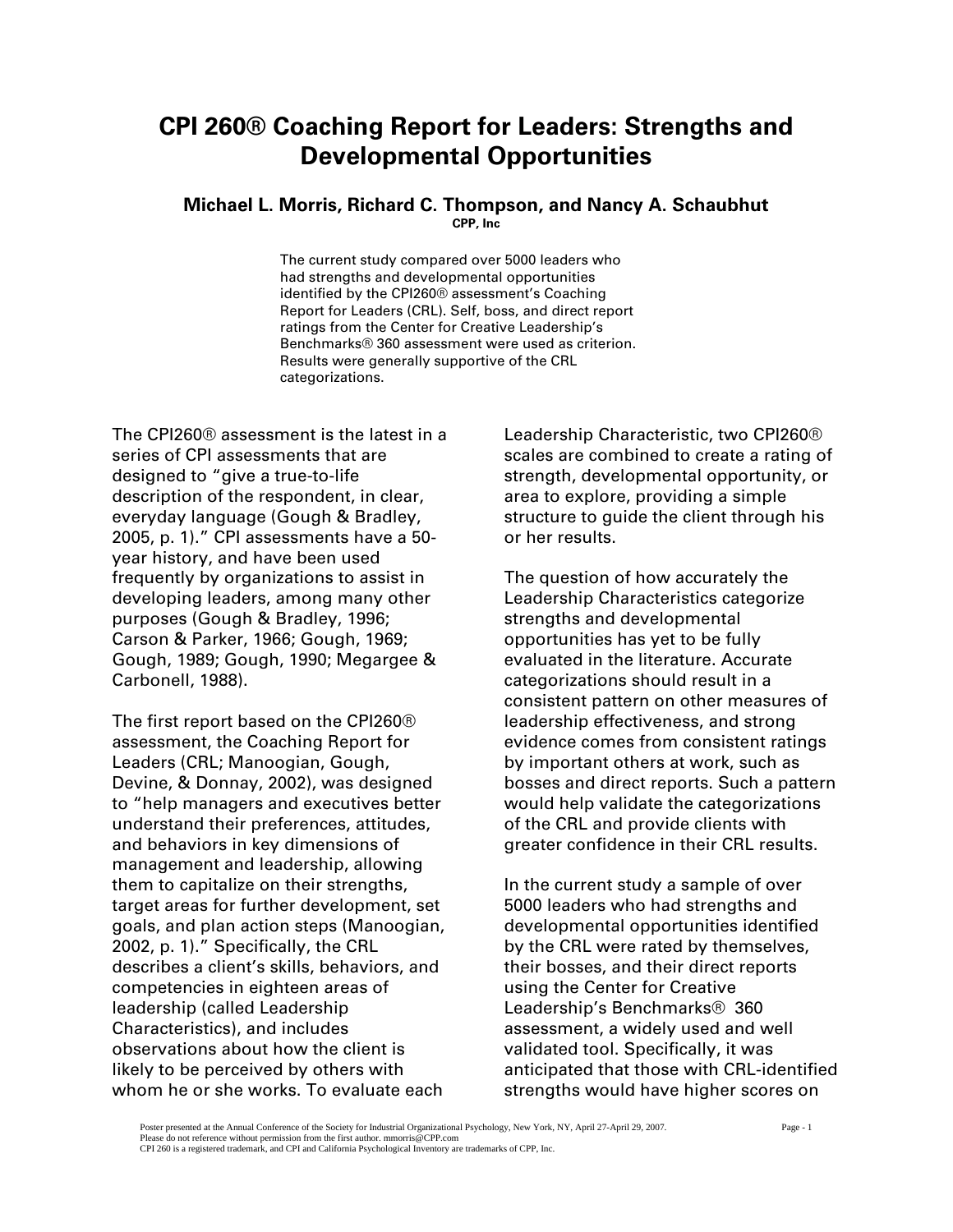# **CPI 260® Coaching Report for Leaders: Strengths and Developmental Opportunities**

#### **Michael L. Morris, Richard C. Thompson, and Nancy A. Schaubhut CPP, Inc**

The current study compared over 5000 leaders who had strengths and developmental opportunities identified by the CPI260® assessment's Coaching Report for Leaders (CRL). Self, boss, and direct report ratings from the Center for Creative Leadership's Benchmarks® 360 assessment were used as criterion. Results were generally supportive of the CRL categorizations.

The CPI260® assessment is the latest in a series of CPI assessments that are designed to "give a true-to-life description of the respondent, in clear, everyday language (Gough & Bradley, 2005, p. 1)." CPI assessments have a 50 year history, and have been used frequently by organizations to assist in developing leaders, among many other purposes (Gough & Bradley, 1996; Carson & Parker, 1966; Gough, 1969; Gough, 1989; Gough, 1990; Megargee & Carbonell, 1988).

The first report based on the CPI260® assessment, the Coaching Report for Leaders (CRL; Manoogian, Gough, Devine, & Donnay, 2002), was designed to "help managers and executives better understand their preferences, attitudes, and behaviors in key dimensions of management and leadership, allowing them to capitalize on their strengths, target areas for further development, set goals, and plan action steps (Manoogian, 2002, p. 1)." Specifically, the CRL describes a client's skills, behaviors, and competencies in eighteen areas of leadership (called Leadership Characteristics), and includes observations about how the client is likely to be perceived by others with whom he or she works. To evaluate each

Leadership Characteristic, two CPI260® scales are combined to create a rating of strength, developmental opportunity, or area to explore, providing a simple structure to guide the client through his or her results.

The question of how accurately the Leadership Characteristics categorize strengths and developmental opportunities has yet to be fully evaluated in the literature. Accurate categorizations should result in a consistent pattern on other measures of leadership effectiveness, and strong evidence comes from consistent ratings by important others at work, such as bosses and direct reports. Such a pattern would help validate the categorizations of the CRL and provide clients with greater confidence in their CRL results.

In the current study a sample of over 5000 leaders who had strengths and developmental opportunities identified by the CRL were rated by themselves, their bosses, and their direct reports using the Center for Creative Leadership's Benchmarks® 360 assessment, a widely used and well validated tool. Specifically, it was anticipated that those with CRL-identified strengths would have higher scores on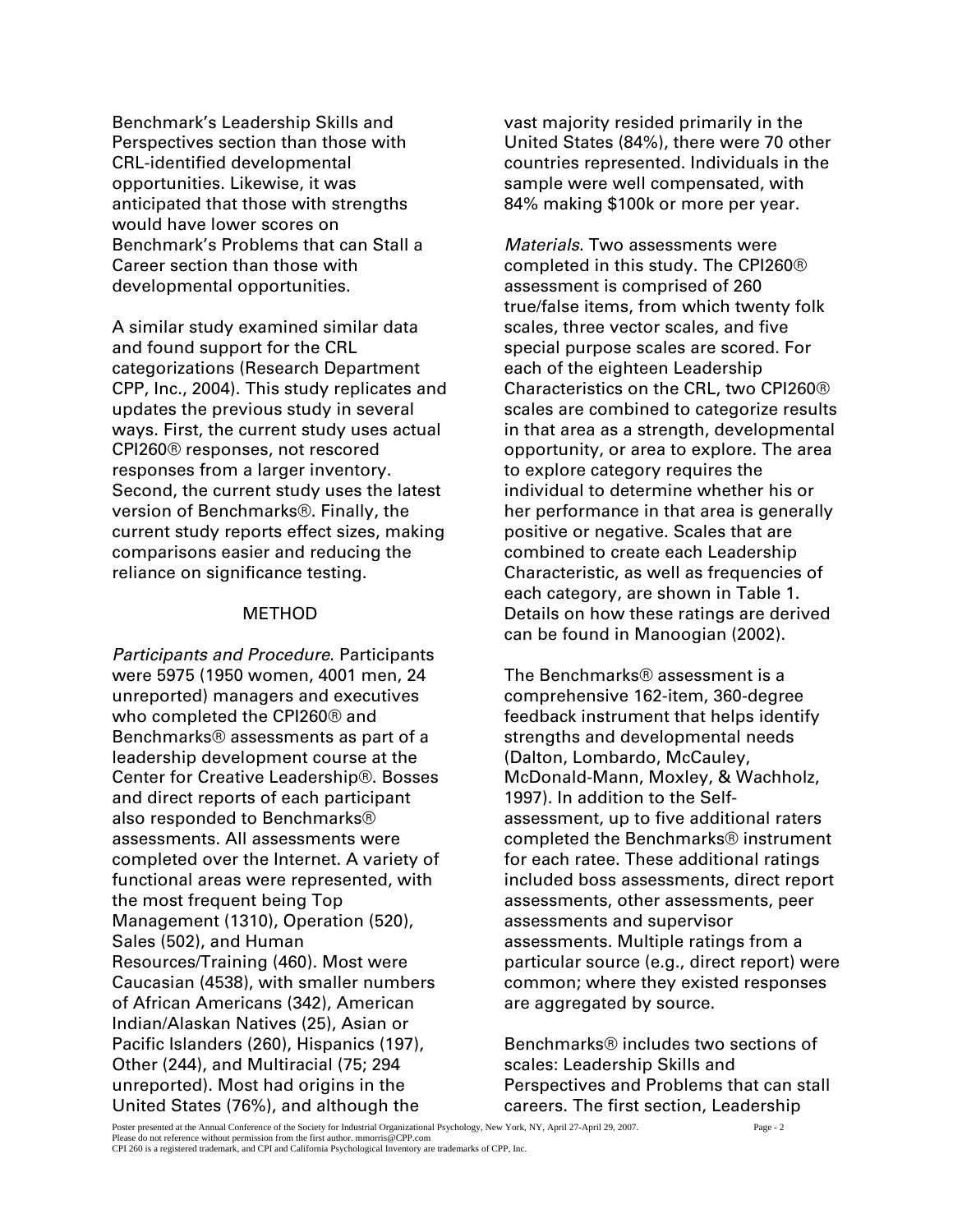Benchmark's Leadership Skills and Perspectives section than those with CRL-identified developmental opportunities. Likewise, it was anticipated that those with strengths would have lower scores on Benchmark's Problems that can Stall a Career section than those with developmental opportunities.

A similar study examined similar data and found support for the CRL categorizations (Research Department CPP, Inc., 2004). This study replicates and updates the previous study in several ways. First, the current study uses actual CPI260® responses, not rescored responses from a larger inventory. Second, the current study uses the latest version of Benchmarks®. Finally, the current study reports effect sizes, making comparisons easier and reducing the reliance on significance testing.

#### METHOD

*Participants and Procedure*. Participants were 5975 (1950 women, 4001 men, 24 unreported) managers and executives who completed the CPI260® and Benchmarks® assessments as part of a leadership development course at the Center for Creative Leadership®. Bosses and direct reports of each participant also responded to Benchmarks® assessments. All assessments were completed over the Internet. A variety of functional areas were represented, with the most frequent being Top Management (1310), Operation (520), Sales (502), and Human Resources/Training (460). Most were Caucasian (4538), with smaller numbers of African Americans (342), American Indian/Alaskan Natives (25), Asian or Pacific Islanders (260), Hispanics (197), Other (244), and Multiracial (75; 294 unreported). Most had origins in the United States (76%), and although the

vast majority resided primarily in the United States (84%), there were 70 other countries represented. Individuals in the sample were well compensated, with 84% making \$100k or more per year.

*Materials*. Two assessments were completed in this study. The CPI260® assessment is comprised of 260 true/false items, from which twenty folk scales, three vector scales, and five special purpose scales are scored. For each of the eighteen Leadership Characteristics on the CRL, two CPI260® scales are combined to categorize results in that area as a strength, developmental opportunity, or area to explore. The area to explore category requires the individual to determine whether his or her performance in that area is generally positive or negative. Scales that are combined to create each Leadership Characteristic, as well as frequencies of each category, are shown in Table 1. Details on how these ratings are derived can be found in Manoogian (2002).

The Benchmarks® assessment is a comprehensive 162-item, 360-degree feedback instrument that helps identify strengths and developmental needs (Dalton, Lombardo, McCauley, McDonald-Mann, Moxley, & Wachholz, 1997). In addition to the Selfassessment, up to five additional raters completed the Benchmarks® instrument for each ratee. These additional ratings included boss assessments, direct report assessments, other assessments, peer assessments and supervisor assessments. Multiple ratings from a particular source (e.g., direct report) were common; where they existed responses are aggregated by source.

Benchmarks® includes two sections of scales: Leadership Skills and Perspectives and Problems that can stall careers. The first section, Leadership

Poster presented at the Annual Conference of the Society for Industrial Organizational Psychology, New York, NY, April 27-April 29, 2007. Page - 2 Please do not reference without permission from the first author. mmorris@CPP.com CPI 260 is a registered trademark, and CPI and California Psychological Inventory are trademarks of CPP, Inc.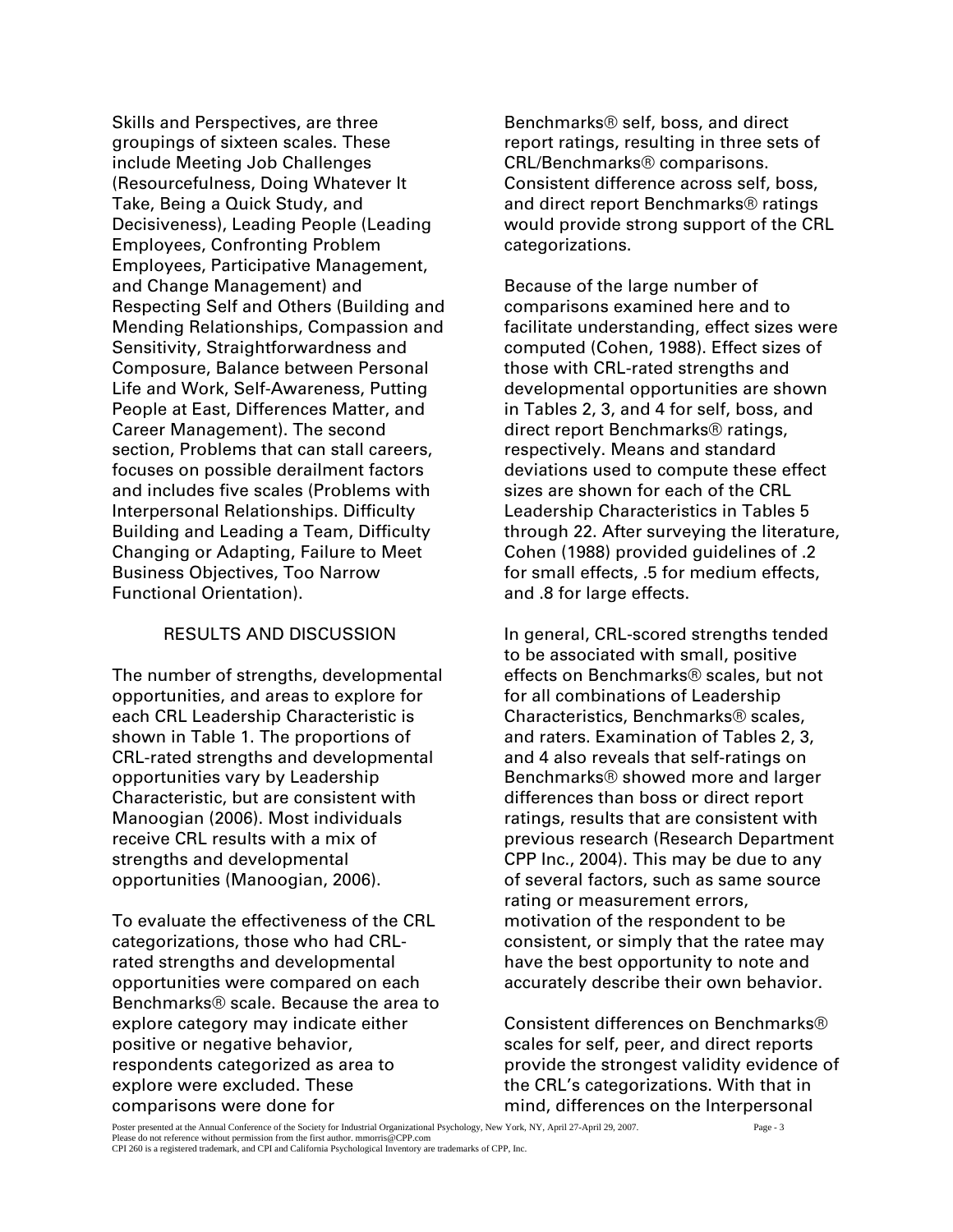Skills and Perspectives, are three groupings of sixteen scales. These include Meeting Job Challenges (Resourcefulness, Doing Whatever It Take, Being a Quick Study, and Decisiveness), Leading People (Leading Employees, Confronting Problem Employees, Participative Management, and Change Management) and Respecting Self and Others (Building and Mending Relationships, Compassion and Sensitivity, Straightforwardness and Composure, Balance between Personal Life and Work, Self-Awareness, Putting People at East, Differences Matter, and Career Management). The second section, Problems that can stall careers, focuses on possible derailment factors and includes five scales (Problems with Interpersonal Relationships. Difficulty Building and Leading a Team, Difficulty Changing or Adapting, Failure to Meet Business Objectives, Too Narrow Functional Orientation).

#### RESULTS AND DISCUSSION

The number of strengths, developmental opportunities, and areas to explore for each CRL Leadership Characteristic is shown in Table 1. The proportions of CRL-rated strengths and developmental opportunities vary by Leadership Characteristic, but are consistent with Manoogian (2006). Most individuals receive CRL results with a mix of strengths and developmental opportunities (Manoogian, 2006).

To evaluate the effectiveness of the CRL categorizations, those who had CRLrated strengths and developmental opportunities were compared on each Benchmarks® scale. Because the area to explore category may indicate either positive or negative behavior, respondents categorized as area to explore were excluded. These comparisons were done for

Benchmarks® self, boss, and direct report ratings, resulting in three sets of CRL/Benchmarks® comparisons. Consistent difference across self, boss, and direct report Benchmarks® ratings would provide strong support of the CRL categorizations.

Because of the large number of comparisons examined here and to facilitate understanding, effect sizes were computed (Cohen, 1988). Effect sizes of those with CRL-rated strengths and developmental opportunities are shown in Tables 2, 3, and 4 for self, boss, and direct report Benchmarks® ratings, respectively. Means and standard deviations used to compute these effect sizes are shown for each of the CRL Leadership Characteristics in Tables 5 through 22. After surveying the literature, Cohen (1988) provided guidelines of .2 for small effects, .5 for medium effects, and .8 for large effects.

In general, CRL-scored strengths tended to be associated with small, positive effects on Benchmarks® scales, but not for all combinations of Leadership Characteristics, Benchmarks® scales, and raters. Examination of Tables 2, 3, and 4 also reveals that self-ratings on Benchmarks® showed more and larger differences than boss or direct report ratings, results that are consistent with previous research (Research Department CPP Inc., 2004). This may be due to any of several factors, such as same source rating or measurement errors, motivation of the respondent to be consistent, or simply that the ratee may have the best opportunity to note and accurately describe their own behavior.

Consistent differences on Benchmarks® scales for self, peer, and direct reports provide the strongest validity evidence of the CRL's categorizations. With that in mind, differences on the Interpersonal

Poster presented at the Annual Conference of the Society for Industrial Organizational Psychology, New York, NY, April 27-April 29, 2007. Page - 3 Please do not reference without permission from the first author. mmorris@CPP.com CPI 260 is a registered trademark, and CPI and California Psychological Inventory are trademarks of CPP, Inc.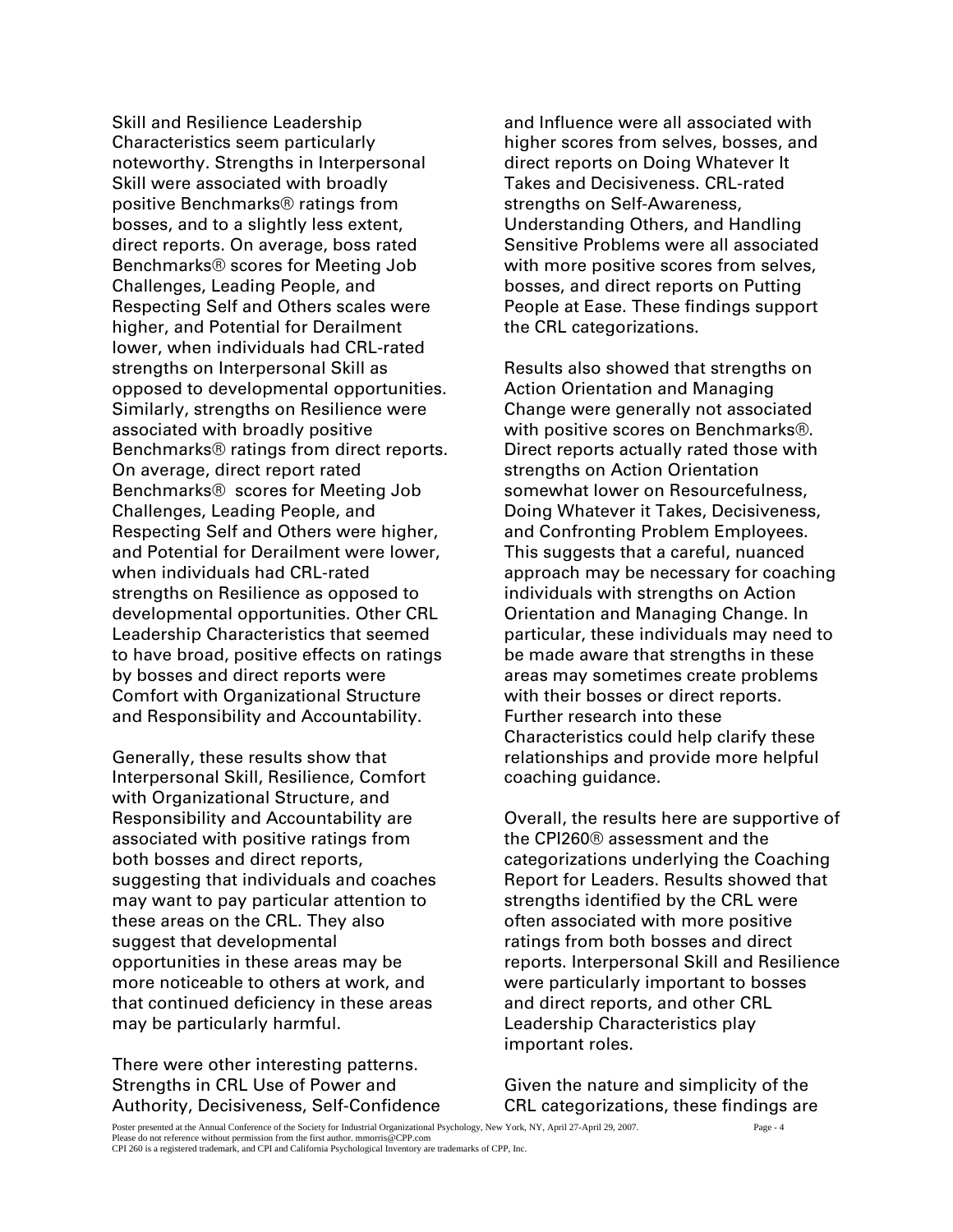Skill and Resilience Leadership Characteristics seem particularly noteworthy. Strengths in Interpersonal Skill were associated with broadly positive Benchmarks® ratings from bosses, and to a slightly less extent, direct reports. On average, boss rated Benchmarks® scores for Meeting Job Challenges, Leading People, and Respecting Self and Others scales were higher, and Potential for Derailment lower, when individuals had CRL-rated strengths on Interpersonal Skill as opposed to developmental opportunities. Similarly, strengths on Resilience were associated with broadly positive Benchmarks® ratings from direct reports. On average, direct report rated Benchmarks® scores for Meeting Job Challenges, Leading People, and Respecting Self and Others were higher, and Potential for Derailment were lower, when individuals had CRL-rated strengths on Resilience as opposed to developmental opportunities. Other CRL Leadership Characteristics that seemed to have broad, positive effects on ratings by bosses and direct reports were Comfort with Organizational Structure and Responsibility and Accountability.

Generally, these results show that Interpersonal Skill, Resilience, Comfort with Organizational Structure, and Responsibility and Accountability are associated with positive ratings from both bosses and direct reports, suggesting that individuals and coaches may want to pay particular attention to these areas on the CRL. They also suggest that developmental opportunities in these areas may be more noticeable to others at work, and that continued deficiency in these areas may be particularly harmful.

There were other interesting patterns. Strengths in CRL Use of Power and Authority, Decisiveness, Self-Confidence

and Influence were all associated with higher scores from selves, bosses, and direct reports on Doing Whatever It Takes and Decisiveness. CRL-rated strengths on Self-Awareness, Understanding Others, and Handling Sensitive Problems were all associated with more positive scores from selves, bosses, and direct reports on Putting People at Ease. These findings support the CRL categorizations.

Results also showed that strengths on Action Orientation and Managing Change were generally not associated with positive scores on Benchmarks®. Direct reports actually rated those with strengths on Action Orientation somewhat lower on Resourcefulness, Doing Whatever it Takes, Decisiveness, and Confronting Problem Employees. This suggests that a careful, nuanced approach may be necessary for coaching individuals with strengths on Action Orientation and Managing Change. In particular, these individuals may need to be made aware that strengths in these areas may sometimes create problems with their bosses or direct reports. Further research into these Characteristics could help clarify these relationships and provide more helpful coaching guidance.

Overall, the results here are supportive of the CPI260® assessment and the categorizations underlying the Coaching Report for Leaders. Results showed that strengths identified by the CRL were often associated with more positive ratings from both bosses and direct reports. Interpersonal Skill and Resilience were particularly important to bosses and direct reports, and other CRL Leadership Characteristics play important roles.

Given the nature and simplicity of the CRL categorizations, these findings are

Poster presented at the Annual Conference of the Society for Industrial Organizational Psychology, New York, NY, April 27-April 29, 2007. Page - 4 Please do not reference without permission from the first author. mmorris@CPP.com CPI 260 is a registered trademark, and CPI and California Psychological Inventory are trademarks of CPP, Inc.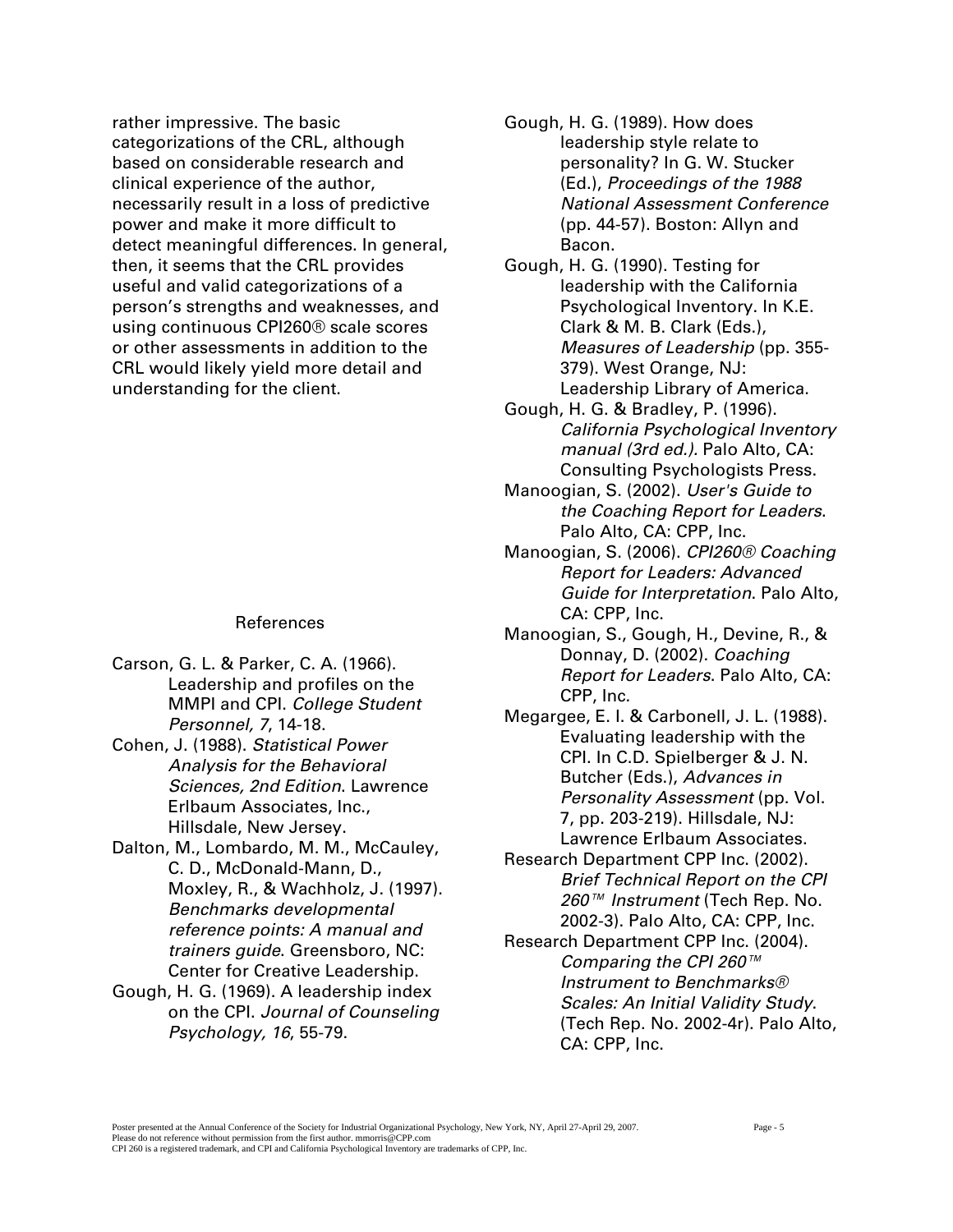rather impressive. The basic categorizations of the CRL, although based on considerable research and clinical experience of the author, necessarily result in a loss of predictive power and make it more difficult to detect meaningful differences. In general, then, it seems that the CRL provides useful and valid categorizations of a person's strengths and weaknesses, and using continuous CPI260® scale scores or other assessments in addition to the CRL would likely yield more detail and understanding for the client.

#### References

- Carson, G. L. & Parker, C. A. (1966). Leadership and profiles on the MMPI and CPI. *College Student Personnel, 7*, 14-18.
- Cohen, J. (1988). *Statistical Power Analysis for the Behavioral Sciences, 2nd Edition*. Lawrence Erlbaum Associates, Inc., Hillsdale, New Jersey.
- Dalton, M., Lombardo, M. M., McCauley, C. D., McDonald-Mann, D., Moxley, R., & Wachholz, J. (1997). *Benchmarks developmental reference points: A manual and trainers guide*. Greensboro, NC: Center for Creative Leadership.
- Gough, H. G. (1969). A leadership index on the CPI. *Journal of Counseling Psychology, 16*, 55-79.
- Gough, H. G. (1989). How does leadership style relate to personality? In G. W. Stucker (Ed.), *Proceedings of the 1988 National Assessment Conference* (pp. 44-57). Boston: Allyn and Bacon.
- Gough, H. G. (1990). Testing for leadership with the California Psychological Inventory. In K.E. Clark & M. B. Clark (Eds.), *Measures of Leadership* (pp. 355- 379). West Orange, NJ: Leadership Library of America.
- Gough, H. G. & Bradley, P. (1996). *California Psychological Inventory manual (3rd ed.).* Palo Alto, CA: Consulting Psychologists Press.
- Manoogian, S. (2002). *User's Guide to the Coaching Report for Leaders*. Palo Alto, CA: CPP, Inc.
- Manoogian, S. (2006). *CPI260® Coaching Report for Leaders: Advanced Guide for Interpretation*. Palo Alto, CA: CPP, Inc.
- Manoogian, S., Gough, H., Devine, R., & Donnay, D. (2002). *Coaching Report for Leaders*. Palo Alto, CA: CPP, Inc.
- Megargee, E. I. & Carbonell, J. L. (1988). Evaluating leadership with the CPI. In C.D. Spielberger & J. N. Butcher (Eds.), *Advances in Personality Assessment* (pp. Vol. 7, pp. 203-219). Hillsdale, NJ: Lawrence Erlbaum Associates.
- Research Department CPP Inc. (2002). *Brief Technical Report on the CPI 260™ Instrument* (Tech Rep. No. 2002-3). Palo Alto, CA: CPP, Inc.
- Research Department CPP Inc. (2004). *Comparing the CPI 260™ Instrument to Benchmarks® Scales: An Initial Validity Study*. (Tech Rep. No. 2002-4r). Palo Alto, CA: CPP, Inc.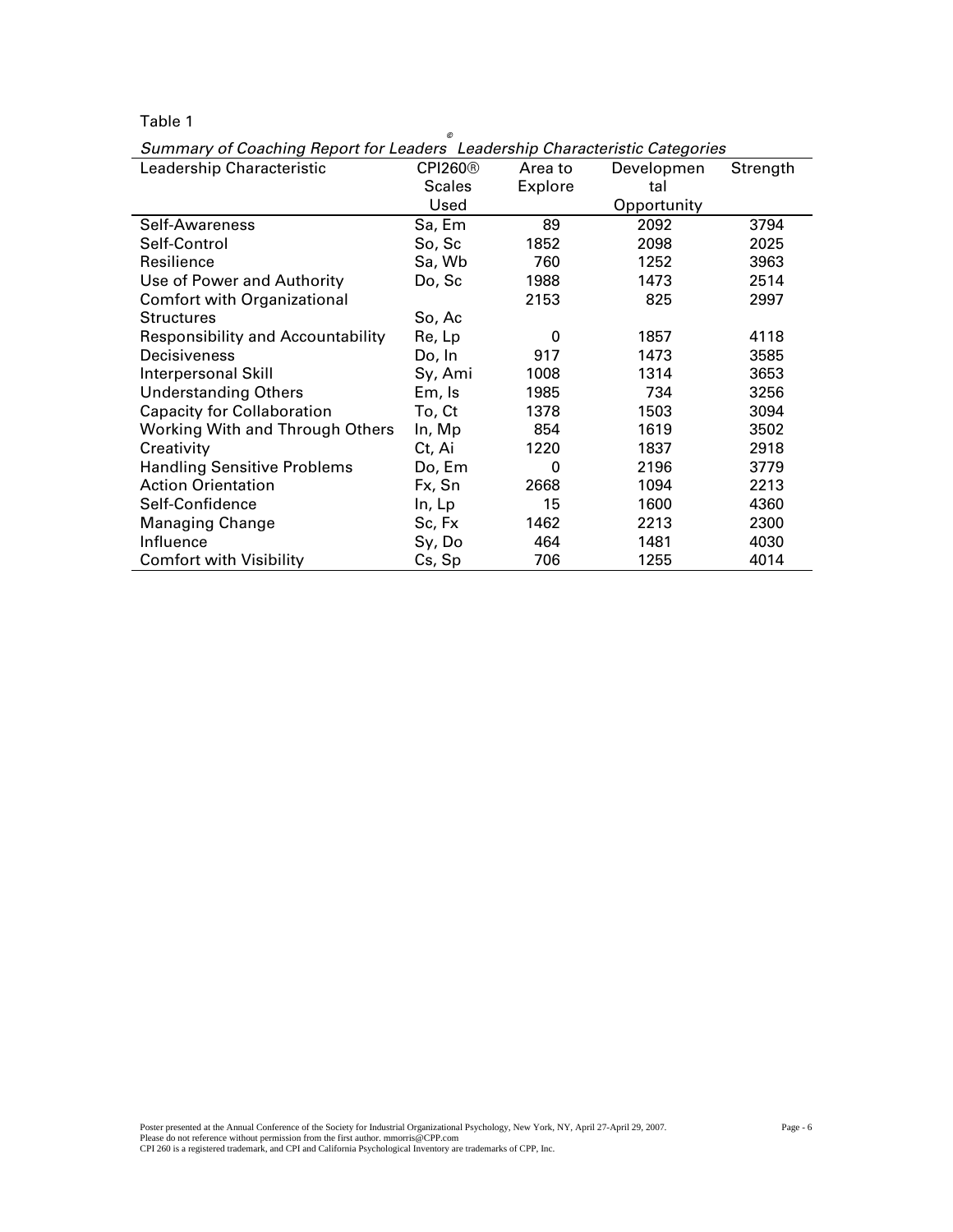### Table 1

| Leadership Characteristic                | CPI260 <sup>®</sup> | Area to  | Developmen  | Strength |
|------------------------------------------|---------------------|----------|-------------|----------|
|                                          | <b>Scales</b>       | Explore  | tal         |          |
|                                          | Used                |          | Opportunity |          |
| Self-Awareness                           | Sa, Em              | 89       | 2092        | 3794     |
| Self-Control                             | So, Sc              | 1852     | 2098        | 2025     |
| Resilience                               | Sa, Wb              | 760      | 1252        | 3963     |
| Use of Power and Authority               | Do, Sc              | 1988     | 1473        | 2514     |
| <b>Comfort with Organizational</b>       |                     | 2153     | 825         | 2997     |
| <b>Structures</b>                        | So, Ac              |          |             |          |
| <b>Responsibility and Accountability</b> | Re, Lp              | $\Omega$ | 1857        | 4118     |
| Decisiveness                             | Do, In              | 917      | 1473        | 3585     |
| Interpersonal Skill                      | Sy, Ami             | 1008     | 1314        | 3653     |
| <b>Understanding Others</b>              | Em, Is              | 1985     | 734         | 3256     |
| <b>Capacity for Collaboration</b>        | To, Ct              | 1378     | 1503        | 3094     |
| <b>Working With and Through Others</b>   | In, Mp              | 854      | 1619        | 3502     |
| Creativity                               | Ct, Ai              | 1220     | 1837        | 2918     |
| <b>Handling Sensitive Problems</b>       | Do, Em              | 0        | 2196        | 3779     |
| <b>Action Orientation</b>                | Fx, Sn              | 2668     | 1094        | 2213     |
| Self-Confidence                          | In, Lp              | 15       | 1600        | 4360     |
| <b>Managing Change</b>                   | Sc, Fx              | 1462     | 2213        | 2300     |
| Influence                                | Sy, Do              | 464      | 1481        | 4030     |
| <b>Comfort with Visibility</b>           | Cs, Sp              | 706      | 1255        | 4014     |

*Summary of Coaching Report for Leaders© Leadership Characteristic Categories*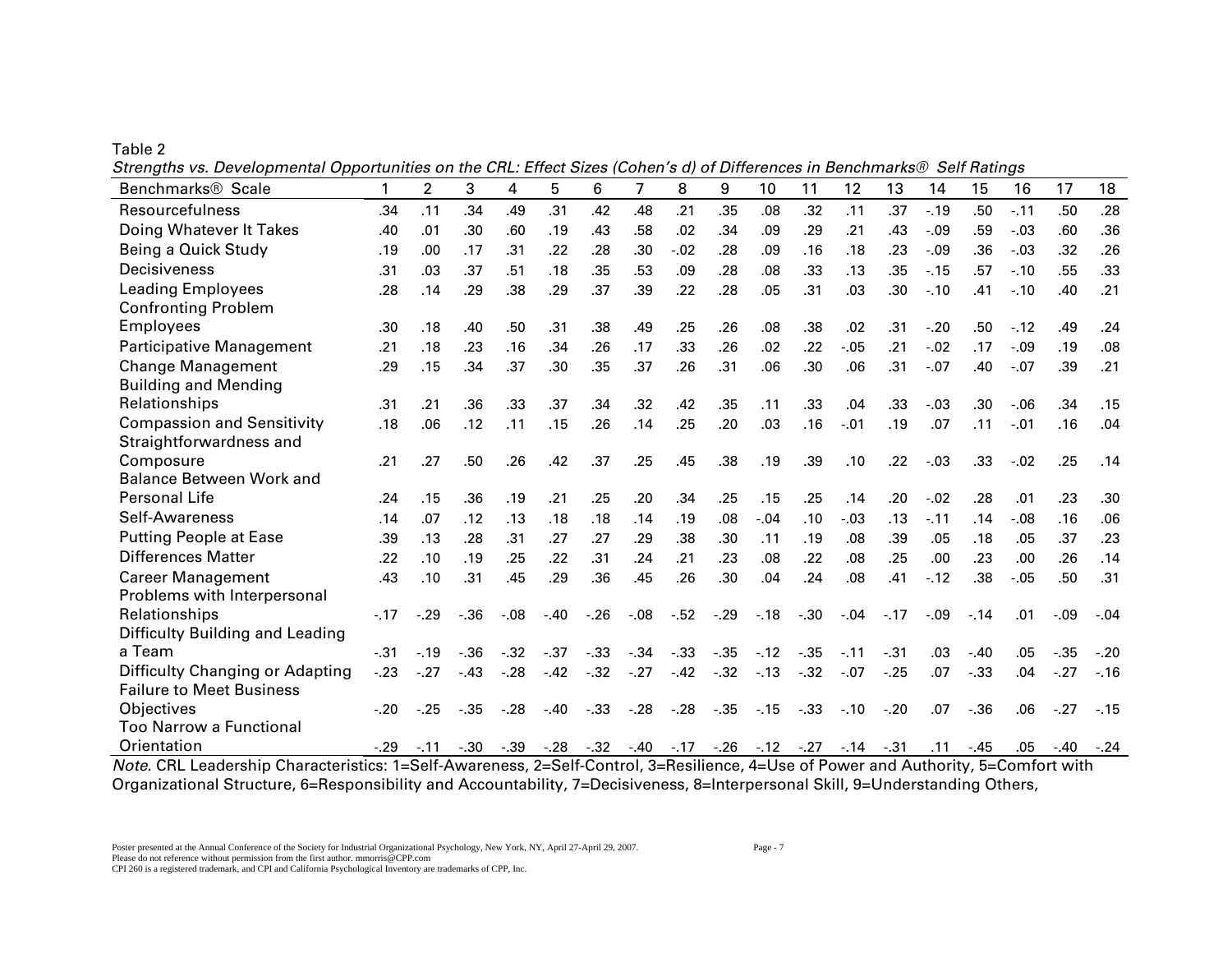Table 2

|  | Strengths vs. Developmental Opportunities on the CRL: Effect Sizes (Cohen's d) of Differences in Benchmarks® Self Ratings |  |  |
|--|---------------------------------------------------------------------------------------------------------------------------|--|--|
|  |                                                                                                                           |  |  |

| Benchmarks <sup>®</sup> Scale                        | 1      | $\overline{2}$                 | 3       | 4       | 5                       | 6     | $\overline{7}$ | 8                                           | 9       | 10                     | 11                      | 12      | 13     | 14     | 15     | 16     | 17      | 18     |
|------------------------------------------------------|--------|--------------------------------|---------|---------|-------------------------|-------|----------------|---------------------------------------------|---------|------------------------|-------------------------|---------|--------|--------|--------|--------|---------|--------|
| Resourcefulness                                      | .34    | .11                            | .34     | .49     | .31                     | .42   | .48            | .21                                         | .35     | .08                    | .32                     | .11     | .37    | $-.19$ | .50    | $-.11$ | .50     | .28    |
| Doing Whatever It Takes                              | .40    | .01                            | .30     | .60     | .19                     | .43   | .58            | .02                                         | .34     | .09                    | .29                     | .21     | .43    | $-.09$ | .59    | $-03$  | .60     | .36    |
| Being a Quick Study                                  | .19    | .00                            | .17     | .31     | .22                     | .28   | .30            | $-.02$                                      | .28     | .09                    | .16                     | .18     | .23    | $-.09$ | .36    | $-03$  | .32     | .26    |
| Decisiveness                                         | .31    | .03                            | .37     | .51     | .18                     | .35   | .53            | .09                                         | .28     | .08                    | .33                     | .13     | .35    | $-.15$ | .57    | $-.10$ | .55     | .33    |
| <b>Leading Employees</b>                             | .28    | .14                            | .29     | .38     | .29                     | .37   | .39            | .22                                         | .28     | .05                    | .31                     | .03     | .30    | $-.10$ | .41    | $-.10$ | .40     | .21    |
| <b>Confronting Problem</b>                           |        |                                |         |         |                         |       |                |                                             |         |                        |                         |         |        |        |        |        |         |        |
| <b>Employees</b>                                     | .30    | .18                            | .40     | .50     | .31                     | .38   | .49            | .25                                         | .26     | .08                    | .38                     | .02     | .31    | $-.20$ | .50    | $-12$  | .49     | .24    |
| <b>Participative Management</b>                      | .21    | .18                            | .23     | .16     | .34                     | .26   | .17            | .33                                         | .26     | .02                    | .22                     | $-0.05$ | .21    | $-.02$ | .17    | $-.09$ | .19     | .08    |
| <b>Change Management</b>                             | .29    | .15                            | .34     | .37     | .30                     | .35   | .37            | .26                                         | .31     | .06                    | .30                     | .06     | .31    | $-.07$ | .40    | $-.07$ | .39     | .21    |
| <b>Building and Mending</b>                          |        |                                |         |         |                         |       |                |                                             |         |                        |                         |         |        |        |        |        |         |        |
| Relationships                                        | .31    | .21                            | .36     | .33     | .37                     | .34   | .32            | .42                                         | .35     | .11                    | .33                     | .04     | .33    | $-.03$ | .30    | $-06$  | .34     | .15    |
| <b>Compassion and Sensitivity</b>                    | .18    | .06                            | .12     | .11     | .15                     | .26   | .14            | .25                                         | .20     | .03                    | .16                     | $-.01$  | .19    | .07    | .11    | $-.01$ | .16     | .04    |
| Straightforwardness and                              |        |                                |         |         |                         |       |                |                                             |         |                        |                         |         |        |        |        |        |         |        |
| Composure                                            | .21    | .27                            | .50     | .26     | .42                     | .37   | .25            | .45                                         | .38     | .19                    | .39                     | .10     | .22    | $-.03$ | .33    | $-02$  | .25     | .14    |
| <b>Balance Between Work and</b>                      |        |                                |         |         |                         |       |                |                                             |         |                        |                         |         |        |        |        |        |         |        |
| Personal Life                                        | .24    | .15                            | .36     | .19     | .21                     | .25   | .20            | .34                                         | .25     | .15                    | .25                     | .14     | .20    | $-.02$ | .28    | .01    | .23     | .30    |
| Self-Awareness                                       | .14    | .07                            | .12     | .13     | .18                     | .18   | .14            | .19                                         | .08     | $-.04$                 | .10                     | $-.03$  | .13    | $-.11$ | .14    | $-.08$ | .16     | .06    |
| <b>Putting People at Ease</b>                        | .39    | .13                            | .28     | .31     | .27                     | .27   | .29            | .38                                         | .30     | .11                    | .19                     | .08     | .39    | .05    | .18    | .05    | .37     | .23    |
| <b>Differences Matter</b>                            | .22    | .10                            | .19     | .25     | .22                     | .31   | .24            | .21                                         | .23     | .08                    | .22                     | .08     | .25    | .00    | .23    | .00    | .26     | .14    |
| <b>Career Management</b>                             | .43    | .10                            | .31     | .45     | .29                     | .36   | .45            | .26                                         | .30     | .04                    | .24                     | .08     | .41    | $-12$  | .38    | $-.05$ | .50     | .31    |
| Problems with Interpersonal                          |        |                                |         |         |                         |       |                |                                             |         |                        |                         |         |        |        |        |        |         |        |
| Relationships                                        | $-.17$ | $-.29$                         | $-36$   | $-0.08$ | $-.40$                  | $-26$ | $-0.08$        | $-52$                                       | $-.29$  | $-.18$                 | $-30$                   | $-.04$  | $-.17$ | $-.09$ | $-.14$ | .01    | $-0.9$  | $-.04$ |
| Difficulty Building and Leading                      |        |                                |         |         |                         |       |                |                                             |         |                        |                         |         |        |        |        |        |         |        |
| a Team                                               | $-.31$ | $-19$                          | $-0.36$ | $-32$   | $-.37$                  | $-33$ | $-34$          | $-33$                                       | $-.35$  | $-.12$                 | $-35$                   | $-11$   | $-.31$ | .03    | $-.40$ | .05    | $-0.35$ | $-.20$ |
| Difficulty Changing or Adapting                      | $-.23$ | $-.27$                         | $-43$   | $-.28$  | $-.42$                  | $-32$ | $-.27$         | $-42$                                       | $-32$   | $-13$                  | $-32$                   | $-.07$  | $-25$  | .07    | $-33$  | .04    | $-.27$  | $-.16$ |
| <b>Failure to Meet Business</b>                      |        |                                |         |         |                         |       |                |                                             |         |                        |                         |         |        |        |        |        |         |        |
| Objectives                                           | $-.20$ | $-25$                          | $-.35$  | $-.28$  | $-.40$                  | $-33$ | $-28$          | $-28$                                       | $-0.35$ | $-.15$                 | $-.33$                  | $-.10$  | $-20$  | .07    | $-.36$ | .06    | $-.27$  | $-.15$ |
| Too Narrow a Functional                              |        |                                |         |         |                         |       |                |                                             |         |                        |                         |         |        |        |        |        |         |        |
| Orientation<br>$\sim$ $\sim$ $\sim$ $\sim$<br>$\sim$ | $-.29$ | $-.11$<br>$\sim$ $\sim$ $\sim$ | $-0.30$ | $-0.39$ | $-.28$<br>$\sim$ $\sim$ | $-32$ | $-40$          | $-17$<br>$\sim$ $\sim$ $\sim$ $\sim$ $\sim$ | $-.26$  | $-12$<br>$\sim$ $\sim$ | $-.27$<br>$\sim$ $\sim$ | $-.14$  | $-31$  | .11    | $-.45$ | .05    | $-.40$  | $-24$  |

*Note*. CRL Leadership Characteristics: 1=Self-Awareness, 2=Self-Control, 3=Resilience, 4=Use of Power and Authority, 5=Comfort with Organizational Structure, 6=Responsibility and Accountability, 7=Decisiveness, 8=Interpersonal Skill, 9=Understanding Others,

Please do not reference without permission from the first author. mmorris@CPP.com

CPI 260 is a registered trademark, and CPI and California Psychological Inventory are trademarks of CPP, Inc.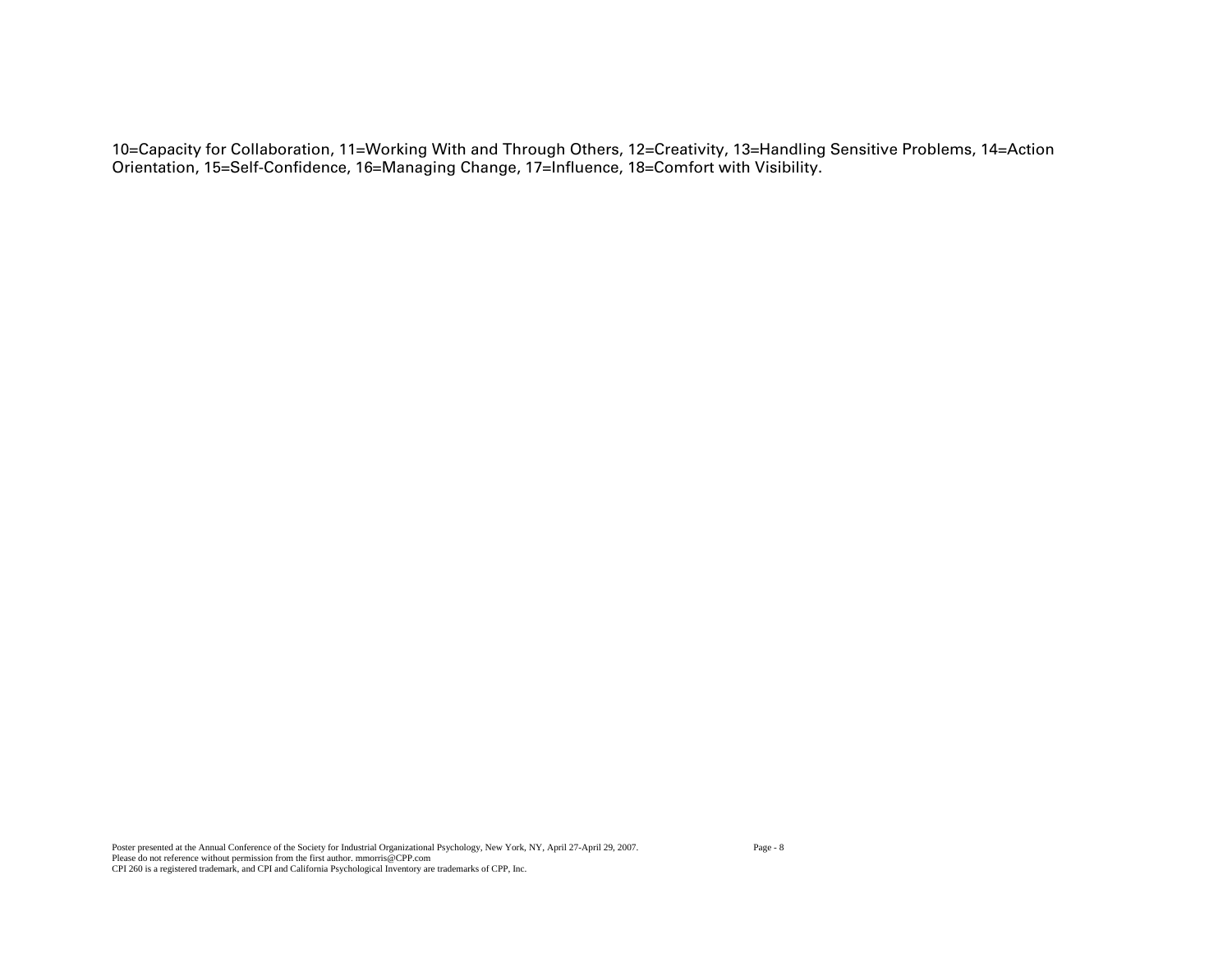10=Capacity for Collaboration, 11=Working With and Through Others, 12=Creativity, 13=Handling Sensitive Problems, 14=Action Orientation, 15=Self-Confidence, 16=Managing Change, 17=Influence, 18=Comfort with Visibility.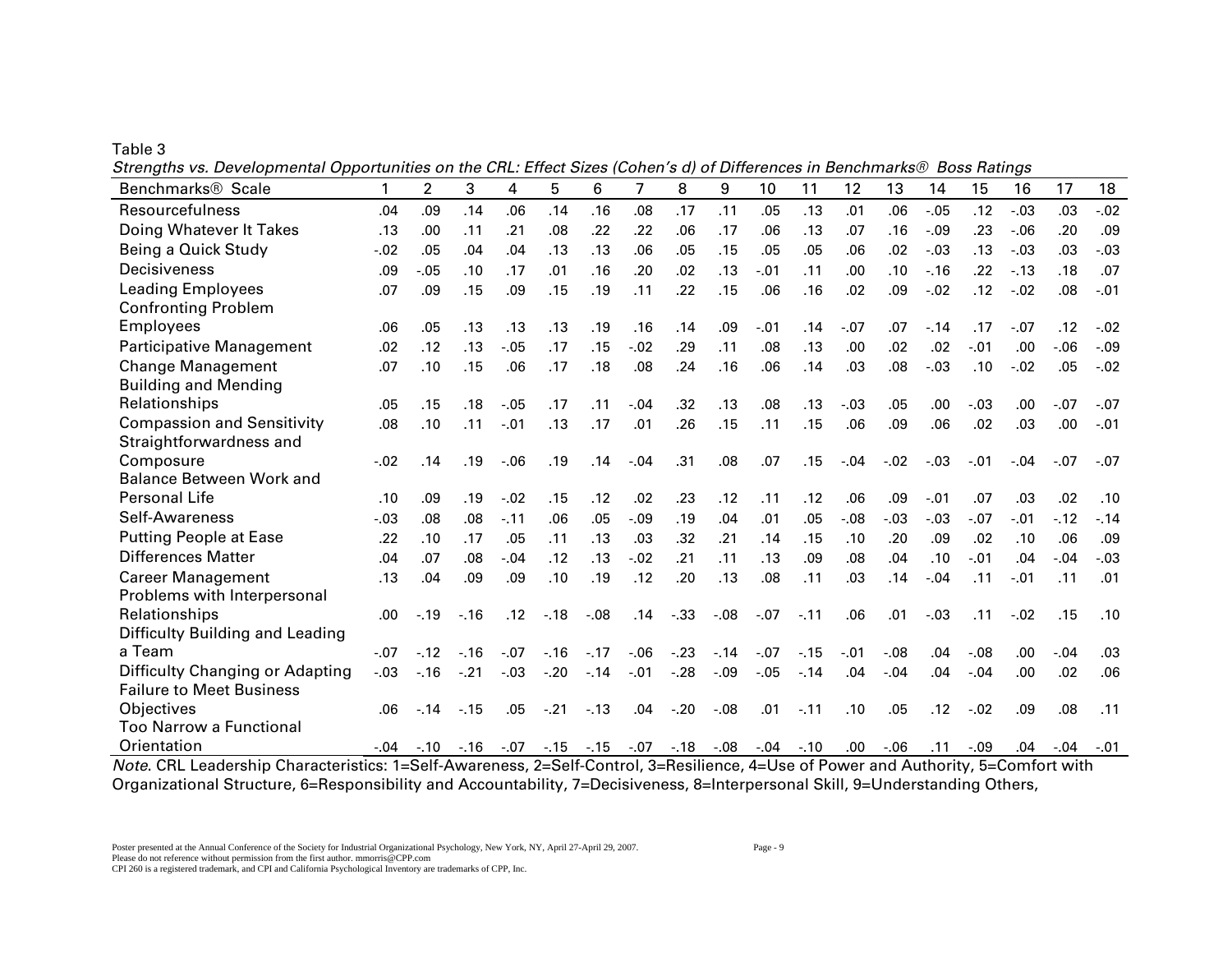Table 3

|  |  | Strengths vs. Developmental Opportunities on the CRL: Effect Sizes (Cohen's d) of Differences in Benchmarks® Boss Ratings |  |  |
|--|--|---------------------------------------------------------------------------------------------------------------------------|--|--|
|  |  |                                                                                                                           |  |  |

| Benchmarks <sup>®</sup> Scale                                                                            | 1      | $\overline{2}$ | 3      | 4       | 5      | 6                | $\overline{7}$          | 8                    | 9       | 10                                                     | 11                     | 12     | 13                    | 14                                    | 15                | 16     | 17     | 18      |
|----------------------------------------------------------------------------------------------------------|--------|----------------|--------|---------|--------|------------------|-------------------------|----------------------|---------|--------------------------------------------------------|------------------------|--------|-----------------------|---------------------------------------|-------------------|--------|--------|---------|
| Resourcefulness                                                                                          | .04    | .09            | .14    | .06     | .14    | .16              | .08                     | .17                  | .11     | .05                                                    | .13                    | .01    | .06                   | $-.05$                                | .12               | $-.03$ | .03    | $-.02$  |
| Doing Whatever It Takes                                                                                  | .13    | .00            | .11    | .21     | .08    | .22              | .22                     | .06                  | .17     | .06                                                    | .13                    | .07    | .16                   | $-.09$                                | .23               | $-06$  | .20    | .09     |
| Being a Quick Study                                                                                      | $-.02$ | .05            | .04    | .04     | .13    | .13              | .06                     | .05                  | .15     | .05                                                    | .05                    | .06    | .02                   | $-.03$                                | .13               | $-.03$ | .03    | $-.03$  |
| Decisiveness                                                                                             | .09    | $-.05$         | .10    | .17     | .01    | .16              | .20                     | .02                  | .13     | $-.01$                                                 | .11                    | .00    | .10                   | $-16$                                 | .22               | $-13$  | .18    | .07     |
| <b>Leading Employees</b>                                                                                 | .07    | .09            | .15    | .09     | .15    | .19              | .11                     | .22                  | .15     | .06                                                    | .16                    | .02    | .09                   | $-.02$                                | .12               | $-.02$ | .08    | $-.01$  |
| <b>Confronting Problem</b>                                                                               |        |                |        |         |        |                  |                         |                      |         |                                                        |                        |        |                       |                                       |                   |        |        |         |
| <b>Employees</b>                                                                                         | .06    | .05            | .13    | .13     | .13    | .19              | .16                     | .14                  | .09     | $-.01$                                                 | .14                    | $-.07$ | .07                   | $-14$                                 | .17               | $-.07$ | .12    | $-.02$  |
| Participative Management                                                                                 | .02    | .12            | .13    | $-0.05$ | .17    | .15              | $-.02$                  | .29                  | .11     | .08                                                    | .13                    | .00    | .02                   | .02                                   | $-.01$            | .00    | $-06$  | $-0.09$ |
| <b>Change Management</b>                                                                                 | .07    | .10            | .15    | .06     | .17    | .18              | .08                     | .24                  | .16     | .06                                                    | .14                    | .03    | .08                   | $-.03$                                | .10               | $-.02$ | .05    | $-.02$  |
| <b>Building and Mending</b>                                                                              |        |                |        |         |        |                  |                         |                      |         |                                                        |                        |        |                       |                                       |                   |        |        |         |
| Relationships                                                                                            | .05    | .15            | .18    | $-.05$  | .17    | .11              | $-.04$                  | .32                  | .13     | .08                                                    | .13                    | $-.03$ | .05                   | .00                                   | $-0.03$           | .00    | $-.07$ | $-.07$  |
| <b>Compassion and Sensitivity</b>                                                                        | .08    | .10            | .11    | $-.01$  | .13    | .17              | .01                     | .26                  | .15     | .11                                                    | .15                    | .06    | .09                   | .06                                   | .02               | .03    | .00    | $-.01$  |
| Straightforwardness and                                                                                  |        |                |        |         |        |                  |                         |                      |         |                                                        |                        |        |                       |                                       |                   |        |        |         |
| Composure                                                                                                | $-.02$ | .14            | .19    | $-06$   | .19    | .14              | $-.04$                  | .31                  | .08     | .07                                                    | .15                    | $-.04$ | $-.02$                | $-.03$                                | $-.01$            | $-.04$ | $-.07$ | $-.07$  |
| <b>Balance Between Work and</b>                                                                          |        |                |        |         |        |                  |                         |                      |         |                                                        |                        |        |                       |                                       |                   |        |        |         |
| Personal Life                                                                                            | .10    | .09            | .19    | $-.02$  | .15    | .12              | .02                     | .23                  | .12     | .11                                                    | .12                    | .06    | .09                   | $-.01$                                | .07               | .03    | .02    | .10     |
| Self-Awareness                                                                                           | $-.03$ | .08            | .08    | $-.11$  | .06    | .05              | $-.09$                  | .19                  | .04     | .01                                                    | .05                    | $-.08$ | $-0.3$                | $-.03$                                | $-.07$            | $-.01$ | $-12$  | $-14$   |
| <b>Putting People at Ease</b>                                                                            | .22    | .10            | .17    | .05     | .11    | .13              | .03                     | .32                  | .21     | .14                                                    | .15                    | .10    | .20                   | .09                                   | .02               | .10    | .06    | .09     |
| <b>Differences Matter</b>                                                                                | .04    | .07            | .08    | $-.04$  | .12    | .13              | $-.02$                  | .21                  | .11     | .13                                                    | .09                    | .08    | .04                   | .10                                   | $-.01$            | .04    | $-.04$ | $-03$   |
| <b>Career Management</b>                                                                                 | .13    | .04            | .09    | .09     | .10    | .19              | .12                     | .20                  | .13     | .08                                                    | .11                    | .03    | .14                   | $-.04$                                | .11               | $-.01$ | .11    | .01     |
| Problems with Interpersonal                                                                              |        |                |        |         |        |                  |                         |                      |         |                                                        |                        |        |                       |                                       |                   |        |        |         |
| Relationships                                                                                            | .00.   | $-19$          | $-16$  | .12     | $-.18$ | $-.08$           | .14                     | $-.33$               | $-0.08$ | $-.07$                                                 | $-.11$                 | .06    | .01                   | $-.03$                                | .11               | $-.02$ | .15    | .10     |
| Difficulty Building and Leading                                                                          |        |                |        |         |        |                  |                         |                      |         |                                                        |                        |        |                       |                                       |                   |        |        |         |
| a Team                                                                                                   | $-.07$ | $-12$          | $-16$  | $-.07$  | $-.16$ | $-.17$           | $-06$                   | $-.23$               | $-.14$  | $-.07$                                                 | $-15$                  | $-.01$ | $-.08$                | .04                                   | $-.08$            | .00    | $-.04$ | .03     |
| Difficulty Changing or Adapting                                                                          | $-.03$ | $-16$          | $-.21$ | $-.03$  | $-20$  | $-14$            | $-.01$                  | $-28$                | $-.09$  | $-.05$                                                 | $-.14$                 | .04    | $-.04$                | .04                                   | $-.04$            | .00    | .02    | .06     |
| <b>Failure to Meet Business</b>                                                                          |        |                |        |         |        |                  |                         |                      |         |                                                        |                        |        |                       |                                       |                   |        |        |         |
| Objectives                                                                                               | .06    | $-.14$         | $-.15$ | .05     | $-.21$ | $-.13$           | .04                     | $-.20$               | $-.08$  | .01                                                    | $-.11$                 | .10    | .05                   | .12                                   | $-.02$            | .09    | .08    | .11     |
| <b>Too Narrow a Functional</b>                                                                           |        |                |        |         |        |                  |                         |                      |         |                                                        |                        |        |                       |                                       |                   |        |        |         |
| Orientation<br>$\mathbf{A}$<br>$\mathbf{r}$ $\mathbf{r}$ $\mathbf{r}$<br><b>Contract Contract Street</b> | $-.04$ | $-.10$         | $-.16$ | $-.07$  | $-15$  | $-.15$<br>$\sim$ | $-.07$<br>$\sim$ $\sim$ | $-18$<br><b>P.A.</b> | $-0.08$ | $-.04$<br>$\overline{a}$ $\overline{a}$ $\overline{a}$ | $-.10$<br>$\epsilon$ m | .00.   | $-06$<br>$\mathbf{r}$ | .11<br>$\sim$ $\sim$ $\sim$<br>$\sim$ | $-.09$<br>$ \sim$ | .04    | $-.04$ | $-.01$  |

*Note*. CRL Leadership Characteristics: 1=Self-Awareness, 2=Self-Control, 3=Resilience, 4=Use of Power and Authority, 5=Comfort with Organizational Structure, 6=Responsibility and Accountability, 7=Decisiveness, 8=Interpersonal Skill, 9=Understanding Others,

Please do not reference without permission from the first author. mmorris@CPP.com

CPI 260 is a registered trademark, and CPI and California Psychological Inventory are trademarks of CPP, Inc.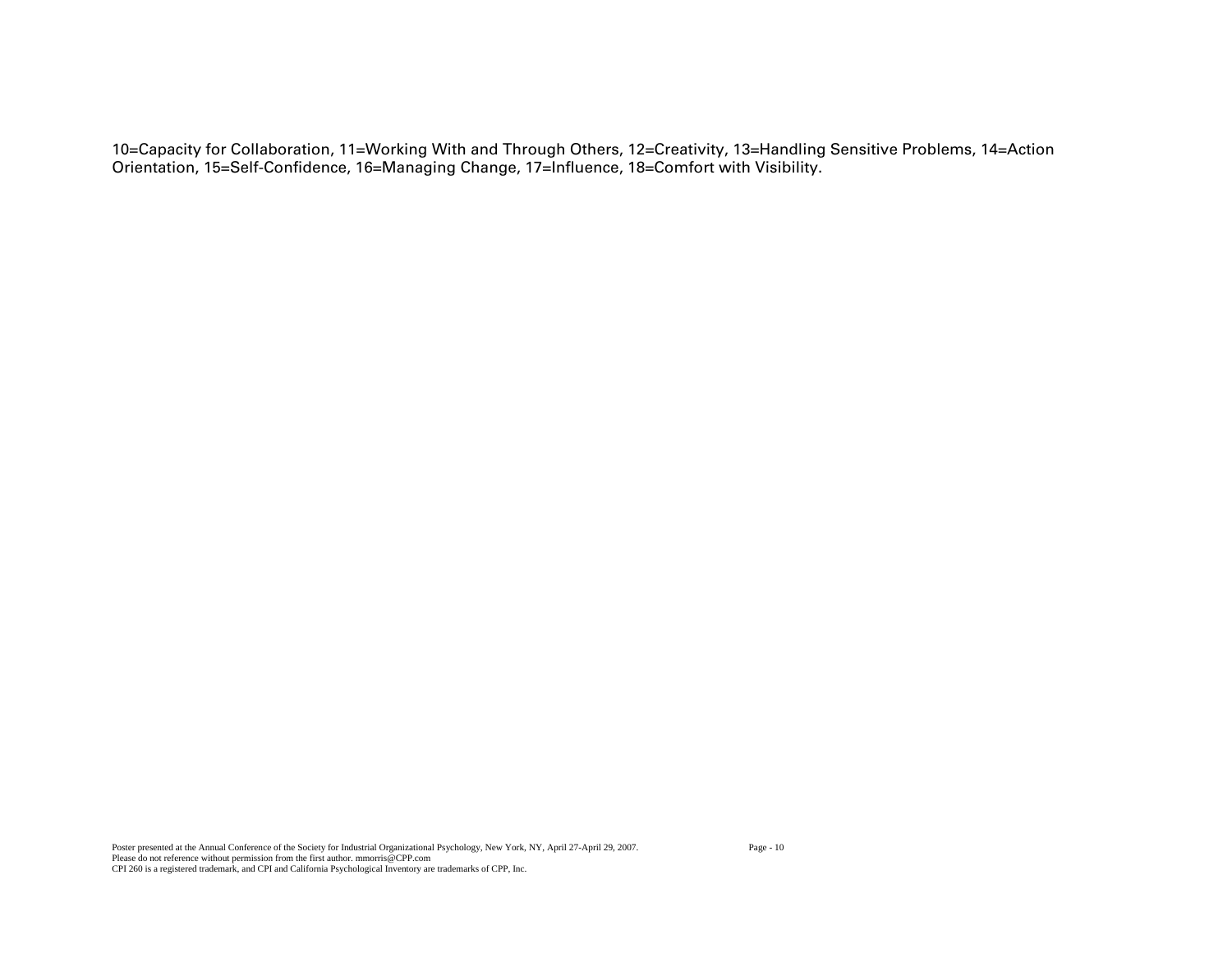10=Capacity for Collaboration, 11=Working With and Through Others, 12=Creativity, 13=Handling Sensitive Problems, 14=Action Orientation, 15=Self-Confidence, 16=Managing Change, 17=Influence, 18=Comfort with Visibility.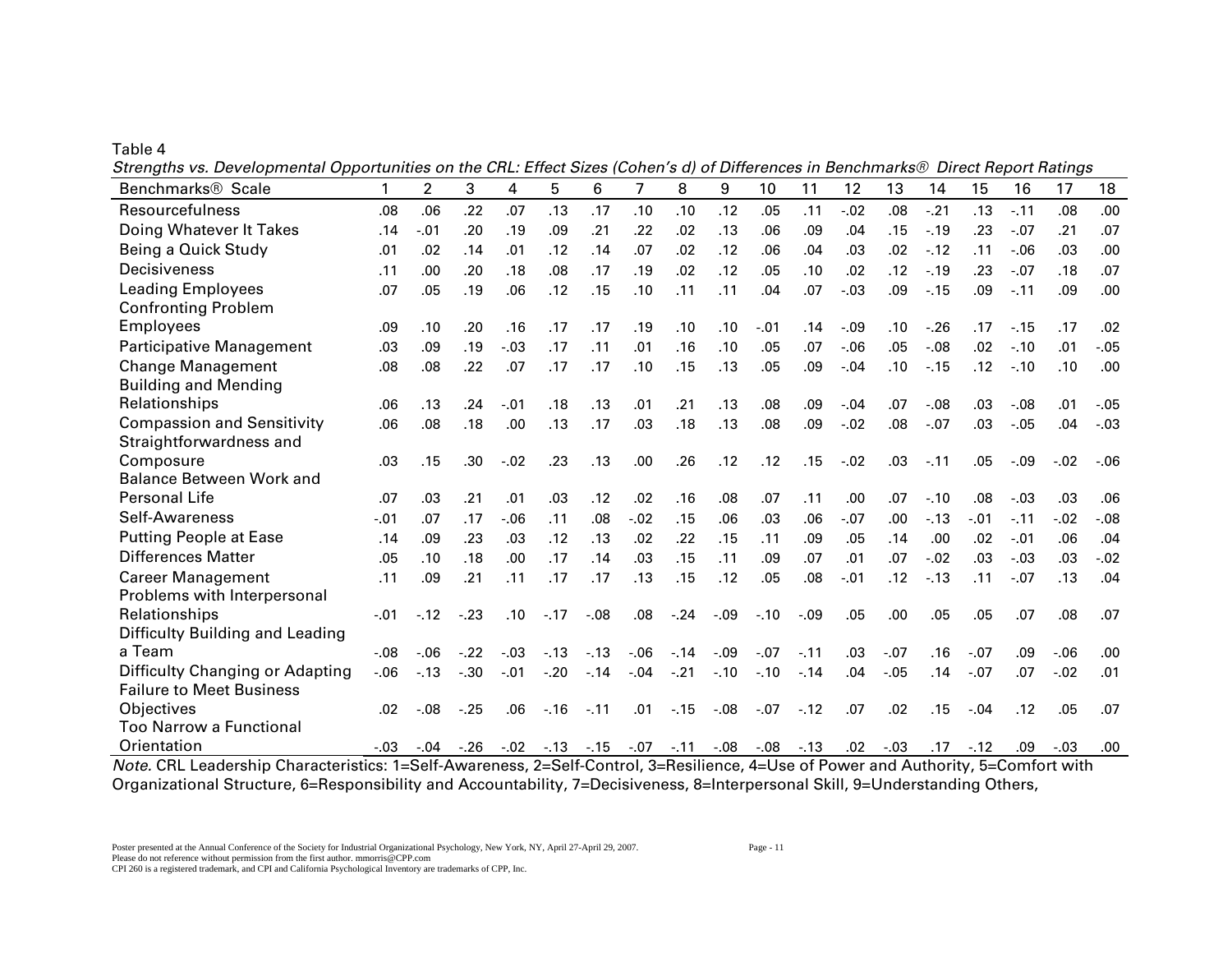Table 4

|  | Strengths vs. Developmental Opportunities on the CRL: Effect Sizes (Cohen's d) of Differences in Benchmarks® Direct Report Ratings |  |
|--|------------------------------------------------------------------------------------------------------------------------------------|--|
|  |                                                                                                                                    |  |

| Benchmarks <sup>®</sup> Scale                                                                                                                                                                                                                                                                                                                                                 | 1      | $\overline{2}$                        | 3      | 4       | 5      | 6      | $\overline{7}$ | 8      | 9       | 10                                         | 11      | 12      | 13      | 14      | 15     | 16                    | 17      | 18      |
|-------------------------------------------------------------------------------------------------------------------------------------------------------------------------------------------------------------------------------------------------------------------------------------------------------------------------------------------------------------------------------|--------|---------------------------------------|--------|---------|--------|--------|----------------|--------|---------|--------------------------------------------|---------|---------|---------|---------|--------|-----------------------|---------|---------|
| Resourcefulness                                                                                                                                                                                                                                                                                                                                                               | .08    | .06                                   | .22    | .07     | .13    | .17    | .10            | .10    | .12     | .05                                        | .11     | $-.02$  | .08     | $-.21$  | .13    | $-.11$                | .08     | .00.    |
| Doing Whatever It Takes                                                                                                                                                                                                                                                                                                                                                       | .14    | $-.01$                                | .20    | .19     | .09    | .21    | .22            | .02    | .13     | .06                                        | .09     | .04     | .15     | $-.19$  | .23    | $-.07$                | .21     | .07     |
| Being a Quick Study                                                                                                                                                                                                                                                                                                                                                           | .01    | .02                                   | .14    | .01     | .12    | .14    | .07            | .02    | .12     | .06                                        | .04     | .03     | .02     | $-.12$  | .11    | $-06$                 | .03     | .00     |
| Decisiveness                                                                                                                                                                                                                                                                                                                                                                  | .11    | .00                                   | .20    | .18     | .08    | .17    | .19            | .02    | .12     | .05                                        | .10     | .02     | .12     | $-.19$  | .23    | $-.07$                | .18     | .07     |
| <b>Leading Employees</b>                                                                                                                                                                                                                                                                                                                                                      | .07    | .05                                   | .19    | .06     | .12    | .15    | .10            | .11    | .11     | .04                                        | .07     | $-.03$  | .09     | $-15$   | .09    | $-.11$                | .09     | .00     |
| <b>Confronting Problem</b>                                                                                                                                                                                                                                                                                                                                                    |        |                                       |        |         |        |        |                |        |         |                                            |         |         |         |         |        |                       |         |         |
| <b>Employees</b>                                                                                                                                                                                                                                                                                                                                                              | .09    | .10                                   | .20    | .16     | .17    | .17    | .19            | .10    | .10     | $-.01$                                     | .14     | $-0.09$ | .10     | $-.26$  | .17    | $-.15$                | .17     | .02     |
| <b>Participative Management</b>                                                                                                                                                                                                                                                                                                                                               | .03    | .09                                   | .19    | $-.03$  | .17    | .11    | .01            | .16    | .10     | .05                                        | .07     | $-0.06$ | .05     | $-.08$  | .02    | $-.10$                | .01     | $-.05$  |
| <b>Change Management</b>                                                                                                                                                                                                                                                                                                                                                      | .08    | .08                                   | .22    | .07     | .17    | .17    | .10            | .15    | .13     | .05                                        | .09     | $-0.04$ | .10     | $-.15$  | .12    | $-.10$                | .10     | .00     |
| <b>Building and Mending</b>                                                                                                                                                                                                                                                                                                                                                   |        |                                       |        |         |        |        |                |        |         |                                            |         |         |         |         |        |                       |         |         |
| Relationships                                                                                                                                                                                                                                                                                                                                                                 | .06    | .13                                   | .24    | $-.01$  | .18    | .13    | .01            | .21    | .13     | .08                                        | .09     | $-.04$  | .07     | $-0.08$ | .03    | $-0.08$               | .01     | $-.05$  |
| <b>Compassion and Sensitivity</b>                                                                                                                                                                                                                                                                                                                                             | .06    | .08                                   | .18    | .00     | .13    | .17    | .03            | .18    | .13     | .08                                        | .09     | $-.02$  | .08     | $-.07$  | .03    | $-.05$                | .04     | $-.03$  |
| Straightforwardness and                                                                                                                                                                                                                                                                                                                                                       |        |                                       |        |         |        |        |                |        |         |                                            |         |         |         |         |        |                       |         |         |
| Composure                                                                                                                                                                                                                                                                                                                                                                     | .03    | .15                                   | .30    | $-.02$  | .23    | .13    | .00            | .26    | .12     | .12                                        | .15     | $-.02$  | .03     | $-.11$  | .05    | $-.09$                | $-.02$  | $-.06$  |
| <b>Balance Between Work and</b>                                                                                                                                                                                                                                                                                                                                               |        |                                       |        |         |        |        |                |        |         |                                            |         |         |         |         |        |                       |         |         |
| Personal Life                                                                                                                                                                                                                                                                                                                                                                 | .07    | .03                                   | .21    | .01     | .03    | .12    | .02            | .16    | .08     | .07                                        | .11     | .00     | .07     | $-.10$  | .08    | $-.03$                | .03     | .06     |
| Self-Awareness                                                                                                                                                                                                                                                                                                                                                                | $-.01$ | .07                                   | .17    | $-06$   | .11    | .08    | $-.02$         | .15    | .06     | .03                                        | .06     | $-.07$  | .00     | $-13$   | $-.01$ | $-.11$                | $-.02$  | $-0.08$ |
| <b>Putting People at Ease</b>                                                                                                                                                                                                                                                                                                                                                 | .14    | .09                                   | .23    | .03     | .12    | .13    | .02            | .22    | .15     | .11                                        | .09     | .05     | .14     | .00     | .02    | $-.01$                | .06     | .04     |
| <b>Differences Matter</b>                                                                                                                                                                                                                                                                                                                                                     | .05    | .10                                   | .18    | .00.    | .17    | .14    | .03            | .15    | .11     | .09                                        | .07     | .01     | .07     | $-.02$  | .03    | $-.03$                | .03     | $-.02$  |
| <b>Career Management</b>                                                                                                                                                                                                                                                                                                                                                      | .11    | .09                                   | .21    | .11     | .17    | .17    | .13            | .15    | .12     | .05                                        | .08     | $-.01$  | .12     | $-.13$  | .11    | $-.07$                | .13     | .04     |
| Problems with Interpersonal                                                                                                                                                                                                                                                                                                                                                   |        |                                       |        |         |        |        |                |        |         |                                            |         |         |         |         |        |                       |         |         |
| Relationships                                                                                                                                                                                                                                                                                                                                                                 | $-.01$ | $-.12$                                | $-.23$ | .10     | $-.17$ | $-.08$ | .08            | $-.24$ | $-.09$  | $-.10$                                     | $-0.09$ | .05     | .00     | .05     | .05    | .07                   | .08     | .07     |
| Difficulty Building and Leading                                                                                                                                                                                                                                                                                                                                               |        |                                       |        |         |        |        |                |        |         |                                            |         |         |         |         |        |                       |         |         |
| a Team                                                                                                                                                                                                                                                                                                                                                                        | $-.08$ | $-06$                                 | $-.22$ | $-.03$  | $-.13$ | $-.13$ | $-.06$         | $-.14$ | $-.09$  | $-.07$                                     | $-.11$  | .03     | $-.07$  | .16     | $-.07$ | .09                   | $-0.06$ | .00     |
| Difficulty Changing or Adapting                                                                                                                                                                                                                                                                                                                                               | $-.06$ | $-13$                                 | $-.30$ | $-.01$  | $-.20$ | $-.14$ | $-.04$         | $-.21$ | $-.10$  | $-.10$                                     | $-.14$  | .04     | $-0.05$ | .14     | $-.07$ | .07                   | $-.02$  | .01     |
| <b>Failure to Meet Business</b>                                                                                                                                                                                                                                                                                                                                               |        |                                       |        |         |        |        |                |        |         |                                            |         |         |         |         |        |                       |         |         |
| Objectives                                                                                                                                                                                                                                                                                                                                                                    | .02    | $-0.08$                               | $-.25$ | .06     | $-16$  | $-.11$ | .01            | $-15$  | $-0.08$ | $-.07$                                     | $-12$   | .07     | .02     | .15     | $-.04$ | .12                   | .05     | .07     |
| <b>Too Narrow a Functional</b>                                                                                                                                                                                                                                                                                                                                                |        |                                       |        |         |        |        |                |        |         |                                            |         |         |         |         |        |                       |         |         |
| Orientation<br><b>Contract Contract</b><br>$\mathbf{M}$ $\mathbf{M}$ $\mathbf{M}$ $\mathbf{M}$ $\mathbf{M}$ $\mathbf{M}$ $\mathbf{M}$ $\mathbf{M}$ $\mathbf{M}$ $\mathbf{M}$ $\mathbf{M}$ $\mathbf{M}$ $\mathbf{M}$ $\mathbf{M}$ $\mathbf{M}$ $\mathbf{M}$ $\mathbf{M}$ $\mathbf{M}$ $\mathbf{M}$ $\mathbf{M}$ $\mathbf{M}$ $\mathbf{M}$ $\mathbf{M}$ $\mathbf{M}$ $\mathbf{$ | $-.03$ | $-.04$<br>$\sim$ $\sim$ $\sim$ $\sim$ | $-.26$ | $-0.02$ | $-13$  | $-15$  | -.07           | $-.11$ | $-0.08$ | $-.08$<br>$\overline{a}$ ii $\overline{a}$ | $-.13$  | .02     | $-.03$  | .17     | $-.12$ | .09<br>$\blacksquare$ | $-.03$  | .00     |

*Note.* CRL Leadership Characteristics: 1=Self-Awareness, 2=Self-Control, 3=Resilience, 4=Use of Power and Authority, 5=Comfort with Organizational Structure, 6=Responsibility and Accountability, 7=Decisiveness, 8=Interpersonal Skill, 9=Understanding Others,

CPI 260 is a registered trademark, and CPI and California Psychological Inventory are trademarks of CPP, Inc.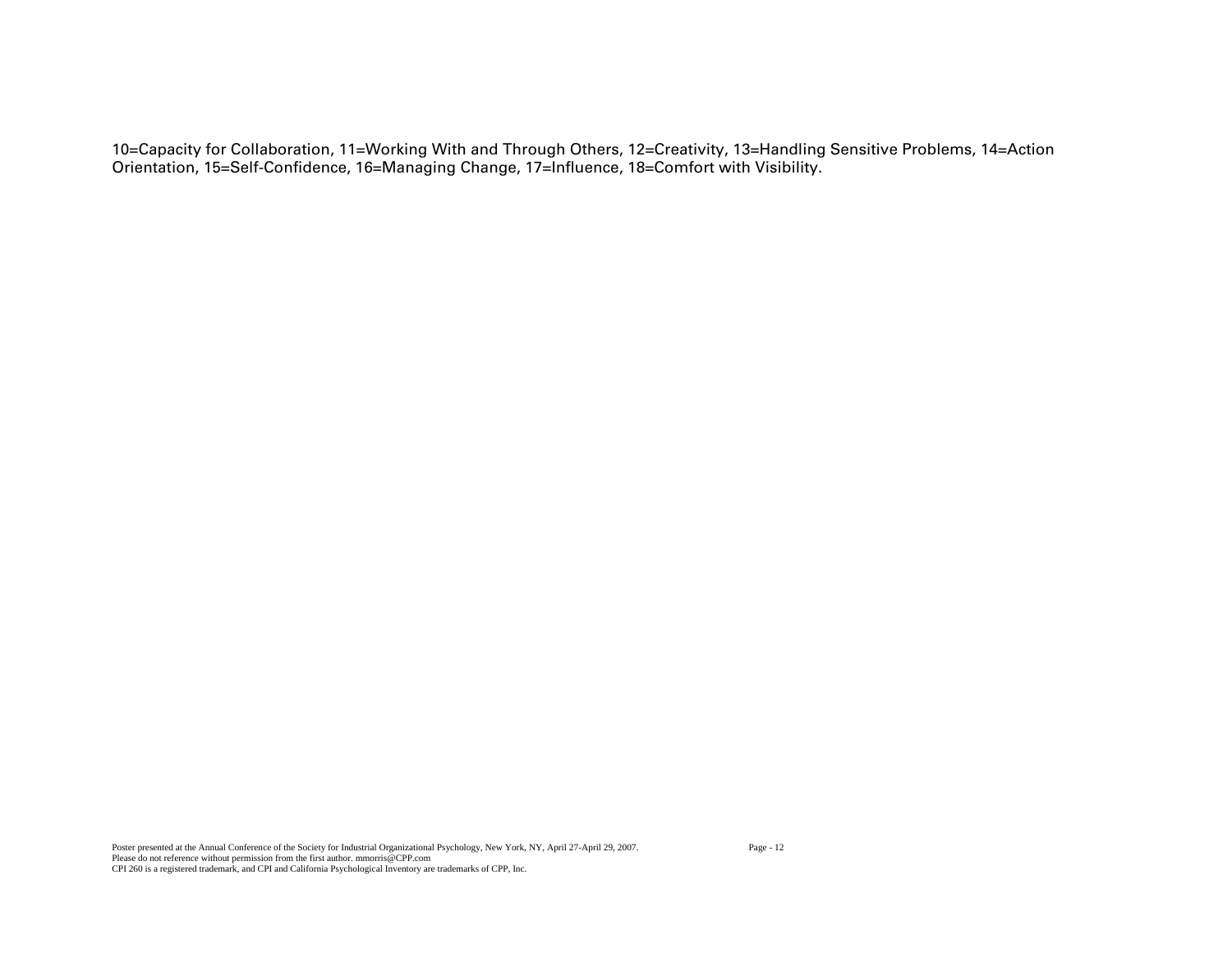10=Capacity for Collaboration, 11=Working With and Through Others, 12=Creativity, 13=Handling Sensitive Problems, 14=Action Orientation, 15=Self-Confidence, 16=Managing Change, 17=Influence, 18=Comfort with Visibility.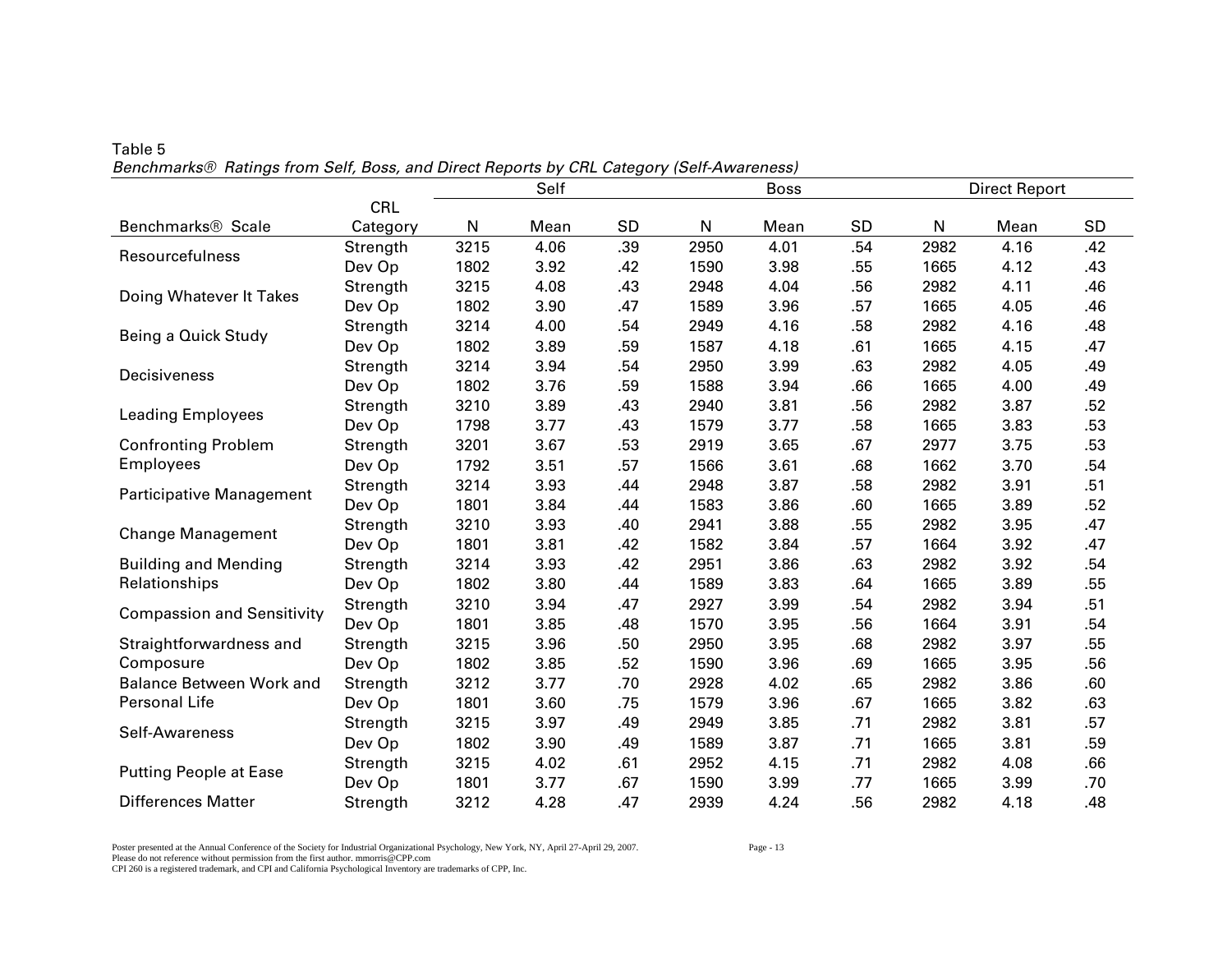|                                   |            | Self<br><b>Boss</b> |      |           |      |      |           | <b>Direct Report</b> |      |     |
|-----------------------------------|------------|---------------------|------|-----------|------|------|-----------|----------------------|------|-----|
|                                   | <b>CRL</b> |                     |      |           |      |      |           |                      |      |     |
| Benchmarks <sup>®</sup> Scale     | Category   | N                   | Mean | <b>SD</b> | N    | Mean | <b>SD</b> | ${\sf N}$            | Mean | SD  |
| Resourcefulness                   | Strength   | 3215                | 4.06 | .39       | 2950 | 4.01 | .54       | 2982                 | 4.16 | .42 |
|                                   | Dev Op     | 1802                | 3.92 | .42       | 1590 | 3.98 | .55       | 1665                 | 4.12 | .43 |
| Doing Whatever It Takes           | Strength   | 3215                | 4.08 | .43       | 2948 | 4.04 | .56       | 2982                 | 4.11 | .46 |
|                                   | Dev Op     | 1802                | 3.90 | .47       | 1589 | 3.96 | .57       | 1665                 | 4.05 | .46 |
| Being a Quick Study               | Strength   | 3214                | 4.00 | .54       | 2949 | 4.16 | .58       | 2982                 | 4.16 | .48 |
|                                   | Dev Op     | 1802                | 3.89 | .59       | 1587 | 4.18 | .61       | 1665                 | 4.15 | .47 |
| Decisiveness                      | Strength   | 3214                | 3.94 | .54       | 2950 | 3.99 | .63       | 2982                 | 4.05 | .49 |
|                                   | Dev Op     | 1802                | 3.76 | .59       | 1588 | 3.94 | .66       | 1665                 | 4.00 | .49 |
|                                   | Strength   | 3210                | 3.89 | .43       | 2940 | 3.81 | .56       | 2982                 | 3.87 | .52 |
| <b>Leading Employees</b>          | Dev Op     | 1798                | 3.77 | .43       | 1579 | 3.77 | .58       | 1665                 | 3.83 | .53 |
| <b>Confronting Problem</b>        | Strength   | 3201                | 3.67 | .53       | 2919 | 3.65 | .67       | 2977                 | 3.75 | .53 |
| <b>Employees</b>                  | Dev Op     | 1792                | 3.51 | .57       | 1566 | 3.61 | .68       | 1662                 | 3.70 | .54 |
|                                   | Strength   | 3214                | 3.93 | .44       | 2948 | 3.87 | .58       | 2982                 | 3.91 | .51 |
| Participative Management          | Dev Op     | 1801                | 3.84 | .44       | 1583 | 3.86 | .60       | 1665                 | 3.89 | .52 |
|                                   | Strength   | 3210                | 3.93 | .40       | 2941 | 3.88 | .55       | 2982                 | 3.95 | .47 |
| <b>Change Management</b>          | Dev Op     | 1801                | 3.81 | .42       | 1582 | 3.84 | .57       | 1664                 | 3.92 | .47 |
| <b>Building and Mending</b>       | Strength   | 3214                | 3.93 | .42       | 2951 | 3.86 | .63       | 2982                 | 3.92 | .54 |
| Relationships                     | Dev Op     | 1802                | 3.80 | .44       | 1589 | 3.83 | .64       | 1665                 | 3.89 | .55 |
|                                   | Strength   | 3210                | 3.94 | .47       | 2927 | 3.99 | .54       | 2982                 | 3.94 | .51 |
| <b>Compassion and Sensitivity</b> | Dev Op     | 1801                | 3.85 | .48       | 1570 | 3.95 | .56       | 1664                 | 3.91 | .54 |
| Straightforwardness and           | Strength   | 3215                | 3.96 | .50       | 2950 | 3.95 | .68       | 2982                 | 3.97 | .55 |
| Composure                         | Dev Op     | 1802                | 3.85 | .52       | 1590 | 3.96 | .69       | 1665                 | 3.95 | .56 |
| <b>Balance Between Work and</b>   | Strength   | 3212                | 3.77 | .70       | 2928 | 4.02 | .65       | 2982                 | 3.86 | .60 |
| Personal Life                     | Dev Op     | 1801                | 3.60 | .75       | 1579 | 3.96 | .67       | 1665                 | 3.82 | .63 |
|                                   | Strength   | 3215                | 3.97 | .49       | 2949 | 3.85 | .71       | 2982                 | 3.81 | .57 |
| Self-Awareness                    | Dev Op     | 1802                | 3.90 | .49       | 1589 | 3.87 | .71       | 1665                 | 3.81 | .59 |
|                                   | Strength   | 3215                | 4.02 | .61       | 2952 | 4.15 | .71       | 2982                 | 4.08 | .66 |
| <b>Putting People at Ease</b>     | Dev Op     | 1801                | 3.77 | .67       | 1590 | 3.99 | .77       | 1665                 | 3.99 | .70 |
| <b>Differences Matter</b>         | Strength   | 3212                | 4.28 | .47       | 2939 | 4.24 | .56       | 2982                 | 4.18 | .48 |

## Table 5 *Benchmarks® Ratings from Self, Boss, and Direct Reports by CRL Category (Self-Awareness)*

Poster presented at the Annual Conference of the Society for Industrial Organizational Psychology, New York, NY, April 27-April 29, 2007. Page - 13 Please do not reference without permission from the first author. mmorris@CPP.com CPI 260 is a registered trademark, and CPI and California Psychological Inventory are trademarks of CPP, Inc.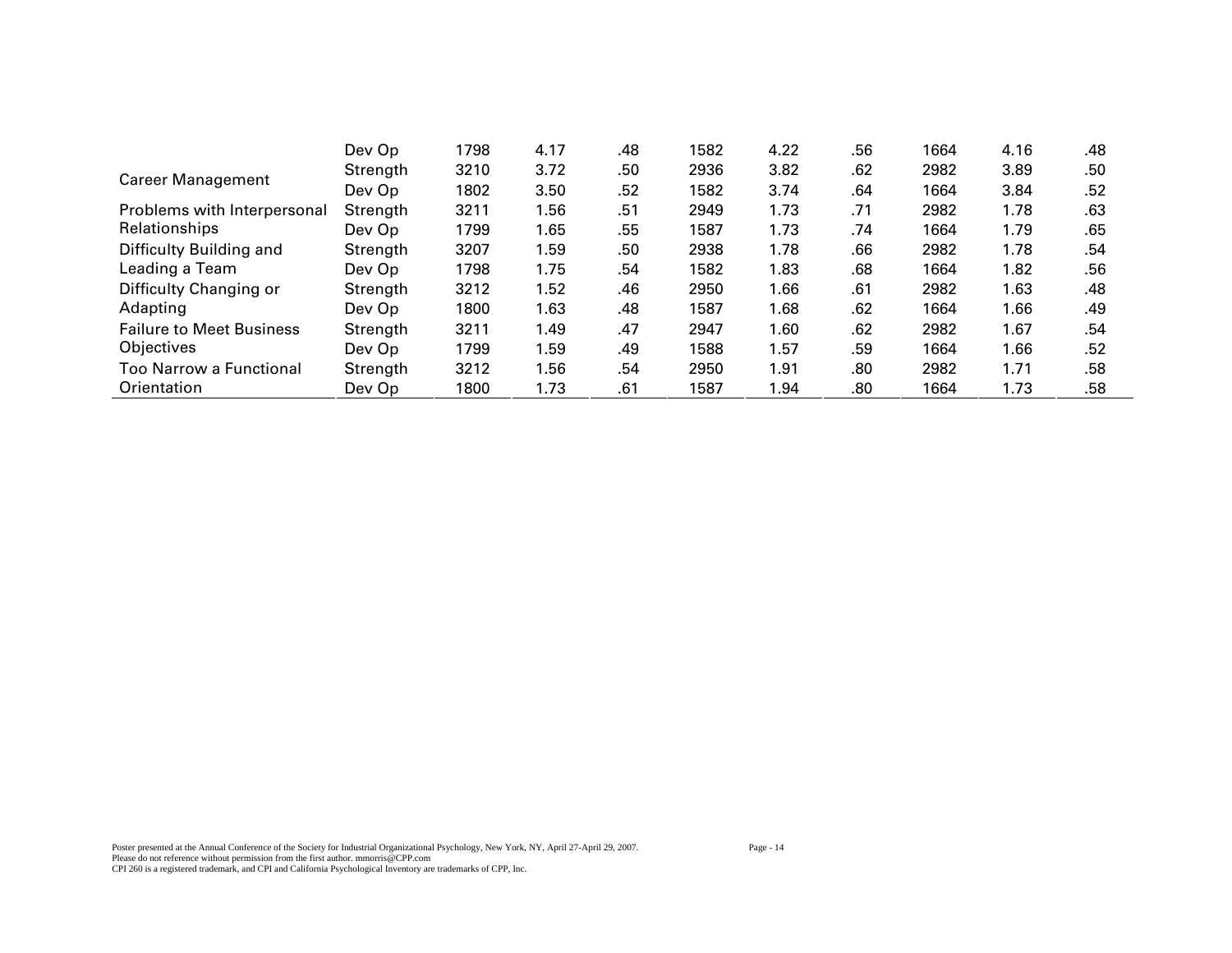|                                 | Dev Op   | 1798 | 4.17 | .48 | 1582 | 4.22 | .56 | 1664 | 4.16 | .48 |
|---------------------------------|----------|------|------|-----|------|------|-----|------|------|-----|
| <b>Career Management</b>        | Strength | 3210 | 3.72 | .50 | 2936 | 3.82 | .62 | 2982 | 3.89 | .50 |
|                                 | Dev Op   | 1802 | 3.50 | .52 | 1582 | 3.74 | .64 | 1664 | 3.84 | .52 |
| Problems with Interpersonal     | Strength | 3211 | 1.56 | .51 | 2949 | 1.73 | .71 | 2982 | 1.78 | .63 |
| Relationships                   | Dev Op   | 1799 | 1.65 | .55 | 1587 | 1.73 | .74 | 1664 | 1.79 | .65 |
| Difficulty Building and         | Strength | 3207 | 1.59 | .50 | 2938 | 1.78 | .66 | 2982 | 1.78 | .54 |
| Leading a Team                  | Dev Op   | 1798 | 1.75 | .54 | 1582 | 1.83 | .68 | 1664 | 1.82 | .56 |
| Difficulty Changing or          | Strength | 3212 | 1.52 | .46 | 2950 | 1.66 | .61 | 2982 | 1.63 | .48 |
| Adapting                        | Dev Op   | 1800 | 1.63 | .48 | 1587 | 1.68 | .62 | 1664 | 1.66 | .49 |
| <b>Failure to Meet Business</b> | Strength | 3211 | 1.49 | .47 | 2947 | 1.60 | .62 | 2982 | 1.67 | .54 |
| Objectives                      | Dev Op   | 1799 | 1.59 | .49 | 1588 | 1.57 | .59 | 1664 | 1.66 | .52 |
| <b>Too Narrow a Functional</b>  | Strength | 3212 | 1.56 | .54 | 2950 | 1.91 | .80 | 2982 | 1.71 | .58 |
| Orientation                     | Dev Op   | 1800 | 1.73 | .61 | 1587 | 1.94 | .80 | 1664 | 1.73 | .58 |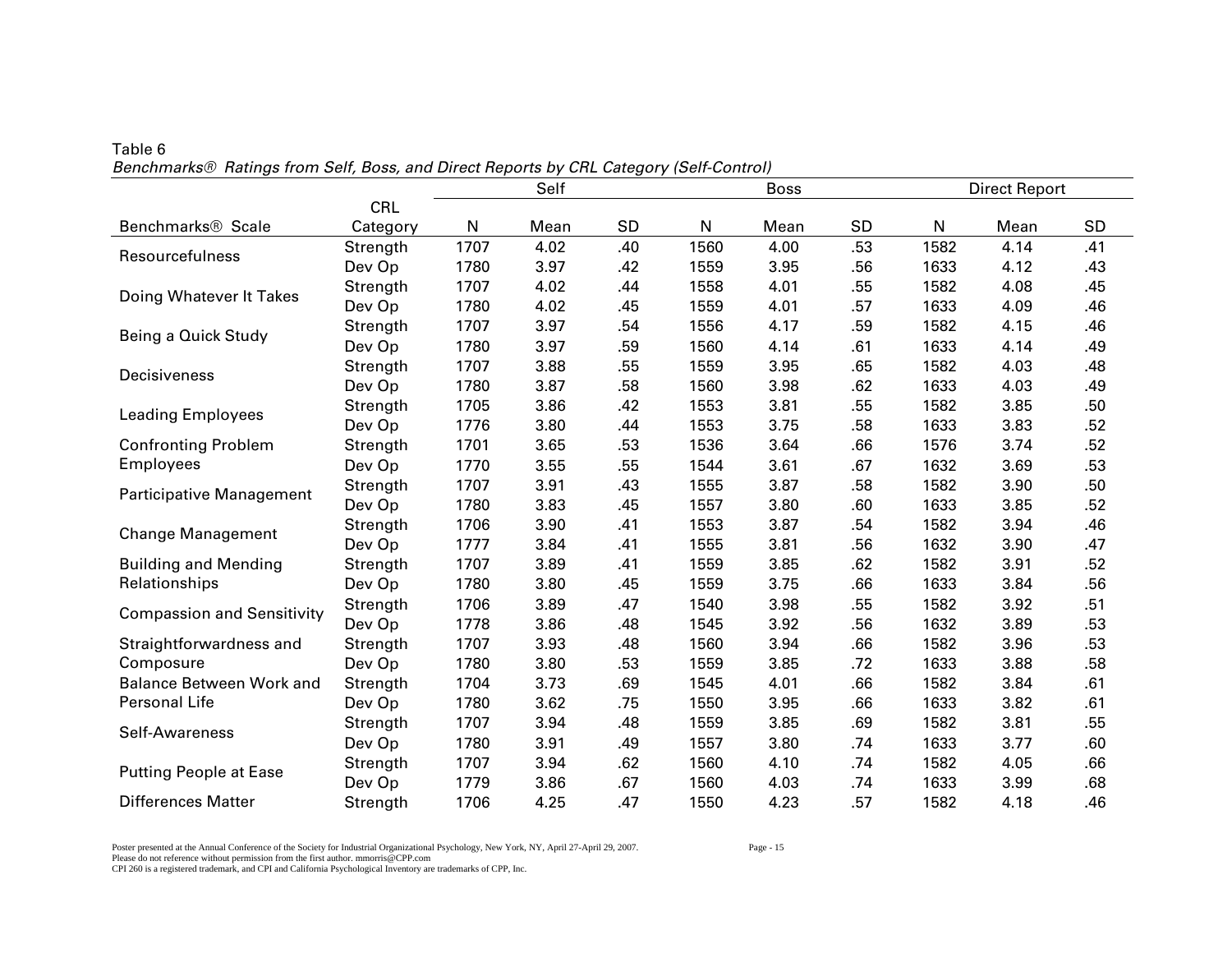|                                   |            | Self<br><b>Boss</b> |      |           |      |      |           | <b>Direct Report</b> |      |     |  |
|-----------------------------------|------------|---------------------|------|-----------|------|------|-----------|----------------------|------|-----|--|
|                                   | <b>CRL</b> |                     |      |           |      |      |           |                      |      |     |  |
| Benchmarks <sup>®</sup> Scale     | Category   | N                   | Mean | <b>SD</b> | N    | Mean | <b>SD</b> | N                    | Mean | SD  |  |
| Resourcefulness                   | Strength   | 1707                | 4.02 | .40       | 1560 | 4.00 | .53       | 1582                 | 4.14 | .41 |  |
|                                   | Dev Op     | 1780                | 3.97 | .42       | 1559 | 3.95 | .56       | 1633                 | 4.12 | .43 |  |
| Doing Whatever It Takes           | Strength   | 1707                | 4.02 | .44       | 1558 | 4.01 | .55       | 1582                 | 4.08 | .45 |  |
|                                   | Dev Op     | 1780                | 4.02 | .45       | 1559 | 4.01 | .57       | 1633                 | 4.09 | .46 |  |
| Being a Quick Study               | Strength   | 1707                | 3.97 | .54       | 1556 | 4.17 | .59       | 1582                 | 4.15 | .46 |  |
|                                   | Dev Op     | 1780                | 3.97 | .59       | 1560 | 4.14 | .61       | 1633                 | 4.14 | .49 |  |
| Decisiveness                      | Strength   | 1707                | 3.88 | .55       | 1559 | 3.95 | .65       | 1582                 | 4.03 | .48 |  |
|                                   | Dev Op     | 1780                | 3.87 | .58       | 1560 | 3.98 | .62       | 1633                 | 4.03 | .49 |  |
| <b>Leading Employees</b>          | Strength   | 1705                | 3.86 | .42       | 1553 | 3.81 | .55       | 1582                 | 3.85 | .50 |  |
|                                   | Dev Op     | 1776                | 3.80 | .44       | 1553 | 3.75 | .58       | 1633                 | 3.83 | .52 |  |
| <b>Confronting Problem</b>        | Strength   | 1701                | 3.65 | .53       | 1536 | 3.64 | .66       | 1576                 | 3.74 | .52 |  |
| <b>Employees</b>                  | Dev Op     | 1770                | 3.55 | .55       | 1544 | 3.61 | .67       | 1632                 | 3.69 | .53 |  |
| Participative Management          | Strength   | 1707                | 3.91 | .43       | 1555 | 3.87 | .58       | 1582                 | 3.90 | .50 |  |
|                                   | Dev Op     | 1780                | 3.83 | .45       | 1557 | 3.80 | .60       | 1633                 | 3.85 | .52 |  |
| <b>Change Management</b>          | Strength   | 1706                | 3.90 | .41       | 1553 | 3.87 | .54       | 1582                 | 3.94 | .46 |  |
|                                   | Dev Op     | 1777                | 3.84 | .41       | 1555 | 3.81 | .56       | 1632                 | 3.90 | .47 |  |
| <b>Building and Mending</b>       | Strength   | 1707                | 3.89 | .41       | 1559 | 3.85 | .62       | 1582                 | 3.91 | .52 |  |
| Relationships                     | Dev Op     | 1780                | 3.80 | .45       | 1559 | 3.75 | .66       | 1633                 | 3.84 | .56 |  |
|                                   | Strength   | 1706                | 3.89 | .47       | 1540 | 3.98 | .55       | 1582                 | 3.92 | .51 |  |
| <b>Compassion and Sensitivity</b> | Dev Op     | 1778                | 3.86 | .48       | 1545 | 3.92 | .56       | 1632                 | 3.89 | .53 |  |
| Straightforwardness and           | Strength   | 1707                | 3.93 | .48       | 1560 | 3.94 | .66       | 1582                 | 3.96 | .53 |  |
| Composure                         | Dev Op     | 1780                | 3.80 | .53       | 1559 | 3.85 | .72       | 1633                 | 3.88 | .58 |  |
| <b>Balance Between Work and</b>   | Strength   | 1704                | 3.73 | .69       | 1545 | 4.01 | .66       | 1582                 | 3.84 | .61 |  |
| Personal Life                     | Dev Op     | 1780                | 3.62 | .75       | 1550 | 3.95 | .66       | 1633                 | 3.82 | .61 |  |
|                                   | Strength   | 1707                | 3.94 | .48       | 1559 | 3.85 | .69       | 1582                 | 3.81 | .55 |  |
| Self-Awareness                    | Dev Op     | 1780                | 3.91 | .49       | 1557 | 3.80 | .74       | 1633                 | 3.77 | .60 |  |
|                                   | Strength   | 1707                | 3.94 | .62       | 1560 | 4.10 | .74       | 1582                 | 4.05 | .66 |  |
| <b>Putting People at Ease</b>     | Dev Op     | 1779                | 3.86 | .67       | 1560 | 4.03 | .74       | 1633                 | 3.99 | .68 |  |
| <b>Differences Matter</b>         | Strength   | 1706                | 4.25 | .47       | 1550 | 4.23 | .57       | 1582                 | 4.18 | .46 |  |

Table 6 *Benchmarks® Ratings from Self, Boss, and Direct Reports by CRL Category (Self-Control)* 

Poster presented at the Annual Conference of the Society for Industrial Organizational Psychology, New York, NY, April 27-April 29, 2007. Page - 15 Please do not reference without permission from the first author. mmorris@CPP.com CPI 260 is a registered trademark, and CPI and California Psychological Inventory are trademarks of CPP, Inc.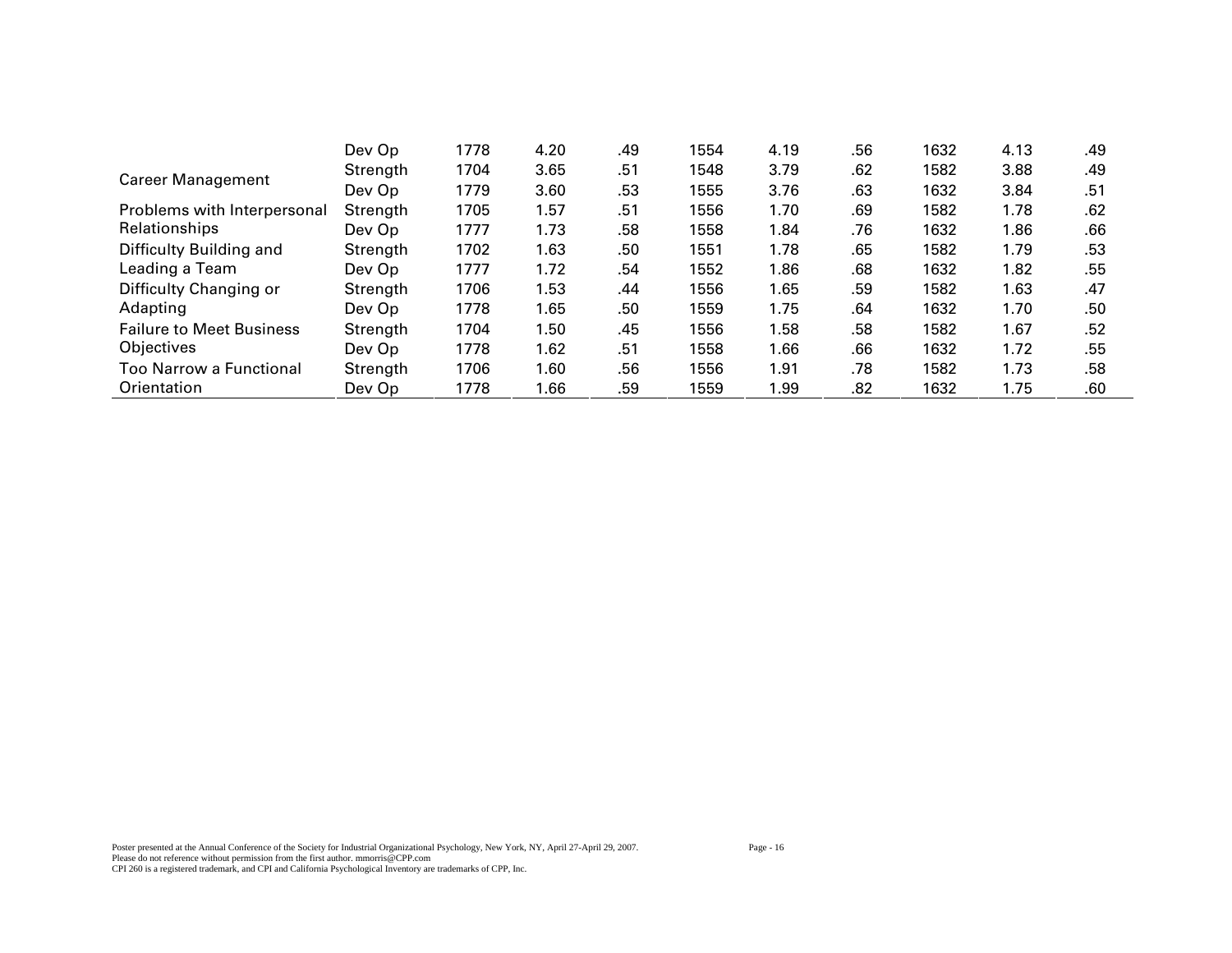|                                 | Dev Op   | 1778 | 4.20 | .49 | 1554 | 4.19 | .56 | 1632 | 4.13 | .49 |
|---------------------------------|----------|------|------|-----|------|------|-----|------|------|-----|
| <b>Career Management</b>        | Strength | 1704 | 3.65 | .51 | 1548 | 3.79 | .62 | 1582 | 3.88 | .49 |
|                                 | Dev Op   | 1779 | 3.60 | .53 | 1555 | 3.76 | .63 | 1632 | 3.84 | .51 |
| Problems with Interpersonal     | Strength | 1705 | 1.57 | .51 | 1556 | 1.70 | .69 | 1582 | 1.78 | .62 |
| Relationships                   | Dev Op   | 1777 | 1.73 | .58 | 1558 | 1.84 | .76 | 1632 | 1.86 | .66 |
| Difficulty Building and         | Strength | 1702 | 1.63 | .50 | 1551 | 1.78 | .65 | 1582 | 1.79 | .53 |
| Leading a Team                  | Dev Op   | 1777 | 1.72 | .54 | 1552 | 1.86 | .68 | 1632 | 1.82 | .55 |
| Difficulty Changing or          | Strength | 1706 | 1.53 | .44 | 1556 | 1.65 | .59 | 1582 | 1.63 | .47 |
| Adapting                        | Dev Op   | 1778 | 1.65 | .50 | 1559 | 1.75 | .64 | 1632 | 1.70 | .50 |
| <b>Failure to Meet Business</b> | Strength | 1704 | 1.50 | .45 | 1556 | 1.58 | .58 | 1582 | 1.67 | .52 |
| Objectives                      | Dev Op   | 1778 | 1.62 | .51 | 1558 | 1.66 | .66 | 1632 | 1.72 | .55 |
| Too Narrow a Functional         | Strength | 1706 | 1.60 | .56 | 1556 | 1.91 | .78 | 1582 | 1.73 | .58 |
| Orientation                     | Dev Op   | 1778 | 1.66 | .59 | 1559 | 1.99 | .82 | 1632 | 1.75 | .60 |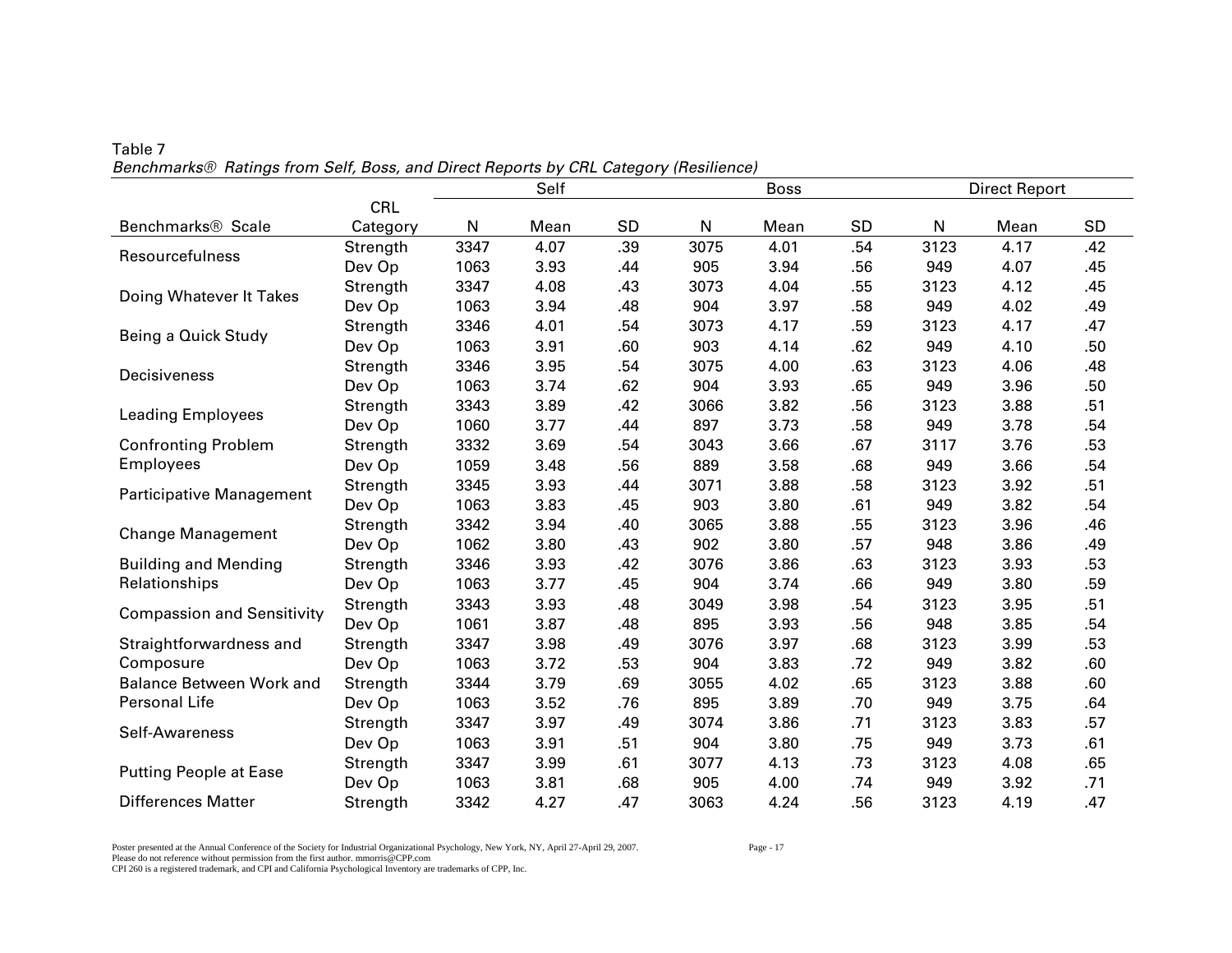|                                   |            | Self<br><b>Boss</b> |      |           |      |      |           | <b>Direct Report</b> |      |     |  |  |
|-----------------------------------|------------|---------------------|------|-----------|------|------|-----------|----------------------|------|-----|--|--|
|                                   | <b>CRL</b> |                     |      |           |      |      |           |                      |      |     |  |  |
| Benchmarks <sup>®</sup> Scale     | Category   | N                   | Mean | <b>SD</b> | N    | Mean | <b>SD</b> | N                    | Mean | SD  |  |  |
| Resourcefulness                   | Strength   | 3347                | 4.07 | .39       | 3075 | 4.01 | .54       | 3123                 | 4.17 | .42 |  |  |
|                                   | Dev Op     | 1063                | 3.93 | .44       | 905  | 3.94 | .56       | 949                  | 4.07 | .45 |  |  |
| Doing Whatever It Takes           | Strength   | 3347                | 4.08 | .43       | 3073 | 4.04 | .55       | 3123                 | 4.12 | .45 |  |  |
|                                   | Dev Op     | 1063                | 3.94 | .48       | 904  | 3.97 | .58       | 949                  | 4.02 | .49 |  |  |
| Being a Quick Study               | Strength   | 3346                | 4.01 | .54       | 3073 | 4.17 | .59       | 3123                 | 4.17 | .47 |  |  |
|                                   | Dev Op     | 1063                | 3.91 | .60       | 903  | 4.14 | .62       | 949                  | 4.10 | .50 |  |  |
| Decisiveness                      | Strength   | 3346                | 3.95 | .54       | 3075 | 4.00 | .63       | 3123                 | 4.06 | .48 |  |  |
|                                   | Dev Op     | 1063                | 3.74 | .62       | 904  | 3.93 | .65       | 949                  | 3.96 | .50 |  |  |
| <b>Leading Employees</b>          | Strength   | 3343                | 3.89 | .42       | 3066 | 3.82 | .56       | 3123                 | 3.88 | .51 |  |  |
|                                   | Dev Op     | 1060                | 3.77 | .44       | 897  | 3.73 | .58       | 949                  | 3.78 | .54 |  |  |
| <b>Confronting Problem</b>        | Strength   | 3332                | 3.69 | .54       | 3043 | 3.66 | .67       | 3117                 | 3.76 | .53 |  |  |
| <b>Employees</b>                  | Dev Op     | 1059                | 3.48 | .56       | 889  | 3.58 | .68       | 949                  | 3.66 | .54 |  |  |
| Participative Management          | Strength   | 3345                | 3.93 | .44       | 3071 | 3.88 | .58       | 3123                 | 3.92 | .51 |  |  |
|                                   | Dev Op     | 1063                | 3.83 | .45       | 903  | 3.80 | .61       | 949                  | 3.82 | .54 |  |  |
| <b>Change Management</b>          | Strength   | 3342                | 3.94 | .40       | 3065 | 3.88 | .55       | 3123                 | 3.96 | .46 |  |  |
|                                   | Dev Op     | 1062                | 3.80 | .43       | 902  | 3.80 | .57       | 948                  | 3.86 | .49 |  |  |
| <b>Building and Mending</b>       | Strength   | 3346                | 3.93 | .42       | 3076 | 3.86 | .63       | 3123                 | 3.93 | .53 |  |  |
| Relationships                     | Dev Op     | 1063                | 3.77 | .45       | 904  | 3.74 | .66       | 949                  | 3.80 | .59 |  |  |
|                                   | Strength   | 3343                | 3.93 | .48       | 3049 | 3.98 | .54       | 3123                 | 3.95 | .51 |  |  |
| <b>Compassion and Sensitivity</b> | Dev Op     | 1061                | 3.87 | .48       | 895  | 3.93 | .56       | 948                  | 3.85 | .54 |  |  |
| Straightforwardness and           | Strength   | 3347                | 3.98 | .49       | 3076 | 3.97 | .68       | 3123                 | 3.99 | .53 |  |  |
| Composure                         | Dev Op     | 1063                | 3.72 | .53       | 904  | 3.83 | .72       | 949                  | 3.82 | .60 |  |  |
| <b>Balance Between Work and</b>   | Strength   | 3344                | 3.79 | .69       | 3055 | 4.02 | .65       | 3123                 | 3.88 | .60 |  |  |
| Personal Life                     | Dev Op     | 1063                | 3.52 | .76       | 895  | 3.89 | .70       | 949                  | 3.75 | .64 |  |  |
|                                   | Strength   | 3347                | 3.97 | .49       | 3074 | 3.86 | .71       | 3123                 | 3.83 | .57 |  |  |
| Self-Awareness                    | Dev Op     | 1063                | 3.91 | .51       | 904  | 3.80 | .75       | 949                  | 3.73 | .61 |  |  |
|                                   | Strength   | 3347                | 3.99 | .61       | 3077 | 4.13 | .73       | 3123                 | 4.08 | .65 |  |  |
| <b>Putting People at Ease</b>     | Dev Op     | 1063                | 3.81 | .68       | 905  | 4.00 | .74       | 949                  | 3.92 | .71 |  |  |
| <b>Differences Matter</b>         | Strength   | 3342                | 4.27 | .47       | 3063 | 4.24 | .56       | 3123                 | 4.19 | .47 |  |  |

Table 7 *Benchmarks® Ratings from Self, Boss, and Direct Reports by CRL Category (Resilience)* 

Poster presented at the Annual Conference of the Society for Industrial Organizational Psychology, New York, NY, April 27-April 29, 2007. Page - 17 Please do not reference without permission from the first author. mmorris@CPP.com CPI 260 is a registered trademark, and CPI and California Psychological Inventory are trademarks of CPP, Inc.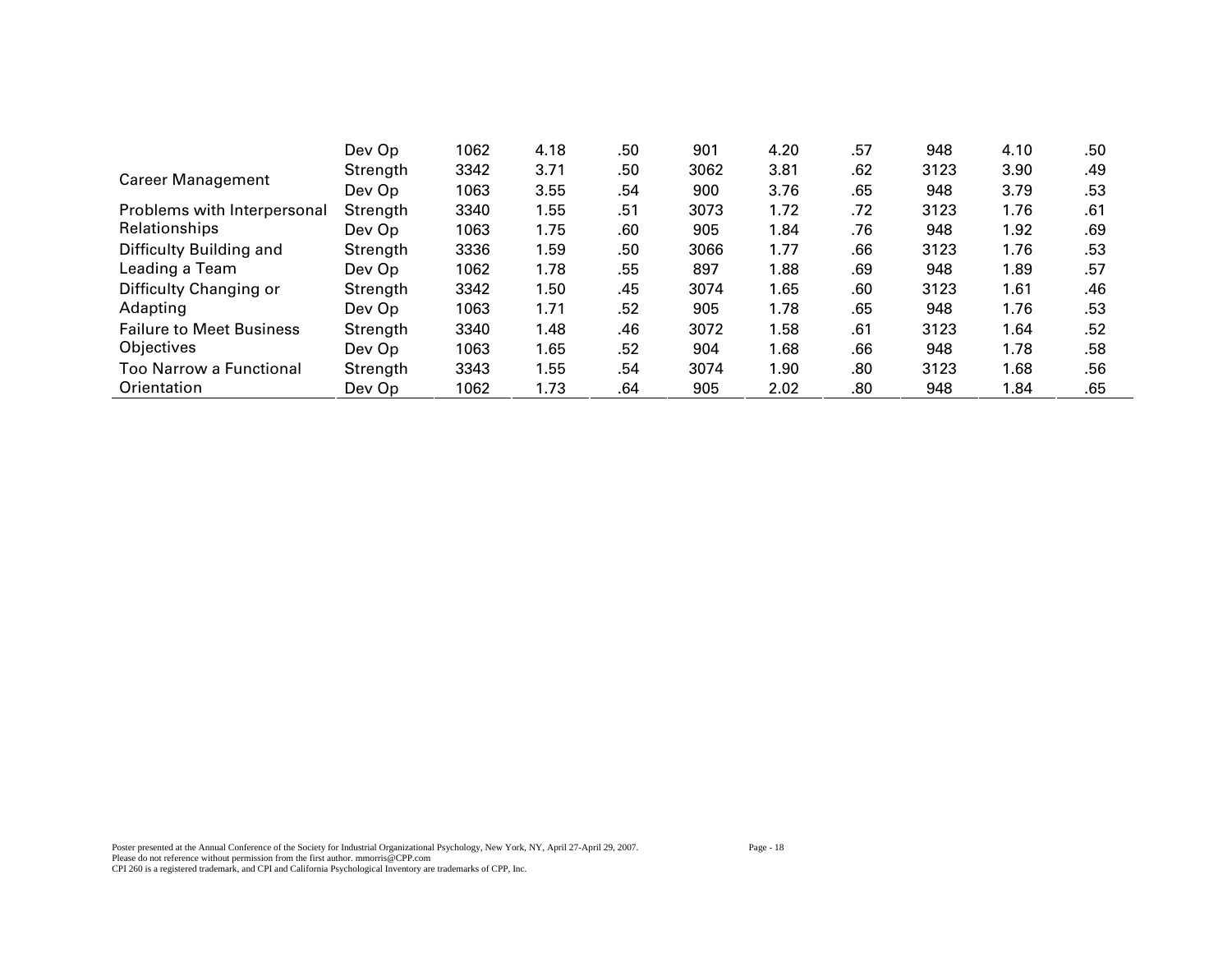|                                 | Dev Op   | 1062 | 4.18 | .50 | 901  | 4.20 | .57 | 948  | 4.10 | .50 |
|---------------------------------|----------|------|------|-----|------|------|-----|------|------|-----|
| <b>Career Management</b>        | Strength | 3342 | 3.71 | .50 | 3062 | 3.81 | .62 | 3123 | 3.90 | .49 |
|                                 | Dev Op   | 1063 | 3.55 | .54 | 900  | 3.76 | .65 | 948  | 3.79 | .53 |
| Problems with Interpersonal     | Strength | 3340 | 1.55 | .51 | 3073 | 1.72 | .72 | 3123 | 1.76 | .61 |
| Relationships                   | Dev Op   | 1063 | 1.75 | .60 | 905  | 1.84 | .76 | 948  | 1.92 | .69 |
| Difficulty Building and         | Strength | 3336 | 1.59 | .50 | 3066 | 1.77 | .66 | 3123 | 1.76 | .53 |
| Leading a Team                  | Dev Op   | 1062 | 1.78 | .55 | 897  | 1.88 | .69 | 948  | 1.89 | .57 |
| Difficulty Changing or          | Strength | 3342 | 1.50 | .45 | 3074 | 1.65 | .60 | 3123 | 1.61 | .46 |
| Adapting                        | Dev Op   | 1063 | 1.71 | .52 | 905  | 1.78 | .65 | 948  | 1.76 | .53 |
| <b>Failure to Meet Business</b> | Strength | 3340 | 1.48 | .46 | 3072 | 1.58 | .61 | 3123 | 1.64 | .52 |
| Objectives                      | Dev Op   | 1063 | 1.65 | .52 | 904  | 1.68 | .66 | 948  | 1.78 | .58 |
| <b>Too Narrow a Functional</b>  | Strength | 3343 | 1.55 | .54 | 3074 | 1.90 | .80 | 3123 | 1.68 | .56 |
| Orientation                     | Dev Op   | 1062 | 1.73 | .64 | 905  | 2.02 | .80 | 948  | 1.84 | .65 |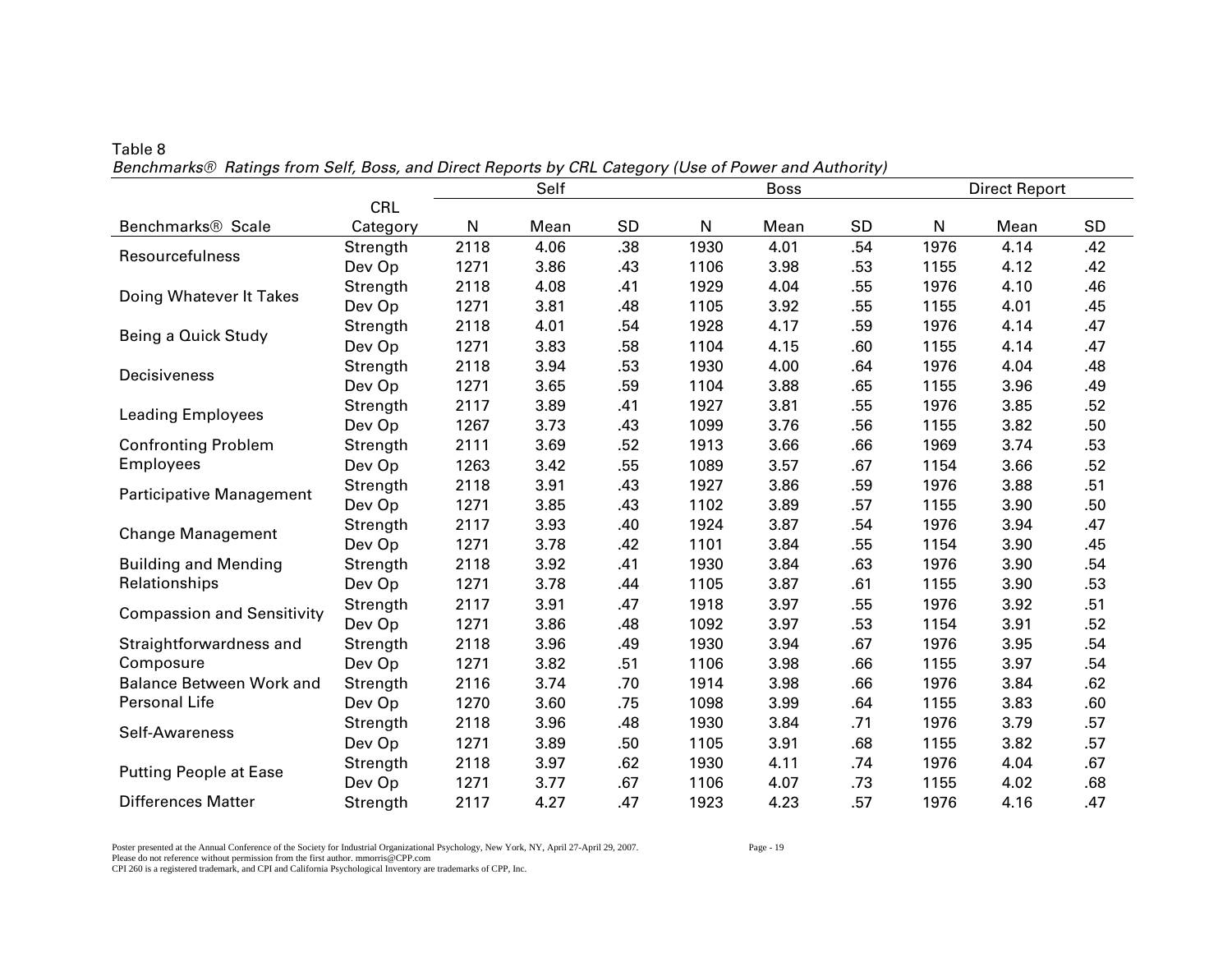|                                   |          | Self<br><b>Boss</b> |      |     |      |      |           |      | <b>Direct Report</b> |           |
|-----------------------------------|----------|---------------------|------|-----|------|------|-----------|------|----------------------|-----------|
|                                   | CRL      |                     |      |     |      |      |           |      |                      |           |
| Benchmarks <sup>®</sup> Scale     | Category | N                   | Mean | SD  | N    | Mean | <b>SD</b> | N    | Mean                 | <b>SD</b> |
| Resourcefulness                   | Strength | 2118                | 4.06 | .38 | 1930 | 4.01 | .54       | 1976 | 4.14                 | .42       |
|                                   | Dev Op   | 1271                | 3.86 | .43 | 1106 | 3.98 | .53       | 1155 | 4.12                 | .42       |
| Doing Whatever It Takes           | Strength | 2118                | 4.08 | .41 | 1929 | 4.04 | .55       | 1976 | 4.10                 | .46       |
|                                   | Dev Op   | 1271                | 3.81 | .48 | 1105 | 3.92 | .55       | 1155 | 4.01                 | .45       |
| Being a Quick Study               | Strength | 2118                | 4.01 | .54 | 1928 | 4.17 | .59       | 1976 | 4.14                 | .47       |
|                                   | Dev Op   | 1271                | 3.83 | .58 | 1104 | 4.15 | .60       | 1155 | 4.14                 | .47       |
| Decisiveness                      | Strength | 2118                | 3.94 | .53 | 1930 | 4.00 | .64       | 1976 | 4.04                 | .48       |
|                                   | Dev Op   | 1271                | 3.65 | .59 | 1104 | 3.88 | .65       | 1155 | 3.96                 | .49       |
| <b>Leading Employees</b>          | Strength | 2117                | 3.89 | .41 | 1927 | 3.81 | .55       | 1976 | 3.85                 | .52       |
|                                   | Dev Op   | 1267                | 3.73 | .43 | 1099 | 3.76 | .56       | 1155 | 3.82                 | .50       |
| <b>Confronting Problem</b>        | Strength | 2111                | 3.69 | .52 | 1913 | 3.66 | .66       | 1969 | 3.74                 | .53       |
| <b>Employees</b>                  | Dev Op   | 1263                | 3.42 | .55 | 1089 | 3.57 | .67       | 1154 | 3.66                 | .52       |
| Participative Management          | Strength | 2118                | 3.91 | .43 | 1927 | 3.86 | .59       | 1976 | 3.88                 | .51       |
|                                   | Dev Op   | 1271                | 3.85 | .43 | 1102 | 3.89 | .57       | 1155 | 3.90                 | .50       |
| <b>Change Management</b>          | Strength | 2117                | 3.93 | .40 | 1924 | 3.87 | .54       | 1976 | 3.94                 | .47       |
|                                   | Dev Op   | 1271                | 3.78 | .42 | 1101 | 3.84 | .55       | 1154 | 3.90                 | .45       |
| <b>Building and Mending</b>       | Strength | 2118                | 3.92 | .41 | 1930 | 3.84 | .63       | 1976 | 3.90                 | .54       |
| Relationships                     | Dev Op   | 1271                | 3.78 | .44 | 1105 | 3.87 | .61       | 1155 | 3.90                 | .53       |
| <b>Compassion and Sensitivity</b> | Strength | 2117                | 3.91 | .47 | 1918 | 3.97 | .55       | 1976 | 3.92                 | .51       |
|                                   | Dev Op   | 1271                | 3.86 | .48 | 1092 | 3.97 | .53       | 1154 | 3.91                 | .52       |
| Straightforwardness and           | Strength | 2118                | 3.96 | .49 | 1930 | 3.94 | .67       | 1976 | 3.95                 | .54       |
| Composure                         | Dev Op   | 1271                | 3.82 | .51 | 1106 | 3.98 | .66       | 1155 | 3.97                 | .54       |
| <b>Balance Between Work and</b>   | Strength | 2116                | 3.74 | .70 | 1914 | 3.98 | .66       | 1976 | 3.84                 | .62       |
| Personal Life                     | Dev Op   | 1270                | 3.60 | .75 | 1098 | 3.99 | .64       | 1155 | 3.83                 | .60       |
| Self-Awareness                    | Strength | 2118                | 3.96 | .48 | 1930 | 3.84 | .71       | 1976 | 3.79                 | .57       |
|                                   | Dev Op   | 1271                | 3.89 | .50 | 1105 | 3.91 | .68       | 1155 | 3.82                 | .57       |
|                                   | Strength | 2118                | 3.97 | .62 | 1930 | 4.11 | .74       | 1976 | 4.04                 | .67       |
| <b>Putting People at Ease</b>     | Dev Op   | 1271                | 3.77 | .67 | 1106 | 4.07 | .73       | 1155 | 4.02                 | .68       |
| <b>Differences Matter</b>         | Strength | 2117                | 4.27 | .47 | 1923 | 4.23 | .57       | 1976 | 4.16                 | .47       |

Table 8 *Benchmarks® Ratings from Self, Boss, and Direct Reports by CRL Category (Use of Power and Authority)* 

Poster presented at the Annual Conference of the Society for Industrial Organizational Psychology, New York, NY, April 27-April 29, 2007. Page - 19 Please do not reference without permission from the first author. mmorris@CPP.com CPI 260 is a registered trademark, and CPI and California Psychological Inventory are trademarks of CPP, Inc.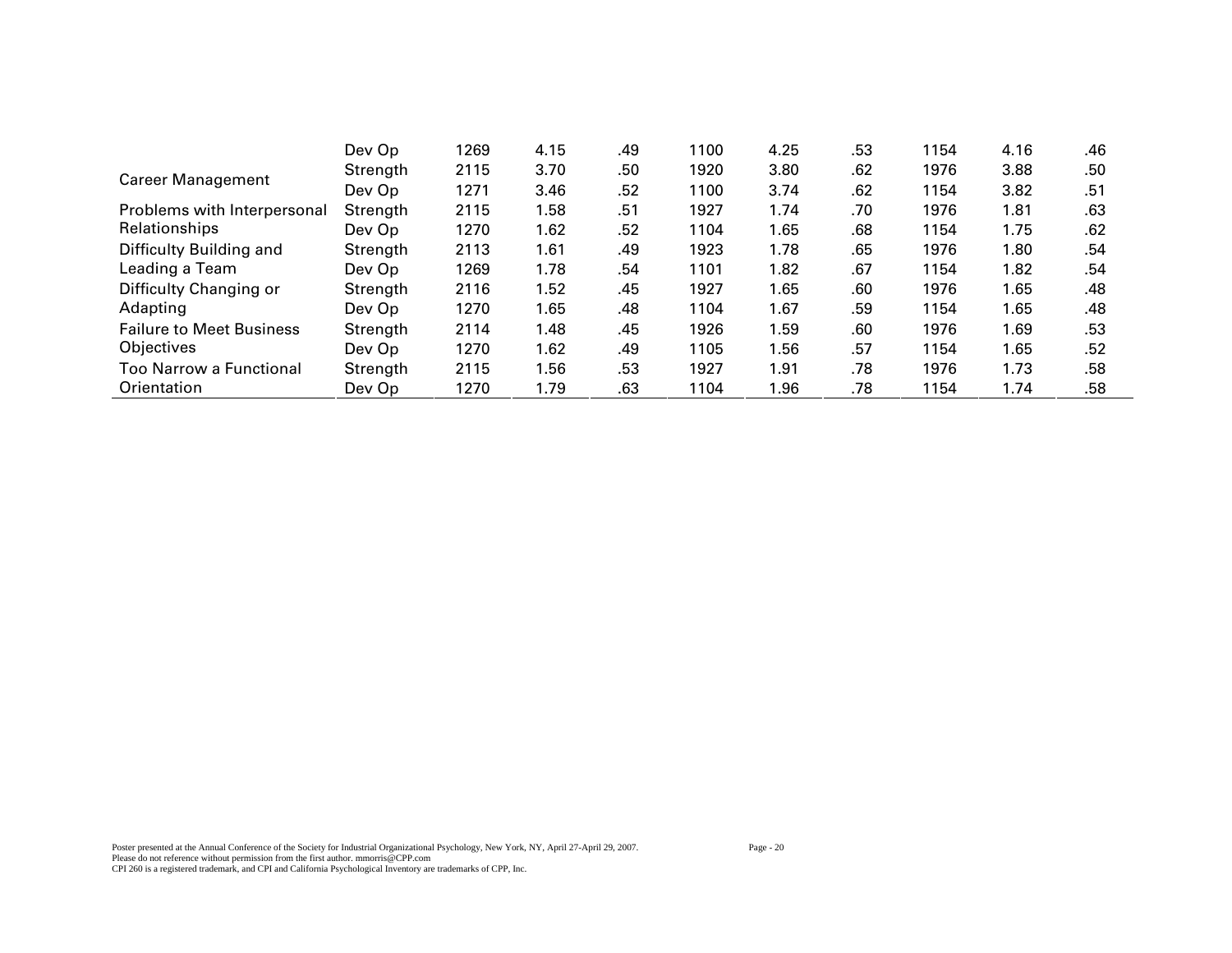|                                 | Dev Op   | 1269 | 4.15 | .49 | 1100 | 4.25 | .53 | 1154 | 4.16 | .46 |
|---------------------------------|----------|------|------|-----|------|------|-----|------|------|-----|
| <b>Career Management</b>        | Strength | 2115 | 3.70 | .50 | 1920 | 3.80 | .62 | 1976 | 3.88 | .50 |
|                                 | Dev Op   | 1271 | 3.46 | .52 | 1100 | 3.74 | .62 | 1154 | 3.82 | .51 |
| Problems with Interpersonal     | Strength | 2115 | 1.58 | .51 | 1927 | 1.74 | .70 | 1976 | 1.81 | .63 |
| Relationships                   | Dev Op   | 1270 | 1.62 | .52 | 1104 | 1.65 | .68 | 1154 | 1.75 | .62 |
| Difficulty Building and         | Strength | 2113 | 1.61 | .49 | 1923 | 1.78 | .65 | 1976 | 1.80 | .54 |
| Leading a Team                  | Dev Op   | 1269 | 1.78 | .54 | 1101 | 1.82 | .67 | 1154 | 1.82 | .54 |
| Difficulty Changing or          | Strength | 2116 | 1.52 | .45 | 1927 | 1.65 | .60 | 1976 | 1.65 | .48 |
| Adapting                        | Dev Op   | 1270 | 1.65 | .48 | 1104 | 1.67 | .59 | 1154 | 1.65 | .48 |
| <b>Failure to Meet Business</b> | Strength | 2114 | 1.48 | .45 | 1926 | 1.59 | .60 | 1976 | 1.69 | .53 |
| Objectives                      | Dev Op   | 1270 | 1.62 | .49 | 1105 | 1.56 | .57 | 1154 | 1.65 | .52 |
| <b>Too Narrow a Functional</b>  | Strength | 2115 | 1.56 | .53 | 1927 | 1.91 | .78 | 1976 | 1.73 | .58 |
| Orientation                     | Dev Op   | 1270 | 1.79 | .63 | 1104 | 1.96 | .78 | 1154 | 1.74 | .58 |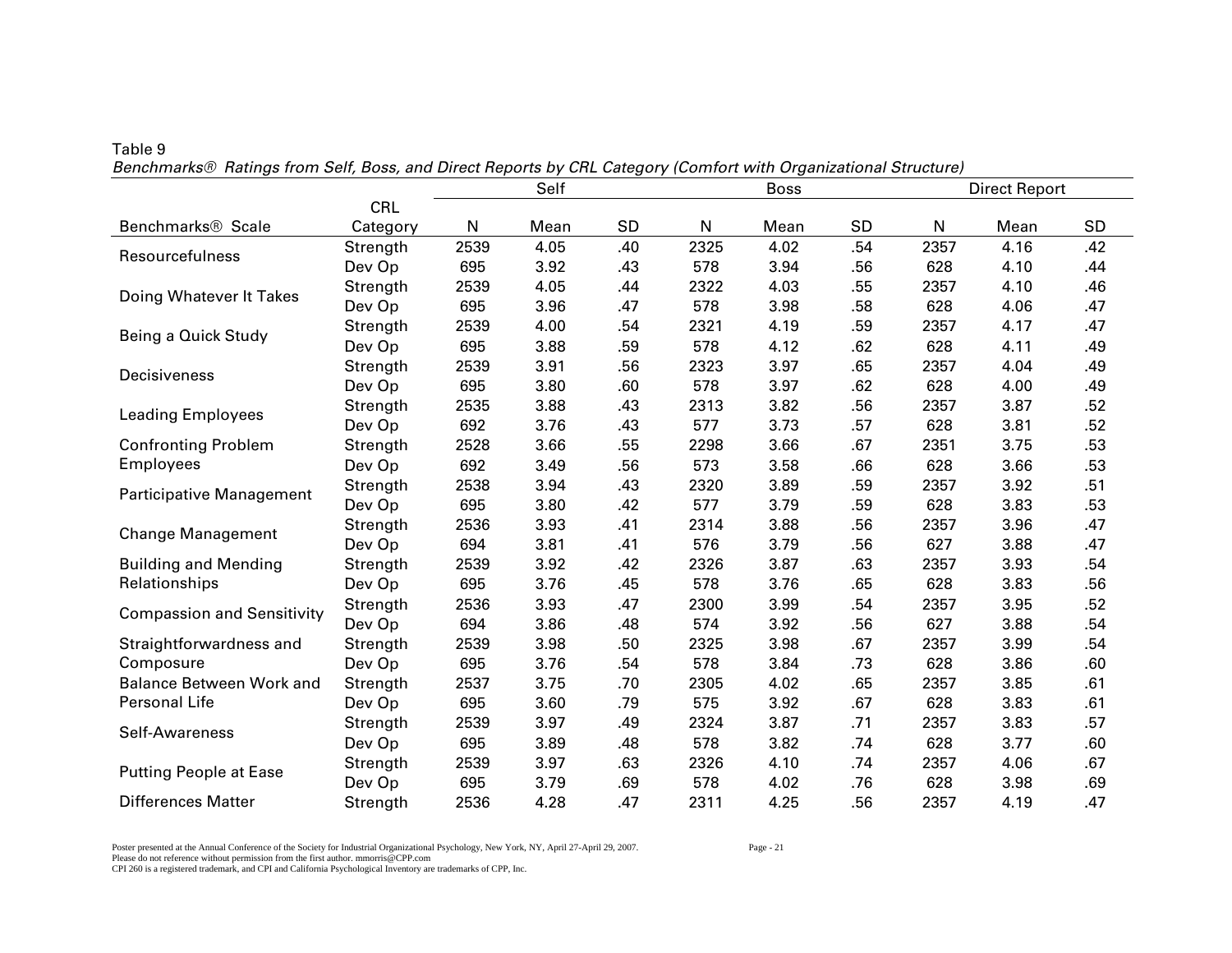|                                   |            | Self<br><b>Boss</b> |      |     |              |      |           |              | <b>Direct Report</b> |     |
|-----------------------------------|------------|---------------------|------|-----|--------------|------|-----------|--------------|----------------------|-----|
|                                   | <b>CRL</b> |                     |      |     |              |      |           |              |                      |     |
| Benchmarks <sup>®</sup> Scale     | Category   | N                   | Mean | SD  | $\mathsf{N}$ | Mean | <b>SD</b> | $\mathsf{N}$ | Mean                 | SD  |
| Resourcefulness                   | Strength   | 2539                | 4.05 | .40 | 2325         | 4.02 | .54       | 2357         | 4.16                 | .42 |
|                                   | Dev Op     | 695                 | 3.92 | .43 | 578          | 3.94 | .56       | 628          | 4.10                 | .44 |
| Doing Whatever It Takes           | Strength   | 2539                | 4.05 | .44 | 2322         | 4.03 | .55       | 2357         | 4.10                 | .46 |
|                                   | Dev Op     | 695                 | 3.96 | .47 | 578          | 3.98 | .58       | 628          | 4.06                 | .47 |
| Being a Quick Study               | Strength   | 2539                | 4.00 | .54 | 2321         | 4.19 | .59       | 2357         | 4.17                 | .47 |
|                                   | Dev Op     | 695                 | 3.88 | .59 | 578          | 4.12 | .62       | 628          | 4.11                 | .49 |
|                                   | Strength   | 2539                | 3.91 | .56 | 2323         | 3.97 | .65       | 2357         | 4.04                 | .49 |
| Decisiveness                      | Dev Op     | 695                 | 3.80 | .60 | 578          | 3.97 | .62       | 628          | 4.00                 | .49 |
|                                   | Strength   | 2535                | 3.88 | .43 | 2313         | 3.82 | .56       | 2357         | 3.87                 | .52 |
| <b>Leading Employees</b>          | Dev Op     | 692                 | 3.76 | .43 | 577          | 3.73 | .57       | 628          | 3.81                 | .52 |
| <b>Confronting Problem</b>        | Strength   | 2528                | 3.66 | .55 | 2298         | 3.66 | .67       | 2351         | 3.75                 | .53 |
| <b>Employees</b>                  | Dev Op     | 692                 | 3.49 | .56 | 573          | 3.58 | .66       | 628          | 3.66                 | .53 |
|                                   | Strength   | 2538                | 3.94 | .43 | 2320         | 3.89 | .59       | 2357         | 3.92                 | .51 |
| Participative Management          | Dev Op     | 695                 | 3.80 | .42 | 577          | 3.79 | .59       | 628          | 3.83                 | .53 |
|                                   | Strength   | 2536                | 3.93 | .41 | 2314         | 3.88 | .56       | 2357         | 3.96                 | .47 |
| <b>Change Management</b>          | Dev Op     | 694                 | 3.81 | .41 | 576          | 3.79 | .56       | 627          | 3.88                 | .47 |
| <b>Building and Mending</b>       | Strength   | 2539                | 3.92 | .42 | 2326         | 3.87 | .63       | 2357         | 3.93                 | .54 |
| Relationships                     | Dev Op     | 695                 | 3.76 | .45 | 578          | 3.76 | .65       | 628          | 3.83                 | .56 |
|                                   | Strength   | 2536                | 3.93 | .47 | 2300         | 3.99 | .54       | 2357         | 3.95                 | .52 |
| <b>Compassion and Sensitivity</b> | Dev Op     | 694                 | 3.86 | .48 | 574          | 3.92 | .56       | 627          | 3.88                 | .54 |
| Straightforwardness and           | Strength   | 2539                | 3.98 | .50 | 2325         | 3.98 | .67       | 2357         | 3.99                 | .54 |
| Composure                         | Dev Op     | 695                 | 3.76 | .54 | 578          | 3.84 | .73       | 628          | 3.86                 | .60 |
| <b>Balance Between Work and</b>   | Strength   | 2537                | 3.75 | .70 | 2305         | 4.02 | .65       | 2357         | 3.85                 | .61 |
| Personal Life                     | Dev Op     | 695                 | 3.60 | .79 | 575          | 3.92 | .67       | 628          | 3.83                 | .61 |
|                                   | Strength   | 2539                | 3.97 | .49 | 2324         | 3.87 | .71       | 2357         | 3.83                 | .57 |
| Self-Awareness                    | Dev Op     | 695                 | 3.89 | .48 | 578          | 3.82 | .74       | 628          | 3.77                 | .60 |
|                                   | Strength   | 2539                | 3.97 | .63 | 2326         | 4.10 | .74       | 2357         | 4.06                 | .67 |
| <b>Putting People at Ease</b>     | Dev Op     | 695                 | 3.79 | .69 | 578          | 4.02 | .76       | 628          | 3.98                 | .69 |
| <b>Differences Matter</b>         | Strength   | 2536                | 4.28 | .47 | 2311         | 4.25 | .56       | 2357         | 4.19                 | .47 |

Table 9 *Benchmarks® Ratings from Self, Boss, and Direct Reports by CRL Category (Comfort with Organizational Structure)* 

Poster presented at the Annual Conference of the Society for Industrial Organizational Psychology, New York, NY, April 27-April 29, 2007. Page - 21 Please do not reference without permission from the first author. mmorris@CPP.com CPI 260 is a registered trademark, and CPI and California Psychological Inventory are trademarks of CPP, Inc.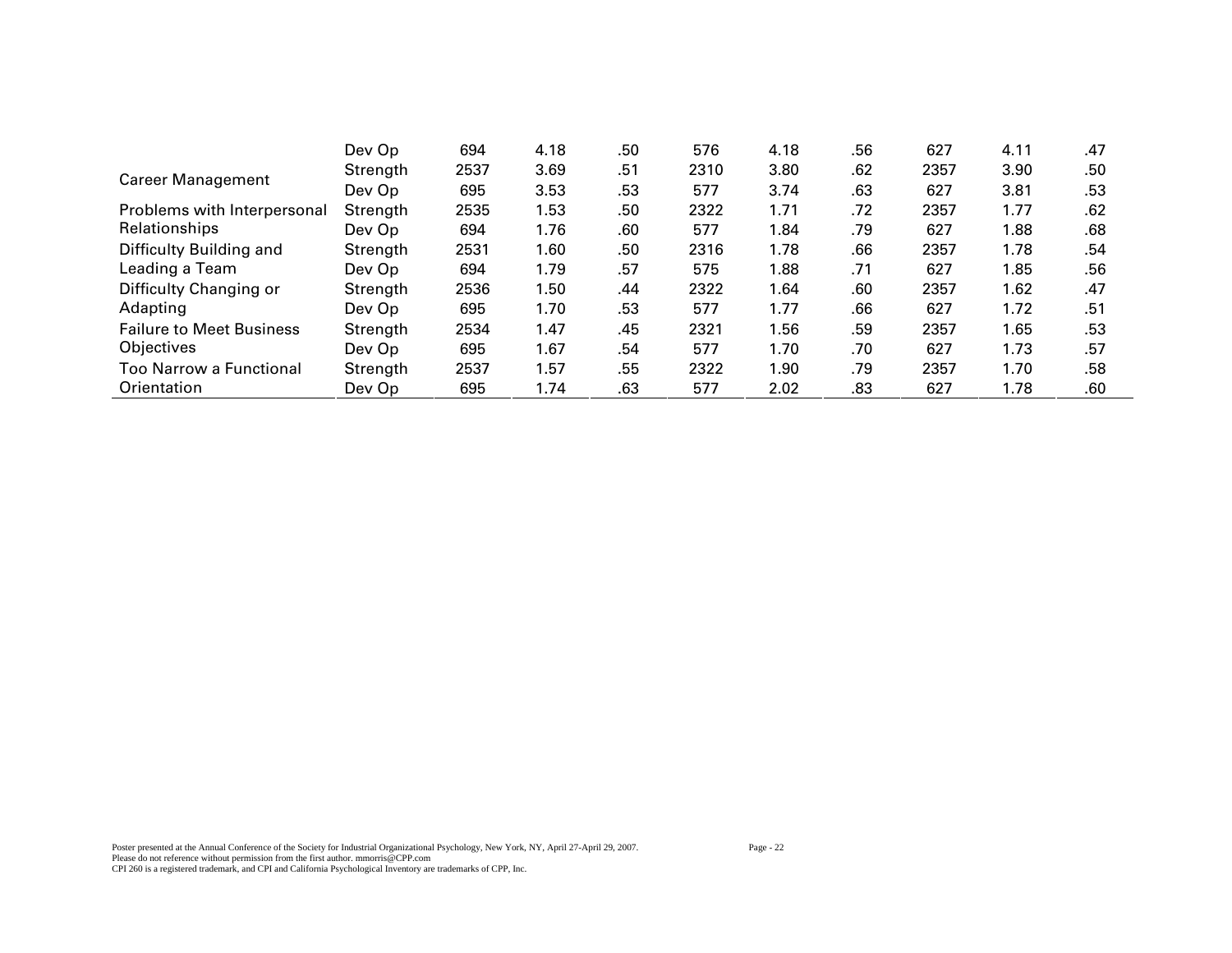|                                 | Dev Op   | 694  | 4.18 | .50 | 576  | 4.18 | .56 | 627  | 4.11 | .47 |
|---------------------------------|----------|------|------|-----|------|------|-----|------|------|-----|
| <b>Career Management</b>        | Strength | 2537 | 3.69 | .51 | 2310 | 3.80 | .62 | 2357 | 3.90 | .50 |
|                                 | Dev Op   | 695  | 3.53 | .53 | 577  | 3.74 | .63 | 627  | 3.81 | .53 |
| Problems with Interpersonal     | Strength | 2535 | 1.53 | .50 | 2322 | 1.71 | .72 | 2357 | 1.77 | .62 |
| Relationships                   | Dev Op   | 694  | 1.76 | .60 | 577  | 1.84 | .79 | 627  | 1.88 | .68 |
| Difficulty Building and         | Strength | 2531 | 1.60 | .50 | 2316 | 1.78 | .66 | 2357 | 1.78 | .54 |
| Leading a Team                  | Dev Op   | 694  | 1.79 | .57 | 575  | 1.88 | .71 | 627  | 1.85 | .56 |
| Difficulty Changing or          | Strength | 2536 | 1.50 | .44 | 2322 | 1.64 | .60 | 2357 | 1.62 | .47 |
| Adapting                        | Dev Op   | 695  | 1.70 | .53 | 577  | 1.77 | .66 | 627  | 1.72 | .51 |
| <b>Failure to Meet Business</b> | Strength | 2534 | 1.47 | .45 | 2321 | 1.56 | .59 | 2357 | 1.65 | .53 |
| Objectives                      | Dev Op   | 695  | 1.67 | .54 | 577  | 1.70 | .70 | 627  | 1.73 | .57 |
| Too Narrow a Functional         | Strength | 2537 | 1.57 | .55 | 2322 | 1.90 | .79 | 2357 | 1.70 | .58 |
| Orientation                     | Dev Op   | 695  | 1.74 | .63 | 577  | 2.02 | .83 | 627  | 1.78 | .60 |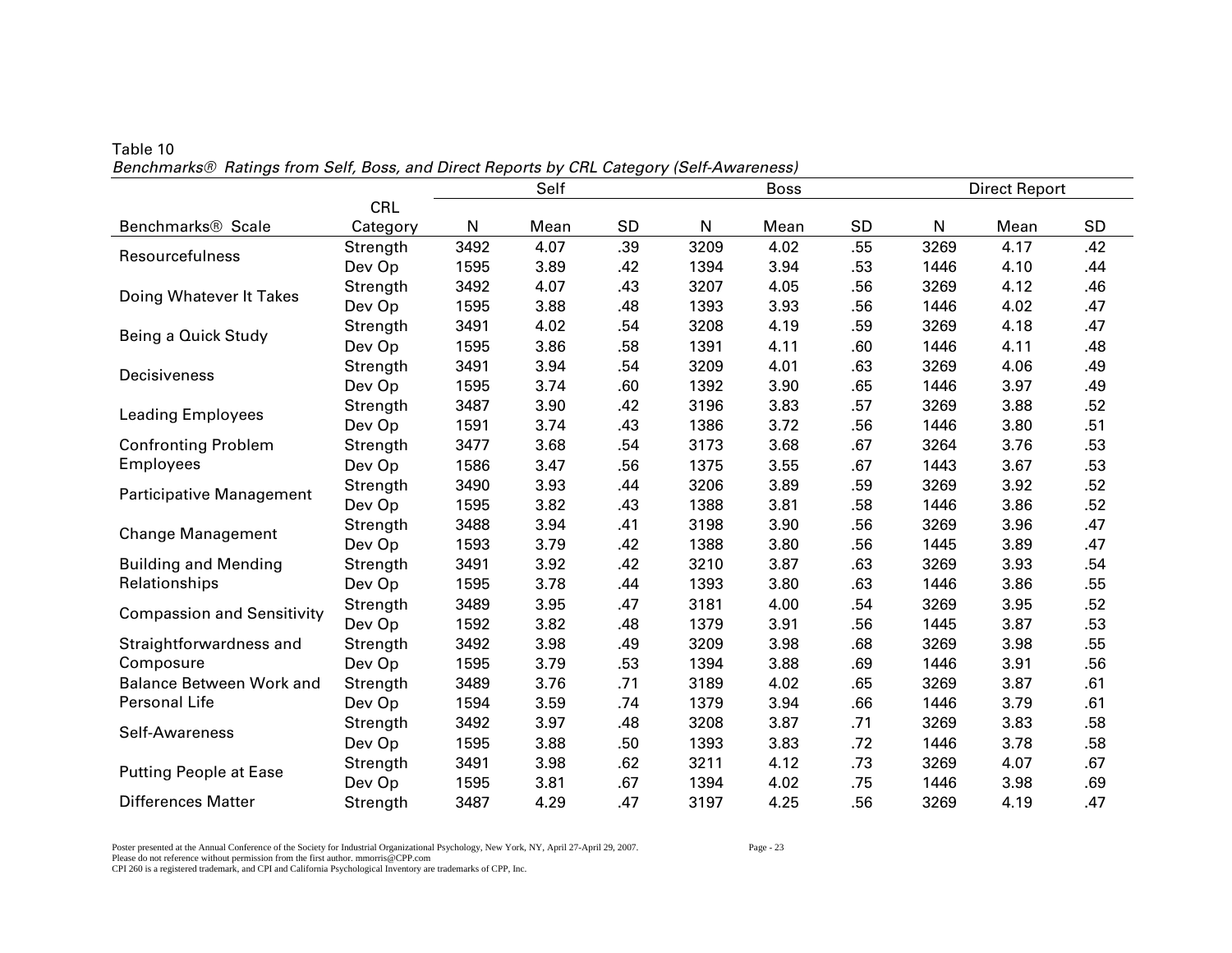|                                   | Self<br><b>Boss</b><br><b>Direct Report</b> |      |      |     |      |      |           |      |      |           |
|-----------------------------------|---------------------------------------------|------|------|-----|------|------|-----------|------|------|-----------|
|                                   |                                             |      |      |     |      |      |           |      |      |           |
|                                   | CRL                                         |      |      |     |      |      |           |      |      |           |
| Benchmarks <sup>®</sup> Scale     | Category                                    | N    | Mean | SD  | N    | Mean | <b>SD</b> | N    | Mean | <b>SD</b> |
| Resourcefulness                   | Strength                                    | 3492 | 4.07 | .39 | 3209 | 4.02 | .55       | 3269 | 4.17 | .42       |
|                                   | Dev Op                                      | 1595 | 3.89 | .42 | 1394 | 3.94 | .53       | 1446 | 4.10 | .44       |
| Doing Whatever It Takes           | Strength                                    | 3492 | 4.07 | .43 | 3207 | 4.05 | .56       | 3269 | 4.12 | .46       |
|                                   | Dev Op                                      | 1595 | 3.88 | .48 | 1393 | 3.93 | .56       | 1446 | 4.02 | .47       |
| Being a Quick Study               | Strength                                    | 3491 | 4.02 | .54 | 3208 | 4.19 | .59       | 3269 | 4.18 | .47       |
|                                   | Dev Op                                      | 1595 | 3.86 | .58 | 1391 | 4.11 | .60       | 1446 | 4.11 | .48       |
| Decisiveness                      | Strength                                    | 3491 | 3.94 | .54 | 3209 | 4.01 | .63       | 3269 | 4.06 | .49       |
|                                   | Dev Op                                      | 1595 | 3.74 | .60 | 1392 | 3.90 | .65       | 1446 | 3.97 | .49       |
| <b>Leading Employees</b>          | Strength                                    | 3487 | 3.90 | .42 | 3196 | 3.83 | .57       | 3269 | 3.88 | .52       |
|                                   | Dev Op                                      | 1591 | 3.74 | .43 | 1386 | 3.72 | .56       | 1446 | 3.80 | .51       |
| <b>Confronting Problem</b>        | Strength                                    | 3477 | 3.68 | .54 | 3173 | 3.68 | .67       | 3264 | 3.76 | .53       |
| <b>Employees</b>                  | Dev Op                                      | 1586 | 3.47 | .56 | 1375 | 3.55 | .67       | 1443 | 3.67 | .53       |
| <b>Participative Management</b>   | Strength                                    | 3490 | 3.93 | .44 | 3206 | 3.89 | .59       | 3269 | 3.92 | .52       |
|                                   | Dev Op                                      | 1595 | 3.82 | .43 | 1388 | 3.81 | .58       | 1446 | 3.86 | .52       |
| <b>Change Management</b>          | Strength                                    | 3488 | 3.94 | .41 | 3198 | 3.90 | .56       | 3269 | 3.96 | .47       |
|                                   | Dev Op                                      | 1593 | 3.79 | .42 | 1388 | 3.80 | .56       | 1445 | 3.89 | .47       |
| <b>Building and Mending</b>       | Strength                                    | 3491 | 3.92 | .42 | 3210 | 3.87 | .63       | 3269 | 3.93 | .54       |
| Relationships                     | Dev Op                                      | 1595 | 3.78 | .44 | 1393 | 3.80 | .63       | 1446 | 3.86 | .55       |
|                                   | Strength                                    | 3489 | 3.95 | .47 | 3181 | 4.00 | .54       | 3269 | 3.95 | .52       |
| <b>Compassion and Sensitivity</b> | Dev Op                                      | 1592 | 3.82 | .48 | 1379 | 3.91 | .56       | 1445 | 3.87 | .53       |
| Straightforwardness and           | Strength                                    | 3492 | 3.98 | .49 | 3209 | 3.98 | .68       | 3269 | 3.98 | .55       |
| Composure                         | Dev Op                                      | 1595 | 3.79 | .53 | 1394 | 3.88 | .69       | 1446 | 3.91 | .56       |
| <b>Balance Between Work and</b>   | Strength                                    | 3489 | 3.76 | .71 | 3189 | 4.02 | .65       | 3269 | 3.87 | .61       |
| Personal Life                     | Dev Op                                      | 1594 | 3.59 | .74 | 1379 | 3.94 | .66       | 1446 | 3.79 | .61       |
|                                   | Strength                                    | 3492 | 3.97 | .48 | 3208 | 3.87 | .71       | 3269 | 3.83 | .58       |
| Self-Awareness                    | Dev Op                                      | 1595 | 3.88 | .50 | 1393 | 3.83 | .72       | 1446 | 3.78 | .58       |
|                                   | Strength                                    | 3491 | 3.98 | .62 | 3211 | 4.12 | .73       | 3269 | 4.07 | .67       |
| <b>Putting People at Ease</b>     | Dev Op                                      | 1595 | 3.81 | .67 | 1394 | 4.02 | .75       | 1446 | 3.98 | .69       |
| <b>Differences Matter</b>         | Strength                                    | 3487 | 4.29 | .47 | 3197 | 4.25 | .56       | 3269 | 4.19 | .47       |

Table 10 *Benchmarks® Ratings from Self, Boss, and Direct Reports by CRL Category (Self-Awareness)* 

Poster presented at the Annual Conference of the Society for Industrial Organizational Psychology, New York, NY, April 27-April 29, 2007. Page - 23 Please do not reference without permission from the first author. mmorris@CPP.com CPI 260 is a registered trademark, and CPI and California Psychological Inventory are trademarks of CPP, Inc.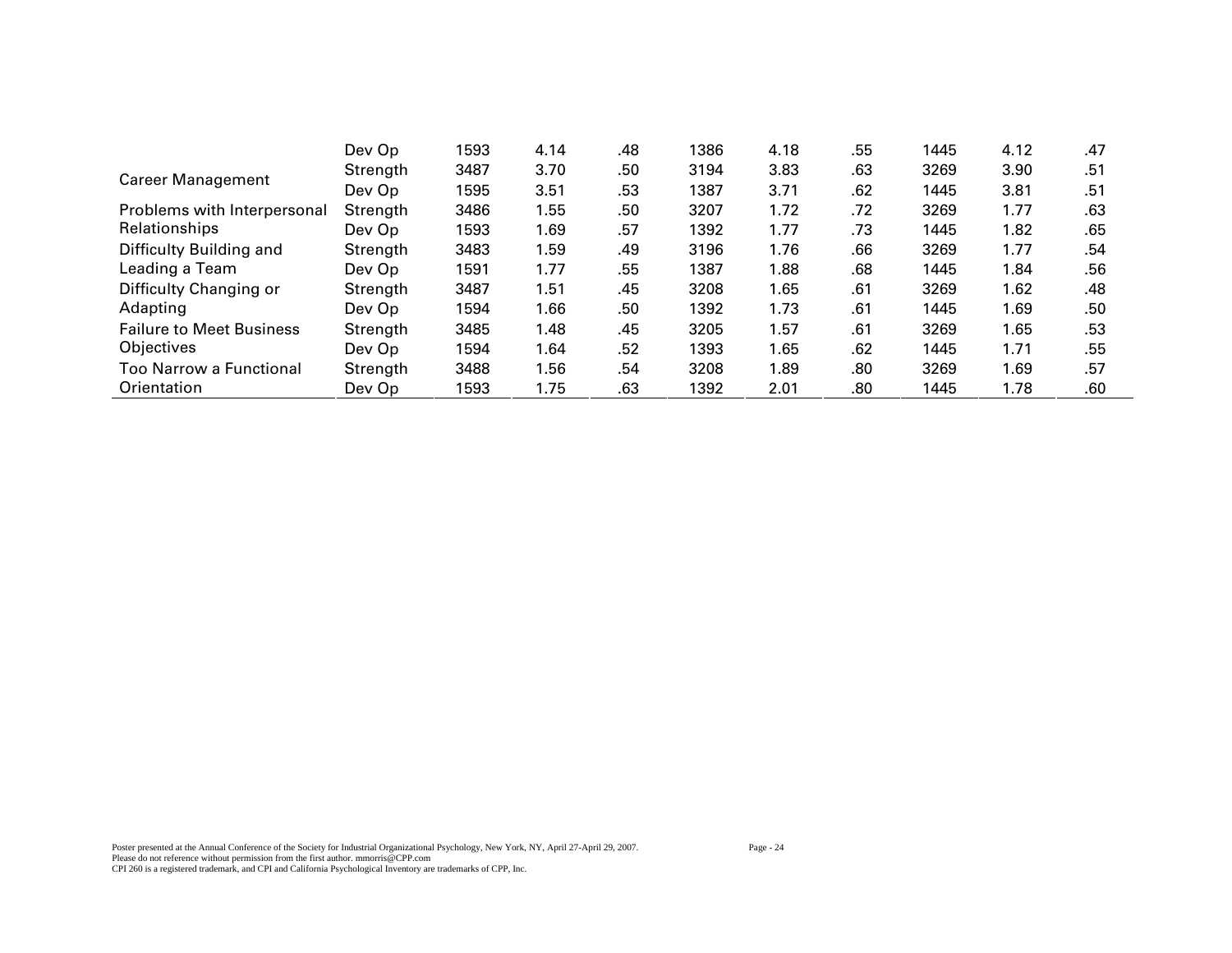|                                 | Dev Op   | 1593 | 4.14 | .48 | 1386 | 4.18 | .55 | 1445 | 4.12 | .47 |
|---------------------------------|----------|------|------|-----|------|------|-----|------|------|-----|
| <b>Career Management</b>        | Strength | 3487 | 3.70 | .50 | 3194 | 3.83 | .63 | 3269 | 3.90 | .51 |
|                                 | Dev Op   | 1595 | 3.51 | .53 | 1387 | 3.71 | .62 | 1445 | 3.81 | .51 |
| Problems with Interpersonal     | Strength | 3486 | 1.55 | .50 | 3207 | 1.72 | .72 | 3269 | 1.77 | .63 |
| Relationships                   | Dev Op   | 1593 | 1.69 | .57 | 1392 | 1.77 | .73 | 1445 | 1.82 | .65 |
| Difficulty Building and         | Strength | 3483 | 1.59 | .49 | 3196 | 1.76 | .66 | 3269 | 1.77 | .54 |
| Leading a Team                  | Dev Op   | 1591 | 1.77 | .55 | 1387 | 1.88 | .68 | 1445 | 1.84 | .56 |
| Difficulty Changing or          | Strength | 3487 | 1.51 | .45 | 3208 | 1.65 | .61 | 3269 | 1.62 | .48 |
| Adapting                        | Dev Op   | 1594 | 1.66 | .50 | 1392 | 1.73 | .61 | 1445 | 1.69 | .50 |
| <b>Failure to Meet Business</b> | Strength | 3485 | 1.48 | .45 | 3205 | 1.57 | .61 | 3269 | 1.65 | .53 |
| Objectives                      | Dev Op   | 1594 | 1.64 | .52 | 1393 | 1.65 | .62 | 1445 | 1.71 | .55 |
| Too Narrow a Functional         | Strength | 3488 | 1.56 | .54 | 3208 | 1.89 | .80 | 3269 | 1.69 | .57 |
| Orientation                     | Dev Op   | 1593 | 1.75 | .63 | 1392 | 2.01 | .80 | 1445 | 1.78 | .60 |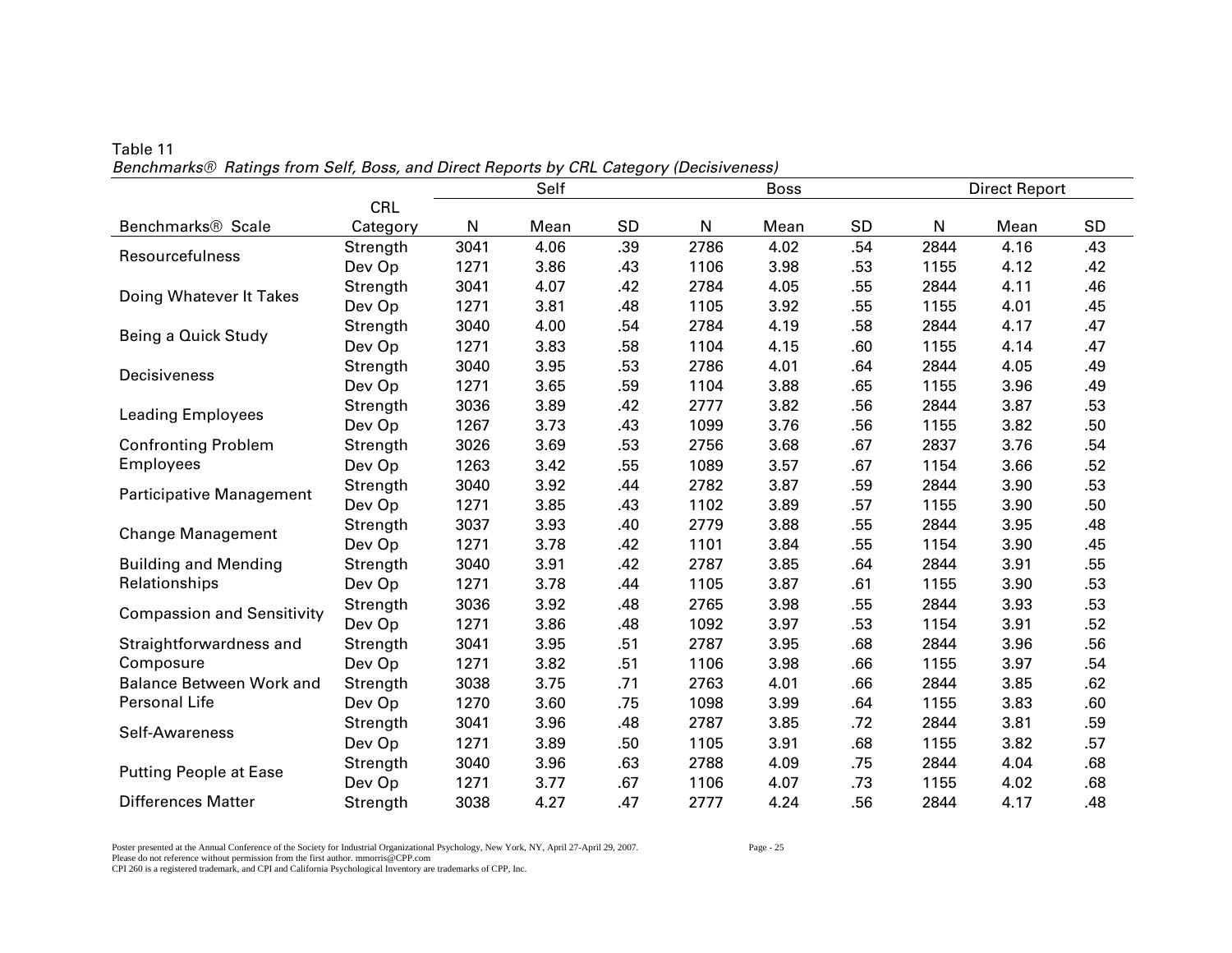|                                   |            | Self<br><b>Boss</b> |      |     |      |      |           |      | <b>Direct Report</b> |     |
|-----------------------------------|------------|---------------------|------|-----|------|------|-----------|------|----------------------|-----|
|                                   | <b>CRL</b> |                     |      |     |      |      |           |      |                      |     |
| Benchmarks <sup>®</sup> Scale     | Category   | N                   | Mean | SD  | N    | Mean | <b>SD</b> | N    | Mean                 | SD  |
| Resourcefulness                   | Strength   | 3041                | 4.06 | .39 | 2786 | 4.02 | .54       | 2844 | 4.16                 | .43 |
|                                   | Dev Op     | 1271                | 3.86 | .43 | 1106 | 3.98 | .53       | 1155 | 4.12                 | .42 |
| Doing Whatever It Takes           | Strength   | 3041                | 4.07 | .42 | 2784 | 4.05 | .55       | 2844 | 4.11                 | .46 |
|                                   | Dev Op     | 1271                | 3.81 | .48 | 1105 | 3.92 | .55       | 1155 | 4.01                 | .45 |
| Being a Quick Study               | Strength   | 3040                | 4.00 | .54 | 2784 | 4.19 | .58       | 2844 | 4.17                 | .47 |
|                                   | Dev Op     | 1271                | 3.83 | .58 | 1104 | 4.15 | .60       | 1155 | 4.14                 | .47 |
| Decisiveness                      | Strength   | 3040                | 3.95 | .53 | 2786 | 4.01 | .64       | 2844 | 4.05                 | .49 |
|                                   | Dev Op     | 1271                | 3.65 | .59 | 1104 | 3.88 | .65       | 1155 | 3.96                 | .49 |
| <b>Leading Employees</b>          | Strength   | 3036                | 3.89 | .42 | 2777 | 3.82 | .56       | 2844 | 3.87                 | .53 |
|                                   | Dev Op     | 1267                | 3.73 | .43 | 1099 | 3.76 | .56       | 1155 | 3.82                 | .50 |
| <b>Confronting Problem</b>        | Strength   | 3026                | 3.69 | .53 | 2756 | 3.68 | .67       | 2837 | 3.76                 | .54 |
| <b>Employees</b>                  | Dev Op     | 1263                | 3.42 | .55 | 1089 | 3.57 | .67       | 1154 | 3.66                 | .52 |
| <b>Participative Management</b>   | Strength   | 3040                | 3.92 | .44 | 2782 | 3.87 | .59       | 2844 | 3.90                 | .53 |
|                                   | Dev Op     | 1271                | 3.85 | .43 | 1102 | 3.89 | .57       | 1155 | 3.90                 | .50 |
| <b>Change Management</b>          | Strength   | 3037                | 3.93 | .40 | 2779 | 3.88 | .55       | 2844 | 3.95                 | .48 |
|                                   | Dev Op     | 1271                | 3.78 | .42 | 1101 | 3.84 | .55       | 1154 | 3.90                 | .45 |
| <b>Building and Mending</b>       | Strength   | 3040                | 3.91 | .42 | 2787 | 3.85 | .64       | 2844 | 3.91                 | .55 |
| Relationships                     | Dev Op     | 1271                | 3.78 | .44 | 1105 | 3.87 | .61       | 1155 | 3.90                 | .53 |
| <b>Compassion and Sensitivity</b> | Strength   | 3036                | 3.92 | .48 | 2765 | 3.98 | .55       | 2844 | 3.93                 | .53 |
|                                   | Dev Op     | 1271                | 3.86 | .48 | 1092 | 3.97 | .53       | 1154 | 3.91                 | .52 |
| Straightforwardness and           | Strength   | 3041                | 3.95 | .51 | 2787 | 3.95 | .68       | 2844 | 3.96                 | .56 |
| Composure                         | Dev Op     | 1271                | 3.82 | .51 | 1106 | 3.98 | .66       | 1155 | 3.97                 | .54 |
| <b>Balance Between Work and</b>   | Strength   | 3038                | 3.75 | .71 | 2763 | 4.01 | .66       | 2844 | 3.85                 | .62 |
| Personal Life                     | Dev Op     | 1270                | 3.60 | .75 | 1098 | 3.99 | .64       | 1155 | 3.83                 | .60 |
| Self-Awareness                    | Strength   | 3041                | 3.96 | .48 | 2787 | 3.85 | .72       | 2844 | 3.81                 | .59 |
|                                   | Dev Op     | 1271                | 3.89 | .50 | 1105 | 3.91 | .68       | 1155 | 3.82                 | .57 |
| <b>Putting People at Ease</b>     | Strength   | 3040                | 3.96 | .63 | 2788 | 4.09 | .75       | 2844 | 4.04                 | .68 |
|                                   | Dev Op     | 1271                | 3.77 | .67 | 1106 | 4.07 | .73       | 1155 | 4.02                 | .68 |
| <b>Differences Matter</b>         | Strength   | 3038                | 4.27 | .47 | 2777 | 4.24 | .56       | 2844 | 4.17                 | .48 |

Table 11 *Benchmarks® Ratings from Self, Boss, and Direct Reports by CRL Category (Decisiveness)* 

Poster presented at the Annual Conference of the Society for Industrial Organizational Psychology, New York, NY, April 27-April 29, 2007. Page - 25 Please do not reference without permission from the first author. mmorris@CPP.com CPI 260 is a registered trademark, and CPI and California Psychological Inventory are trademarks of CPP, Inc.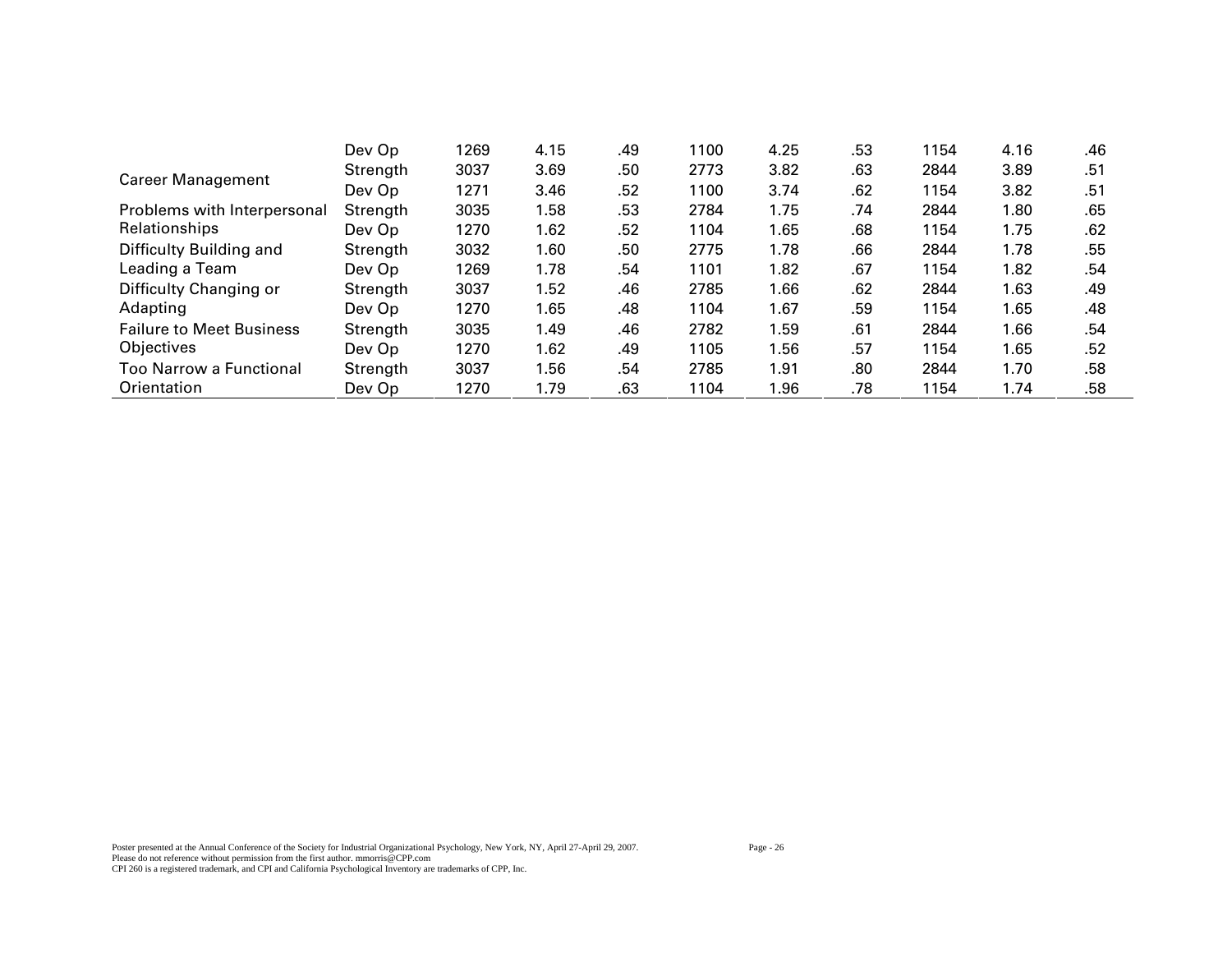|                                 | Dev Op   | 1269 | 4.15 | .49 | 1100 | 4.25 | .53 | 1154 | 4.16 | .46 |
|---------------------------------|----------|------|------|-----|------|------|-----|------|------|-----|
| <b>Career Management</b>        | Strength | 3037 | 3.69 | .50 | 2773 | 3.82 | .63 | 2844 | 3.89 | .51 |
|                                 | Dev Op   | 1271 | 3.46 | .52 | 1100 | 3.74 | .62 | 1154 | 3.82 | .51 |
| Problems with Interpersonal     | Strength | 3035 | 1.58 | .53 | 2784 | 1.75 | .74 | 2844 | 1.80 | .65 |
| Relationships                   | Dev Op   | 1270 | 1.62 | .52 | 1104 | 1.65 | .68 | 1154 | 1.75 | .62 |
| Difficulty Building and         | Strength | 3032 | 1.60 | .50 | 2775 | 1.78 | .66 | 2844 | 1.78 | .55 |
| Leading a Team                  | Dev Op   | 1269 | 1.78 | .54 | 1101 | 1.82 | .67 | 1154 | 1.82 | .54 |
| Difficulty Changing or          | Strength | 3037 | 1.52 | .46 | 2785 | 1.66 | .62 | 2844 | 1.63 | .49 |
| Adapting                        | Dev Op   | 1270 | 1.65 | .48 | 1104 | 1.67 | .59 | 1154 | 1.65 | .48 |
| <b>Failure to Meet Business</b> | Strength | 3035 | 1.49 | .46 | 2782 | 1.59 | .61 | 2844 | 1.66 | .54 |
| Objectives                      | Dev Op   | 1270 | 1.62 | .49 | 1105 | 1.56 | .57 | 1154 | 1.65 | .52 |
| Too Narrow a Functional         | Strength | 3037 | 1.56 | .54 | 2785 | 1.91 | .80 | 2844 | 1.70 | .58 |
| Orientation                     | Dev Op   | 1270 | 1.79 | .63 | 1104 | 1.96 | .78 | 1154 | 1.74 | .58 |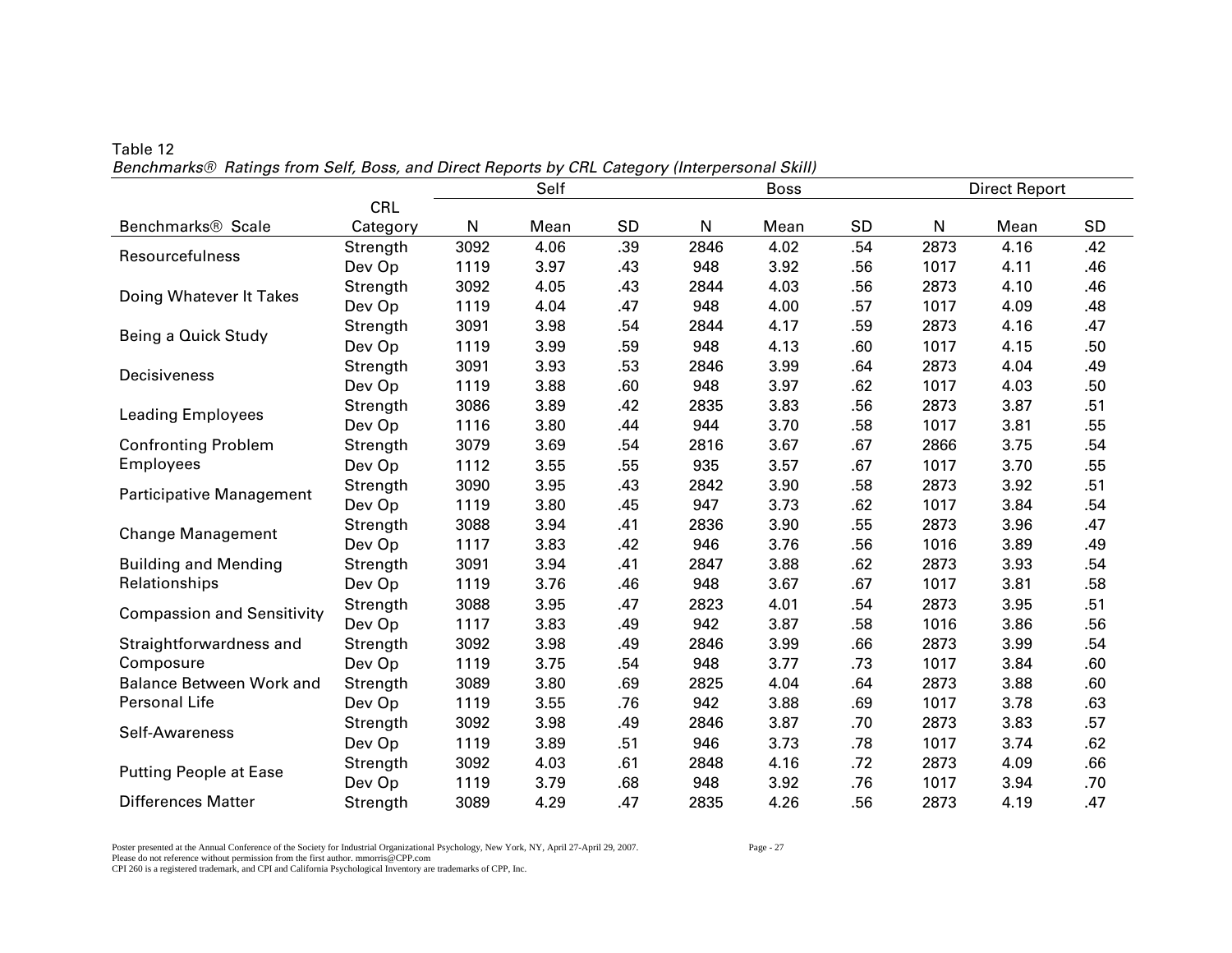|                                   |          | Self<br><b>Boss</b> |      |     |      |      |           |      | <b>Direct Report</b> |           |
|-----------------------------------|----------|---------------------|------|-----|------|------|-----------|------|----------------------|-----------|
|                                   | CRL      |                     |      |     |      |      |           |      |                      |           |
| Benchmarks <sup>®</sup> Scale     | Category | N                   | Mean | SD  | N    | Mean | <b>SD</b> | N    | Mean                 | <b>SD</b> |
| Resourcefulness                   | Strength | 3092                | 4.06 | .39 | 2846 | 4.02 | .54       | 2873 | 4.16                 | .42       |
|                                   | Dev Op   | 1119                | 3.97 | .43 | 948  | 3.92 | .56       | 1017 | 4.11                 | .46       |
| Doing Whatever It Takes           | Strength | 3092                | 4.05 | .43 | 2844 | 4.03 | .56       | 2873 | 4.10                 | .46       |
|                                   | Dev Op   | 1119                | 4.04 | .47 | 948  | 4.00 | .57       | 1017 | 4.09                 | .48       |
| Being a Quick Study               | Strength | 3091                | 3.98 | .54 | 2844 | 4.17 | .59       | 2873 | 4.16                 | .47       |
|                                   | Dev Op   | 1119                | 3.99 | .59 | 948  | 4.13 | .60       | 1017 | 4.15                 | .50       |
| Decisiveness                      | Strength | 3091                | 3.93 | .53 | 2846 | 3.99 | .64       | 2873 | 4.04                 | .49       |
|                                   | Dev Op   | 1119                | 3.88 | .60 | 948  | 3.97 | .62       | 1017 | 4.03                 | .50       |
| <b>Leading Employees</b>          | Strength | 3086                | 3.89 | .42 | 2835 | 3.83 | .56       | 2873 | 3.87                 | .51       |
|                                   | Dev Op   | 1116                | 3.80 | .44 | 944  | 3.70 | .58       | 1017 | 3.81                 | .55       |
| <b>Confronting Problem</b>        | Strength | 3079                | 3.69 | .54 | 2816 | 3.67 | .67       | 2866 | 3.75                 | .54       |
| <b>Employees</b>                  | Dev Op   | 1112                | 3.55 | .55 | 935  | 3.57 | .67       | 1017 | 3.70                 | .55       |
| <b>Participative Management</b>   | Strength | 3090                | 3.95 | .43 | 2842 | 3.90 | .58       | 2873 | 3.92                 | .51       |
|                                   | Dev Op   | 1119                | 3.80 | .45 | 947  | 3.73 | .62       | 1017 | 3.84                 | .54       |
| <b>Change Management</b>          | Strength | 3088                | 3.94 | .41 | 2836 | 3.90 | .55       | 2873 | 3.96                 | .47       |
|                                   | Dev Op   | 1117                | 3.83 | .42 | 946  | 3.76 | .56       | 1016 | 3.89                 | .49       |
| <b>Building and Mending</b>       | Strength | 3091                | 3.94 | .41 | 2847 | 3.88 | .62       | 2873 | 3.93                 | .54       |
| Relationships                     | Dev Op   | 1119                | 3.76 | .46 | 948  | 3.67 | .67       | 1017 | 3.81                 | .58       |
| <b>Compassion and Sensitivity</b> | Strength | 3088                | 3.95 | .47 | 2823 | 4.01 | .54       | 2873 | 3.95                 | .51       |
|                                   | Dev Op   | 1117                | 3.83 | .49 | 942  | 3.87 | .58       | 1016 | 3.86                 | .56       |
| Straightforwardness and           | Strength | 3092                | 3.98 | .49 | 2846 | 3.99 | .66       | 2873 | 3.99                 | .54       |
| Composure                         | Dev Op   | 1119                | 3.75 | .54 | 948  | 3.77 | .73       | 1017 | 3.84                 | .60       |
| <b>Balance Between Work and</b>   | Strength | 3089                | 3.80 | .69 | 2825 | 4.04 | .64       | 2873 | 3.88                 | .60       |
| Personal Life                     | Dev Op   | 1119                | 3.55 | .76 | 942  | 3.88 | .69       | 1017 | 3.78                 | .63       |
| Self-Awareness                    | Strength | 3092                | 3.98 | .49 | 2846 | 3.87 | .70       | 2873 | 3.83                 | .57       |
|                                   | Dev Op   | 1119                | 3.89 | .51 | 946  | 3.73 | .78       | 1017 | 3.74                 | .62       |
| <b>Putting People at Ease</b>     | Strength | 3092                | 4.03 | .61 | 2848 | 4.16 | .72       | 2873 | 4.09                 | .66       |
|                                   | Dev Op   | 1119                | 3.79 | .68 | 948  | 3.92 | .76       | 1017 | 3.94                 | .70       |
| <b>Differences Matter</b>         | Strength | 3089                | 4.29 | .47 | 2835 | 4.26 | .56       | 2873 | 4.19                 | .47       |

Table 12 *Benchmarks® Ratings from Self, Boss, and Direct Reports by CRL Category (Interpersonal Skill)* 

Poster presented at the Annual Conference of the Society for Industrial Organizational Psychology, New York, NY, April 27-April 29, 2007. Page - 27 Please do not reference without permission from the first author. mmorris@CPP.com CPI 260 is a registered trademark, and CPI and California Psychological Inventory are trademarks of CPP, Inc.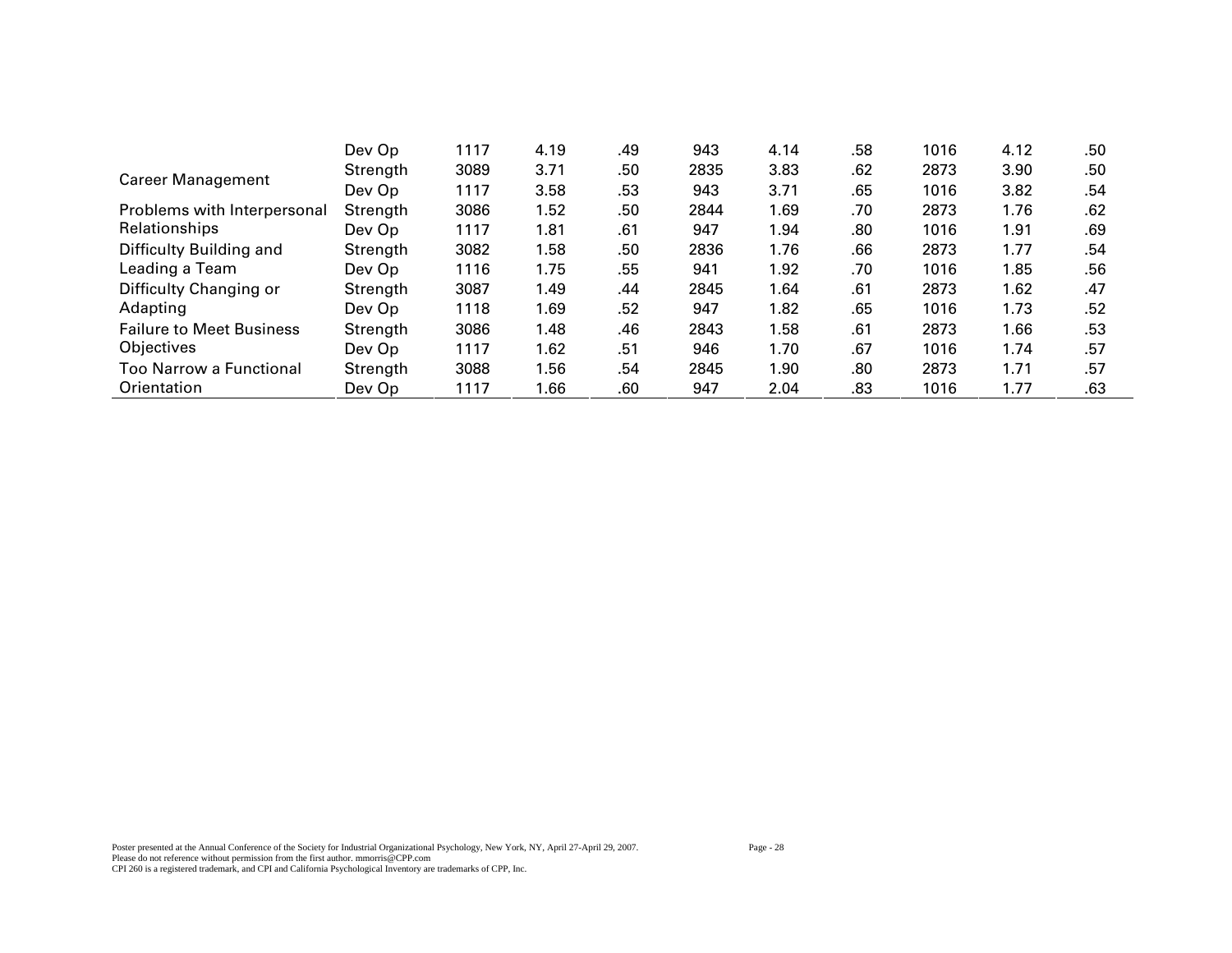|                                 | Dev Op   | 1117 | 4.19 | .49 | 943  | 4.14 | .58 | 1016 | 4.12 | .50 |
|---------------------------------|----------|------|------|-----|------|------|-----|------|------|-----|
| <b>Career Management</b>        | Strength | 3089 | 3.71 | .50 | 2835 | 3.83 | .62 | 2873 | 3.90 | .50 |
|                                 | Dev Op   | 1117 | 3.58 | .53 | 943  | 3.71 | .65 | 1016 | 3.82 | .54 |
| Problems with Interpersonal     | Strength | 3086 | 1.52 | .50 | 2844 | 1.69 | .70 | 2873 | 1.76 | .62 |
| Relationships                   | Dev Op   | 1117 | 1.81 | .61 | 947  | 1.94 | .80 | 1016 | 1.91 | .69 |
| Difficulty Building and         | Strength | 3082 | 1.58 | .50 | 2836 | 1.76 | .66 | 2873 | 1.77 | .54 |
| Leading a Team                  | Dev Op   | 1116 | 1.75 | .55 | 941  | 1.92 | .70 | 1016 | 1.85 | .56 |
| Difficulty Changing or          | Strength | 3087 | 1.49 | .44 | 2845 | 1.64 | .61 | 2873 | 1.62 | .47 |
| Adapting                        | Dev Op   | 1118 | 1.69 | .52 | 947  | 1.82 | .65 | 1016 | 1.73 | .52 |
| <b>Failure to Meet Business</b> | Strength | 3086 | 1.48 | .46 | 2843 | 1.58 | .61 | 2873 | 1.66 | .53 |
| Objectives                      | Dev Op   | 1117 | 1.62 | .51 | 946  | 1.70 | .67 | 1016 | 1.74 | .57 |
| Too Narrow a Functional         | Strength | 3088 | 1.56 | .54 | 2845 | 1.90 | .80 | 2873 | 1.71 | .57 |
| Orientation                     | Dev Op   | 1117 | 1.66 | .60 | 947  | 2.04 | .83 | 1016 | 1.77 | .63 |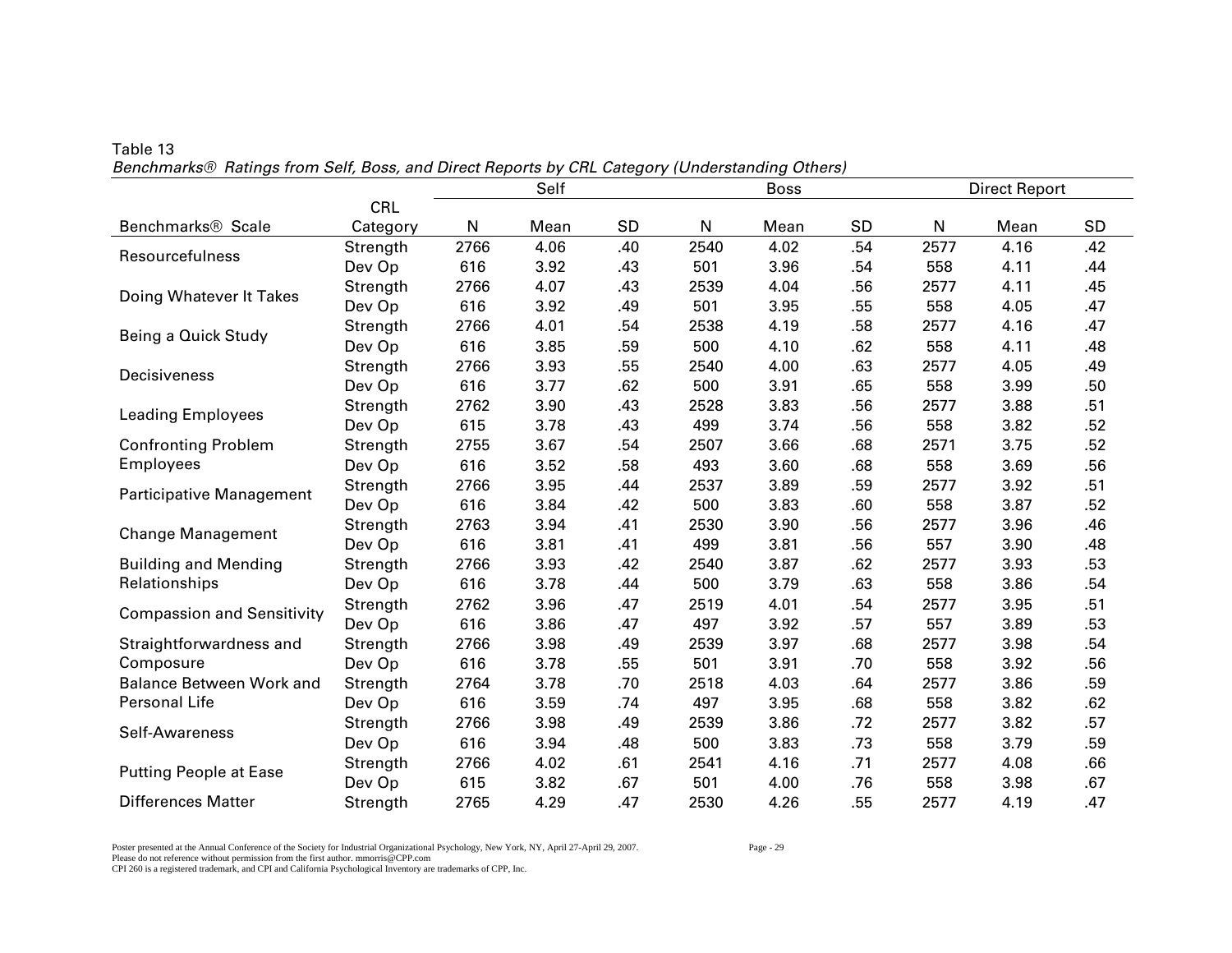|                                   |          | Self<br><b>Boss</b> |      |     |      |      |     | <b>Direct Report</b> |      |     |
|-----------------------------------|----------|---------------------|------|-----|------|------|-----|----------------------|------|-----|
|                                   | CRL      |                     |      |     |      |      |     |                      |      |     |
| Benchmarks <sup>®</sup> Scale     | Category | N                   | Mean | SD  | N    | Mean | SD  | ${\sf N}$            | Mean | SD  |
| Resourcefulness                   | Strength | 2766                | 4.06 | .40 | 2540 | 4.02 | .54 | 2577                 | 4.16 | .42 |
|                                   | Dev Op   | 616                 | 3.92 | .43 | 501  | 3.96 | .54 | 558                  | 4.11 | .44 |
| Doing Whatever It Takes           | Strength | 2766                | 4.07 | .43 | 2539 | 4.04 | .56 | 2577                 | 4.11 | .45 |
|                                   | Dev Op   | 616                 | 3.92 | .49 | 501  | 3.95 | .55 | 558                  | 4.05 | .47 |
| Being a Quick Study               | Strength | 2766                | 4.01 | .54 | 2538 | 4.19 | .58 | 2577                 | 4.16 | .47 |
|                                   | Dev Op   | 616                 | 3.85 | .59 | 500  | 4.10 | .62 | 558                  | 4.11 | .48 |
| Decisiveness                      | Strength | 2766                | 3.93 | .55 | 2540 | 4.00 | .63 | 2577                 | 4.05 | .49 |
|                                   | Dev Op   | 616                 | 3.77 | .62 | 500  | 3.91 | .65 | 558                  | 3.99 | .50 |
| <b>Leading Employees</b>          | Strength | 2762                | 3.90 | .43 | 2528 | 3.83 | .56 | 2577                 | 3.88 | .51 |
|                                   | Dev Op   | 615                 | 3.78 | .43 | 499  | 3.74 | .56 | 558                  | 3.82 | .52 |
| <b>Confronting Problem</b>        | Strength | 2755                | 3.67 | .54 | 2507 | 3.66 | .68 | 2571                 | 3.75 | .52 |
| <b>Employees</b>                  | Dev Op   | 616                 | 3.52 | .58 | 493  | 3.60 | .68 | 558                  | 3.69 | .56 |
| Participative Management          | Strength | 2766                | 3.95 | .44 | 2537 | 3.89 | .59 | 2577                 | 3.92 | .51 |
|                                   | Dev Op   | 616                 | 3.84 | .42 | 500  | 3.83 | .60 | 558                  | 3.87 | .52 |
| <b>Change Management</b>          | Strength | 2763                | 3.94 | .41 | 2530 | 3.90 | .56 | 2577                 | 3.96 | .46 |
|                                   | Dev Op   | 616                 | 3.81 | .41 | 499  | 3.81 | .56 | 557                  | 3.90 | .48 |
| <b>Building and Mending</b>       | Strength | 2766                | 3.93 | .42 | 2540 | 3.87 | .62 | 2577                 | 3.93 | .53 |
| Relationships                     | Dev Op   | 616                 | 3.78 | .44 | 500  | 3.79 | .63 | 558                  | 3.86 | .54 |
| <b>Compassion and Sensitivity</b> | Strength | 2762                | 3.96 | .47 | 2519 | 4.01 | .54 | 2577                 | 3.95 | .51 |
|                                   | Dev Op   | 616                 | 3.86 | .47 | 497  | 3.92 | .57 | 557                  | 3.89 | .53 |
| Straightforwardness and           | Strength | 2766                | 3.98 | .49 | 2539 | 3.97 | .68 | 2577                 | 3.98 | .54 |
| Composure                         | Dev Op   | 616                 | 3.78 | .55 | 501  | 3.91 | .70 | 558                  | 3.92 | .56 |
| <b>Balance Between Work and</b>   | Strength | 2764                | 3.78 | .70 | 2518 | 4.03 | .64 | 2577                 | 3.86 | .59 |
| Personal Life                     | Dev Op   | 616                 | 3.59 | .74 | 497  | 3.95 | .68 | 558                  | 3.82 | .62 |
| Self-Awareness                    | Strength | 2766                | 3.98 | .49 | 2539 | 3.86 | .72 | 2577                 | 3.82 | .57 |
|                                   | Dev Op   | 616                 | 3.94 | .48 | 500  | 3.83 | .73 | 558                  | 3.79 | .59 |
| <b>Putting People at Ease</b>     | Strength | 2766                | 4.02 | .61 | 2541 | 4.16 | .71 | 2577                 | 4.08 | .66 |
|                                   | Dev Op   | 615                 | 3.82 | .67 | 501  | 4.00 | .76 | 558                  | 3.98 | .67 |
| <b>Differences Matter</b>         | Strength | 2765                | 4.29 | .47 | 2530 | 4.26 | .55 | 2577                 | 4.19 | .47 |

Table 13 *Benchmarks® Ratings from Self, Boss, and Direct Reports by CRL Category (Understanding Others)* 

Poster presented at the Annual Conference of the Society for Industrial Organizational Psychology, New York, NY, April 27-April 29, 2007. Page - 29 Please do not reference without permission from the first author. mmorris@CPP.com CPI 260 is a registered trademark, and CPI and California Psychological Inventory are trademarks of CPP, Inc.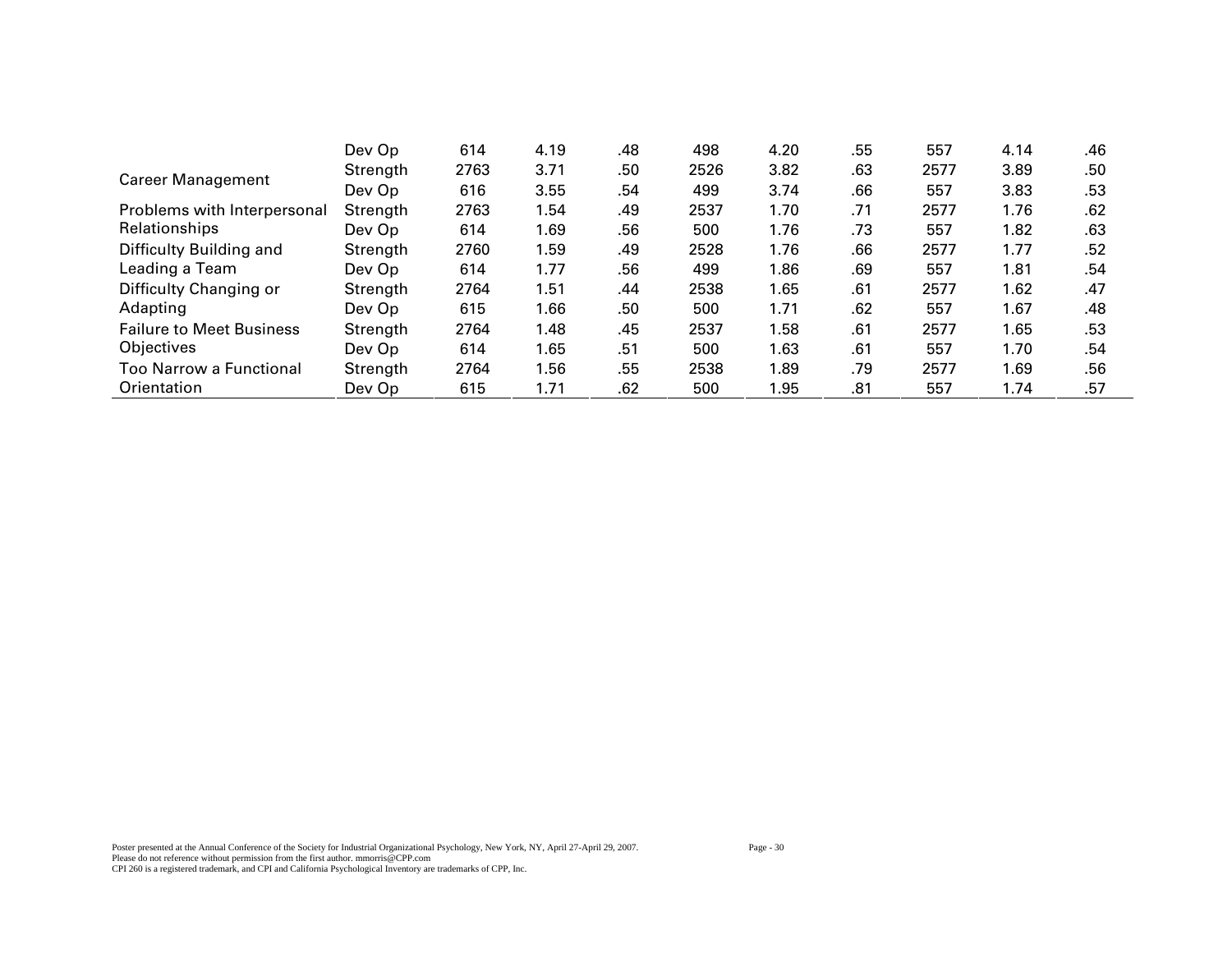|                                 | Dev Op   | 614  | 4.19 | .48 | 498  | 4.20 | .55 | 557  | 4.14 | .46 |
|---------------------------------|----------|------|------|-----|------|------|-----|------|------|-----|
| <b>Career Management</b>        | Strength | 2763 | 3.71 | .50 | 2526 | 3.82 | .63 | 2577 | 3.89 | .50 |
|                                 | Dev Op   | 616  | 3.55 | .54 | 499  | 3.74 | .66 | 557  | 3.83 | .53 |
| Problems with Interpersonal     | Strength | 2763 | 1.54 | .49 | 2537 | 1.70 | .71 | 2577 | 1.76 | .62 |
| Relationships                   | Dev Op   | 614  | 1.69 | .56 | 500  | 1.76 | .73 | 557  | 1.82 | .63 |
| Difficulty Building and         | Strength | 2760 | 1.59 | .49 | 2528 | 1.76 | .66 | 2577 | 1.77 | .52 |
| Leading a Team                  | Dev Op   | 614  | 1.77 | .56 | 499  | 1.86 | .69 | 557  | 1.81 | .54 |
| Difficulty Changing or          | Strength | 2764 | 1.51 | .44 | 2538 | 1.65 | .61 | 2577 | 1.62 | .47 |
| Adapting                        | Dev Op   | 615  | 1.66 | .50 | 500  | 1.71 | .62 | 557  | 1.67 | .48 |
| <b>Failure to Meet Business</b> | Strength | 2764 | 1.48 | .45 | 2537 | 1.58 | .61 | 2577 | 1.65 | .53 |
| Objectives                      | Dev Op   | 614  | 1.65 | .51 | 500  | 1.63 | .61 | 557  | 1.70 | .54 |
| <b>Too Narrow a Functional</b>  | Strength | 2764 | 1.56 | .55 | 2538 | 1.89 | .79 | 2577 | 1.69 | .56 |
| Orientation                     | Dev Op   | 615  | 1.71 | .62 | 500  | 1.95 | .81 | 557  | 1.74 | .57 |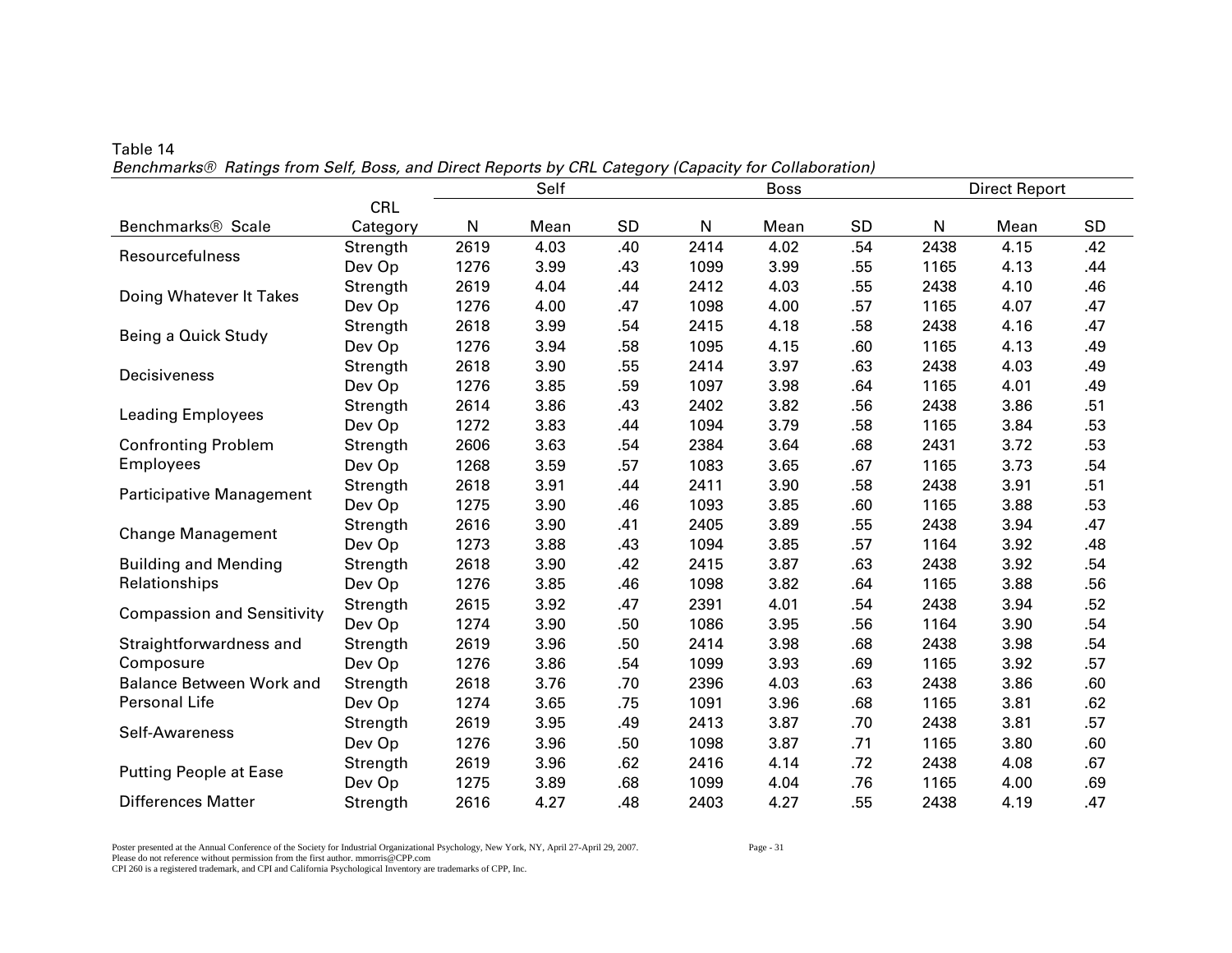|                                   |            |      | Self |     |      | <b>Boss</b> |           |      | <b>Direct Report</b> |           |
|-----------------------------------|------------|------|------|-----|------|-------------|-----------|------|----------------------|-----------|
|                                   | <b>CRL</b> |      |      |     |      |             |           |      |                      |           |
| Benchmarks <sup>®</sup> Scale     | Category   | N    | Mean | SD  | N    | Mean        | <b>SD</b> | N    | Mean                 | <b>SD</b> |
| Resourcefulness                   | Strength   | 2619 | 4.03 | .40 | 2414 | 4.02        | .54       | 2438 | 4.15                 | .42       |
|                                   | Dev Op     | 1276 | 3.99 | .43 | 1099 | 3.99        | .55       | 1165 | 4.13                 | .44       |
| Doing Whatever It Takes           | Strength   | 2619 | 4.04 | .44 | 2412 | 4.03        | .55       | 2438 | 4.10                 | .46       |
|                                   | Dev Op     | 1276 | 4.00 | .47 | 1098 | 4.00        | .57       | 1165 | 4.07                 | .47       |
| Being a Quick Study               | Strength   | 2618 | 3.99 | .54 | 2415 | 4.18        | .58       | 2438 | 4.16                 | .47       |
|                                   | Dev Op     | 1276 | 3.94 | .58 | 1095 | 4.15        | .60       | 1165 | 4.13                 | .49       |
| Decisiveness                      | Strength   | 2618 | 3.90 | .55 | 2414 | 3.97        | .63       | 2438 | 4.03                 | .49       |
|                                   | Dev Op     | 1276 | 3.85 | .59 | 1097 | 3.98        | .64       | 1165 | 4.01                 | .49       |
| <b>Leading Employees</b>          | Strength   | 2614 | 3.86 | .43 | 2402 | 3.82        | .56       | 2438 | 3.86                 | .51       |
|                                   | Dev Op     | 1272 | 3.83 | .44 | 1094 | 3.79        | .58       | 1165 | 3.84                 | .53       |
| <b>Confronting Problem</b>        | Strength   | 2606 | 3.63 | .54 | 2384 | 3.64        | .68       | 2431 | 3.72                 | .53       |
| <b>Employees</b>                  | Dev Op     | 1268 | 3.59 | .57 | 1083 | 3.65        | .67       | 1165 | 3.73                 | .54       |
| Participative Management          | Strength   | 2618 | 3.91 | .44 | 2411 | 3.90        | .58       | 2438 | 3.91                 | .51       |
|                                   | Dev Op     | 1275 | 3.90 | .46 | 1093 | 3.85        | .60       | 1165 | 3.88                 | .53       |
| <b>Change Management</b>          | Strength   | 2616 | 3.90 | .41 | 2405 | 3.89        | .55       | 2438 | 3.94                 | .47       |
|                                   | Dev Op     | 1273 | 3.88 | .43 | 1094 | 3.85        | .57       | 1164 | 3.92                 | .48       |
| <b>Building and Mending</b>       | Strength   | 2618 | 3.90 | .42 | 2415 | 3.87        | .63       | 2438 | 3.92                 | .54       |
| Relationships                     | Dev Op     | 1276 | 3.85 | .46 | 1098 | 3.82        | .64       | 1165 | 3.88                 | .56       |
| <b>Compassion and Sensitivity</b> | Strength   | 2615 | 3.92 | .47 | 2391 | 4.01        | .54       | 2438 | 3.94                 | .52       |
|                                   | Dev Op     | 1274 | 3.90 | .50 | 1086 | 3.95        | .56       | 1164 | 3.90                 | .54       |
| Straightforwardness and           | Strength   | 2619 | 3.96 | .50 | 2414 | 3.98        | .68       | 2438 | 3.98                 | .54       |
| Composure                         | Dev Op     | 1276 | 3.86 | .54 | 1099 | 3.93        | .69       | 1165 | 3.92                 | .57       |
| <b>Balance Between Work and</b>   | Strength   | 2618 | 3.76 | .70 | 2396 | 4.03        | .63       | 2438 | 3.86                 | .60       |
| Personal Life                     | Dev Op     | 1274 | 3.65 | .75 | 1091 | 3.96        | .68       | 1165 | 3.81                 | .62       |
| Self-Awareness                    | Strength   | 2619 | 3.95 | .49 | 2413 | 3.87        | .70       | 2438 | 3.81                 | .57       |
|                                   | Dev Op     | 1276 | 3.96 | .50 | 1098 | 3.87        | .71       | 1165 | 3.80                 | .60       |
| <b>Putting People at Ease</b>     | Strength   | 2619 | 3.96 | .62 | 2416 | 4.14        | .72       | 2438 | 4.08                 | .67       |
|                                   | Dev Op     | 1275 | 3.89 | .68 | 1099 | 4.04        | .76       | 1165 | 4.00                 | .69       |
| <b>Differences Matter</b>         | Strength   | 2616 | 4.27 | .48 | 2403 | 4.27        | .55       | 2438 | 4.19                 | .47       |

Table 14 *Benchmarks® Ratings from Self, Boss, and Direct Reports by CRL Category (Capacity for Collaboration)* 

Poster presented at the Annual Conference of the Society for Industrial Organizational Psychology, New York, NY, April 27-April 29, 2007. Page - 31 Please do not reference without permission from the first author. mmorris@CPP.com CPI 260 is a registered trademark, and CPI and California Psychological Inventory are trademarks of CPP, Inc.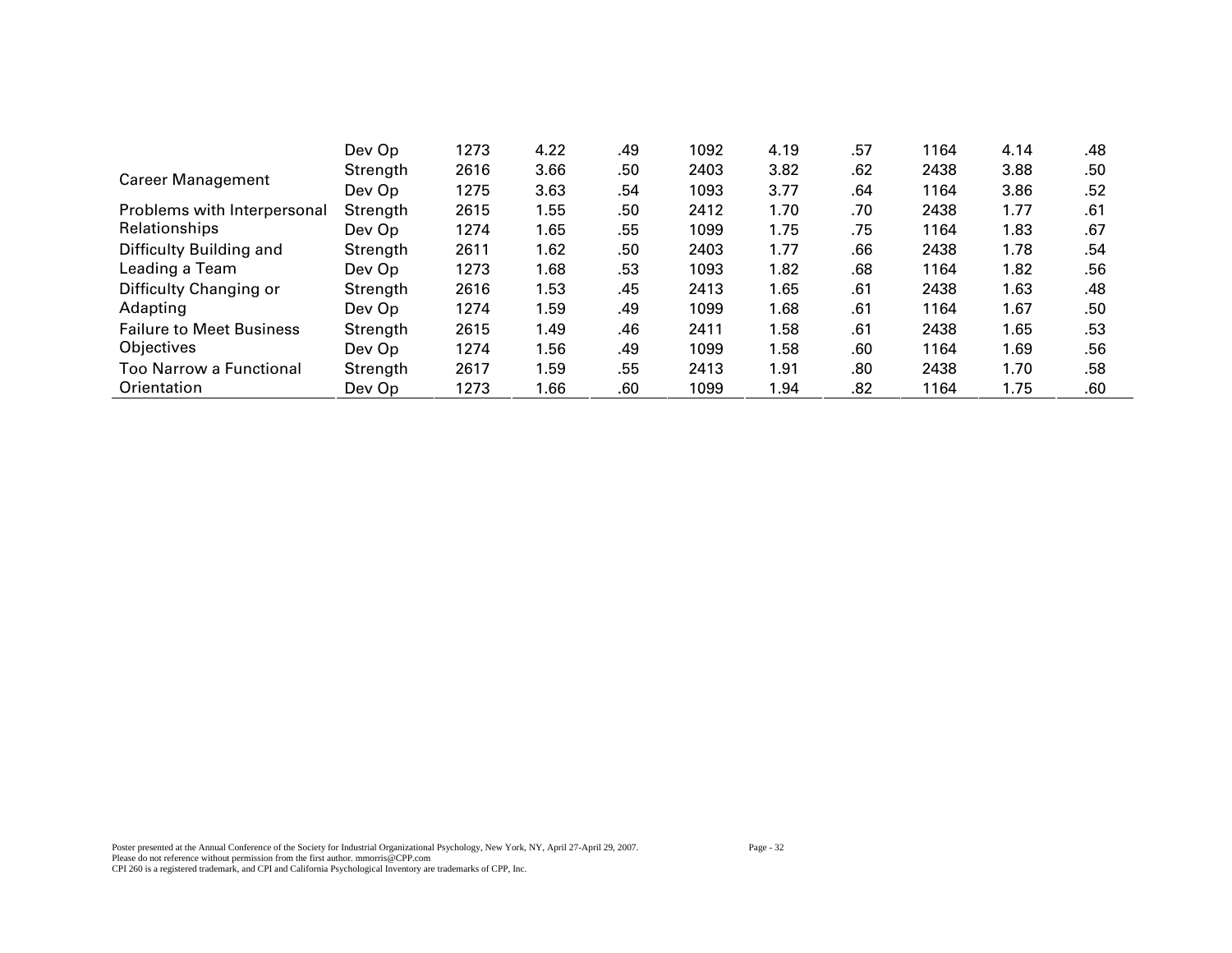|                                 | Dev Op   | 1273 | 4.22 | .49 | 1092 | 4.19 | .57 | 1164 | 4.14 | .48 |
|---------------------------------|----------|------|------|-----|------|------|-----|------|------|-----|
| <b>Career Management</b>        | Strength | 2616 | 3.66 | .50 | 2403 | 3.82 | .62 | 2438 | 3.88 | .50 |
|                                 | Dev Op   | 1275 | 3.63 | .54 | 1093 | 3.77 | .64 | 1164 | 3.86 | .52 |
| Problems with Interpersonal     | Strength | 2615 | 1.55 | .50 | 2412 | 1.70 | .70 | 2438 | 1.77 | .61 |
| Relationships                   | Dev Op   | 1274 | 1.65 | .55 | 1099 | 1.75 | .75 | 1164 | 1.83 | .67 |
| Difficulty Building and         | Strength | 2611 | 1.62 | .50 | 2403 | 1.77 | .66 | 2438 | 1.78 | .54 |
| Leading a Team                  | Dev Op   | 1273 | 1.68 | .53 | 1093 | 1.82 | .68 | 1164 | 1.82 | .56 |
| Difficulty Changing or          | Strength | 2616 | 1.53 | .45 | 2413 | 1.65 | .61 | 2438 | 1.63 | .48 |
| Adapting                        | Dev Op   | 1274 | 1.59 | .49 | 1099 | 1.68 | .61 | 1164 | 1.67 | .50 |
| <b>Failure to Meet Business</b> | Strength | 2615 | 1.49 | .46 | 2411 | 1.58 | .61 | 2438 | 1.65 | .53 |
| Objectives                      | Dev Op   | 1274 | 1.56 | .49 | 1099 | 1.58 | .60 | 1164 | 1.69 | .56 |
| Too Narrow a Functional         | Strength | 2617 | 1.59 | .55 | 2413 | 1.91 | .80 | 2438 | 1.70 | .58 |
| Orientation                     | Dev Op   | 1273 | 1.66 | .60 | 1099 | 1.94 | .82 | 1164 | 1.75 | .60 |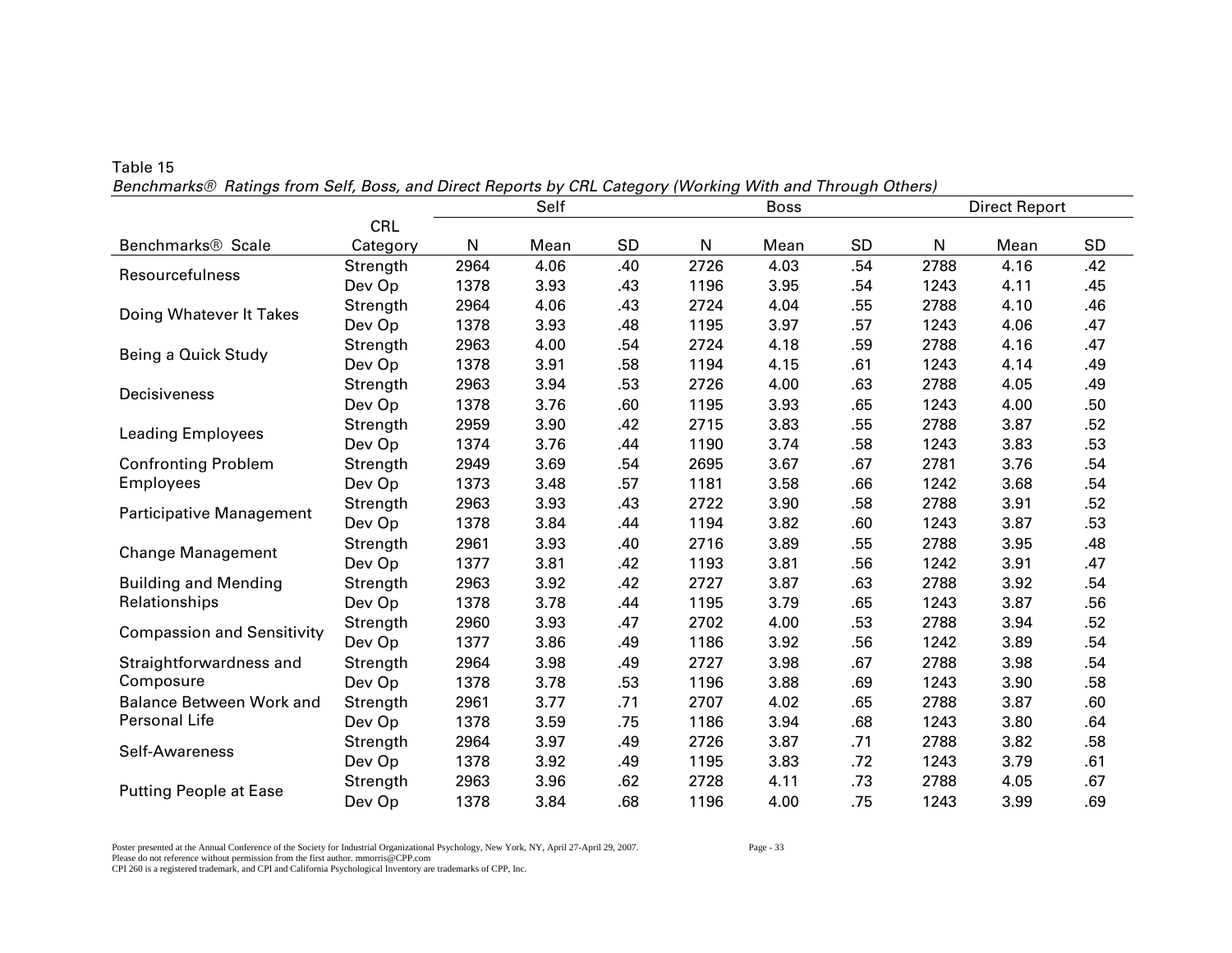| $\sim$ . The mainly non-completely and Direct hoperto by one category pronung rrith and rinoagir cthology |            |      | Self |     |      | <b>Boss</b> |           |      | <b>Direct Report</b> |     |
|-----------------------------------------------------------------------------------------------------------|------------|------|------|-----|------|-------------|-----------|------|----------------------|-----|
|                                                                                                           | <b>CRL</b> |      |      |     |      |             |           |      |                      |     |
| Benchmarks® Scale                                                                                         | Category   | N    | Mean | SD  | N    | Mean        | <b>SD</b> | N    | Mean                 | SD  |
| Resourcefulness                                                                                           | Strength   | 2964 | 4.06 | .40 | 2726 | 4.03        | .54       | 2788 | 4.16                 | .42 |
|                                                                                                           | Dev Op     | 1378 | 3.93 | .43 | 1196 | 3.95        | .54       | 1243 | 4.11                 | .45 |
| Doing Whatever It Takes                                                                                   | Strength   | 2964 | 4.06 | .43 | 2724 | 4.04        | .55       | 2788 | 4.10                 | .46 |
|                                                                                                           | Dev Op     | 1378 | 3.93 | .48 | 1195 | 3.97        | .57       | 1243 | 4.06                 | .47 |
| Being a Quick Study                                                                                       | Strength   | 2963 | 4.00 | .54 | 2724 | 4.18        | .59       | 2788 | 4.16                 | .47 |
|                                                                                                           | Dev Op     | 1378 | 3.91 | .58 | 1194 | 4.15        | .61       | 1243 | 4.14                 | .49 |
| Decisiveness                                                                                              | Strength   | 2963 | 3.94 | .53 | 2726 | 4.00        | .63       | 2788 | 4.05                 | .49 |
|                                                                                                           | Dev Op     | 1378 | 3.76 | .60 | 1195 | 3.93        | .65       | 1243 | 4.00                 | .50 |
| <b>Leading Employees</b>                                                                                  | Strength   | 2959 | 3.90 | .42 | 2715 | 3.83        | .55       | 2788 | 3.87                 | .52 |
|                                                                                                           | Dev Op     | 1374 | 3.76 | .44 | 1190 | 3.74        | .58       | 1243 | 3.83                 | .53 |
| <b>Confronting Problem</b>                                                                                | Strength   | 2949 | 3.69 | .54 | 2695 | 3.67        | .67       | 2781 | 3.76                 | .54 |
| <b>Employees</b>                                                                                          | Dev Op     | 1373 | 3.48 | .57 | 1181 | 3.58        | .66       | 1242 | 3.68                 | .54 |
| Participative Management                                                                                  | Strength   | 2963 | 3.93 | .43 | 2722 | 3.90        | .58       | 2788 | 3.91                 | .52 |
|                                                                                                           | Dev Op     | 1378 | 3.84 | .44 | 1194 | 3.82        | .60       | 1243 | 3.87                 | .53 |
| <b>Change Management</b>                                                                                  | Strength   | 2961 | 3.93 | .40 | 2716 | 3.89        | .55       | 2788 | 3.95                 | .48 |
|                                                                                                           | Dev Op     | 1377 | 3.81 | .42 | 1193 | 3.81        | .56       | 1242 | 3.91                 | .47 |
| <b>Building and Mending</b>                                                                               | Strength   | 2963 | 3.92 | .42 | 2727 | 3.87        | .63       | 2788 | 3.92                 | .54 |
| Relationships                                                                                             | Dev Op     | 1378 | 3.78 | .44 | 1195 | 3.79        | .65       | 1243 | 3.87                 | .56 |
| <b>Compassion and Sensitivity</b>                                                                         | Strength   | 2960 | 3.93 | .47 | 2702 | 4.00        | .53       | 2788 | 3.94                 | .52 |
|                                                                                                           | Dev Op     | 1377 | 3.86 | .49 | 1186 | 3.92        | .56       | 1242 | 3.89                 | .54 |
| Straightforwardness and                                                                                   | Strength   | 2964 | 3.98 | .49 | 2727 | 3.98        | .67       | 2788 | 3.98                 | .54 |
| Composure                                                                                                 | Dev Op     | 1378 | 3.78 | .53 | 1196 | 3.88        | .69       | 1243 | 3.90                 | .58 |
| <b>Balance Between Work and</b>                                                                           | Strength   | 2961 | 3.77 | .71 | 2707 | 4.02        | .65       | 2788 | 3.87                 | .60 |
| Personal Life                                                                                             | Dev Op     | 1378 | 3.59 | .75 | 1186 | 3.94        | .68       | 1243 | 3.80                 | .64 |
| Self-Awareness                                                                                            | Strength   | 2964 | 3.97 | .49 | 2726 | 3.87        | .71       | 2788 | 3.82                 | .58 |
|                                                                                                           | Dev Op     | 1378 | 3.92 | .49 | 1195 | 3.83        | .72       | 1243 | 3.79                 | .61 |
| <b>Putting People at Ease</b>                                                                             | Strength   | 2963 | 3.96 | .62 | 2728 | 4.11        | .73       | 2788 | 4.05                 | .67 |
|                                                                                                           | Dev Op     | 1378 | 3.84 | .68 | 1196 | 4.00        | .75       | 1243 | 3.99                 | .69 |

*Benchmarks® Ratings from Self, Boss, and Direct Reports by CRL Category (Working With and Through Others)* 

Poster presented at the Annual Conference of the Society for Industrial Organizational Psychology, New York, NY, April 27-April 29, 2007.<br>Please do not reference without permission from the first author. mmorris@CPP.com

Table 15

CPI 260 is a registered trademark, and CPI and California Psychological Inventory are trademarks of CPP, Inc.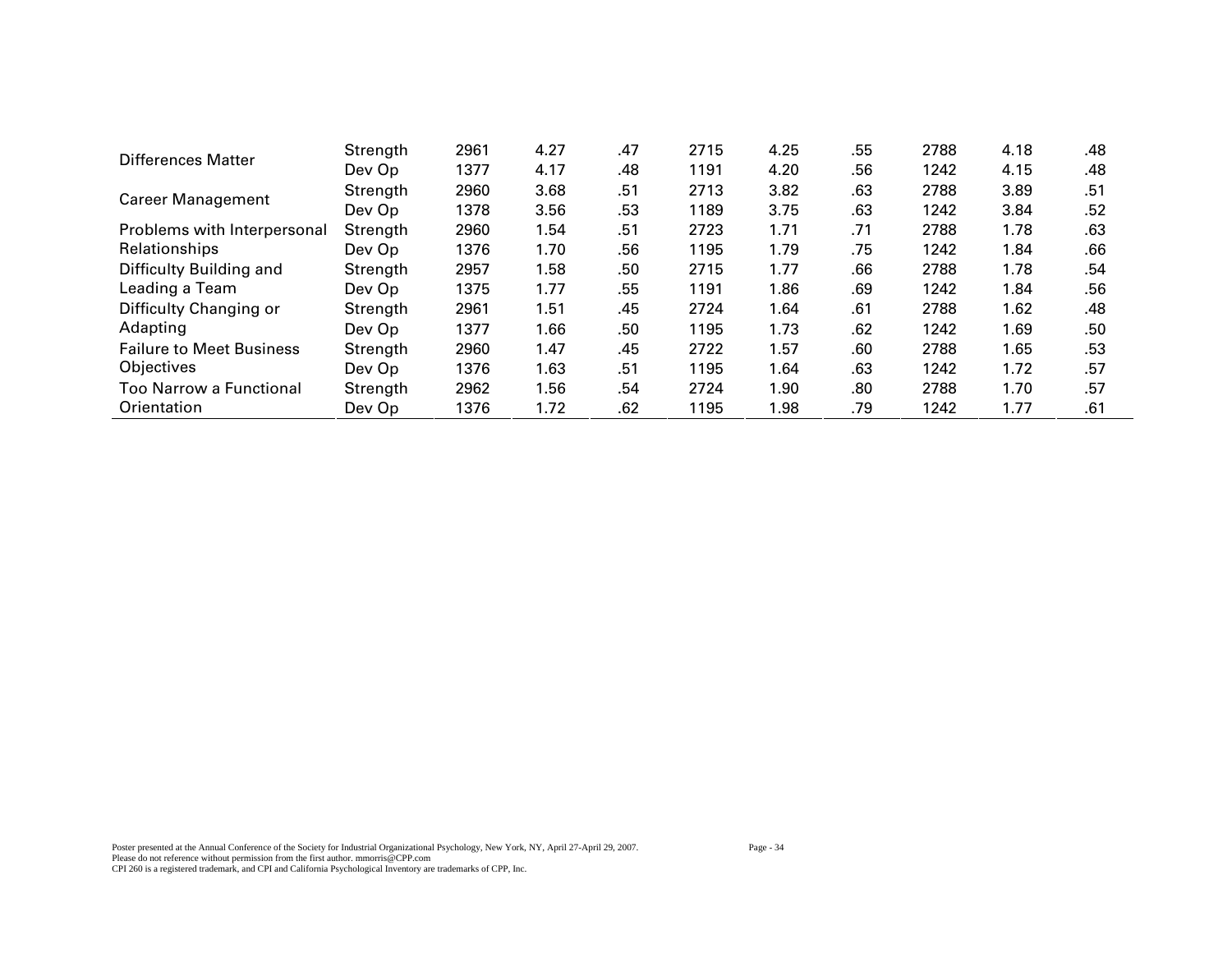| Differences Matter              | Strength | 2961 | 4.27 | .47 | 2715 | 4.25 | .55 | 2788 | 4.18 | .48 |
|---------------------------------|----------|------|------|-----|------|------|-----|------|------|-----|
|                                 | Dev Op   | 1377 | 4.17 | .48 | 1191 | 4.20 | .56 | 1242 | 4.15 | .48 |
| <b>Career Management</b>        | Strength | 2960 | 3.68 | .51 | 2713 | 3.82 | .63 | 2788 | 3.89 | .51 |
|                                 | Dev Op   | 1378 | 3.56 | .53 | 1189 | 3.75 | .63 | 1242 | 3.84 | .52 |
| Problems with Interpersonal     | Strength | 2960 | 1.54 | .51 | 2723 | 1.71 | .71 | 2788 | 1.78 | .63 |
| Relationships                   | Dev Op   | 1376 | 1.70 | .56 | 1195 | 1.79 | .75 | 1242 | 1.84 | .66 |
| Difficulty Building and         | Strength | 2957 | 1.58 | .50 | 2715 | 1.77 | .66 | 2788 | 1.78 | .54 |
| Leading a Team                  | Dev Op   | 1375 | 1.77 | .55 | 1191 | 1.86 | .69 | 1242 | 1.84 | .56 |
| Difficulty Changing or          | Strength | 2961 | 1.51 | .45 | 2724 | 1.64 | .61 | 2788 | 1.62 | .48 |
| Adapting                        | Dev Op   | 1377 | 1.66 | .50 | 1195 | 1.73 | .62 | 1242 | 1.69 | .50 |
| <b>Failure to Meet Business</b> | Strength | 2960 | 1.47 | .45 | 2722 | 1.57 | .60 | 2788 | 1.65 | .53 |
| Objectives                      | Dev Op   | 1376 | 1.63 | .51 | 1195 | 1.64 | .63 | 1242 | 1.72 | .57 |
| Too Narrow a Functional         | Strength | 2962 | 1.56 | .54 | 2724 | 1.90 | .80 | 2788 | 1.70 | .57 |
| Orientation                     | Dev Op   | 1376 | 1.72 | .62 | 1195 | 1.98 | .79 | 1242 | 1.77 | .61 |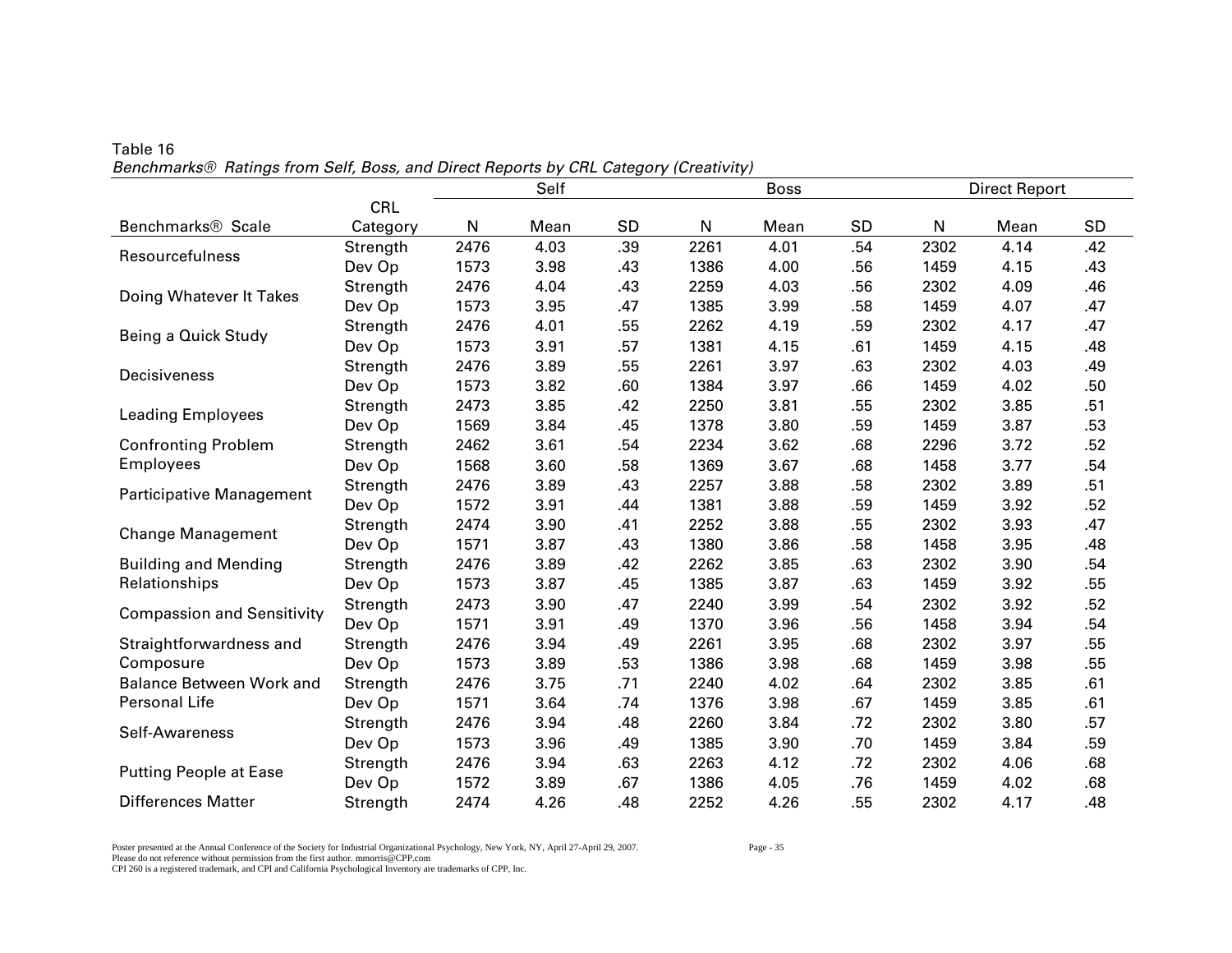|                                   |            | Self<br><b>Boss</b> |      |     |      |      |           |      | <b>Direct Report</b> |           |
|-----------------------------------|------------|---------------------|------|-----|------|------|-----------|------|----------------------|-----------|
|                                   | <b>CRL</b> |                     |      |     |      |      |           |      |                      |           |
| Benchmarks <sup>®</sup> Scale     | Category   | N                   | Mean | SD  | N    | Mean | <b>SD</b> | N    | Mean                 | <b>SD</b> |
| Resourcefulness                   | Strength   | 2476                | 4.03 | .39 | 2261 | 4.01 | .54       | 2302 | 4.14                 | .42       |
|                                   | Dev Op     | 1573                | 3.98 | .43 | 1386 | 4.00 | .56       | 1459 | 4.15                 | .43       |
| Doing Whatever It Takes           | Strength   | 2476                | 4.04 | .43 | 2259 | 4.03 | .56       | 2302 | 4.09                 | .46       |
|                                   | Dev Op     | 1573                | 3.95 | .47 | 1385 | 3.99 | .58       | 1459 | 4.07                 | .47       |
| Being a Quick Study               | Strength   | 2476                | 4.01 | .55 | 2262 | 4.19 | .59       | 2302 | 4.17                 | .47       |
|                                   | Dev Op     | 1573                | 3.91 | .57 | 1381 | 4.15 | .61       | 1459 | 4.15                 | .48       |
| Decisiveness                      | Strength   | 2476                | 3.89 | .55 | 2261 | 3.97 | .63       | 2302 | 4.03                 | .49       |
|                                   | Dev Op     | 1573                | 3.82 | .60 | 1384 | 3.97 | .66       | 1459 | 4.02                 | .50       |
| <b>Leading Employees</b>          | Strength   | 2473                | 3.85 | .42 | 2250 | 3.81 | .55       | 2302 | 3.85                 | .51       |
|                                   | Dev Op     | 1569                | 3.84 | .45 | 1378 | 3.80 | .59       | 1459 | 3.87                 | .53       |
| <b>Confronting Problem</b>        | Strength   | 2462                | 3.61 | .54 | 2234 | 3.62 | .68       | 2296 | 3.72                 | .52       |
| <b>Employees</b>                  | Dev Op     | 1568                | 3.60 | .58 | 1369 | 3.67 | .68       | 1458 | 3.77                 | .54       |
| <b>Participative Management</b>   | Strength   | 2476                | 3.89 | .43 | 2257 | 3.88 | .58       | 2302 | 3.89                 | .51       |
|                                   | Dev Op     | 1572                | 3.91 | .44 | 1381 | 3.88 | .59       | 1459 | 3.92                 | .52       |
| <b>Change Management</b>          | Strength   | 2474                | 3.90 | .41 | 2252 | 3.88 | .55       | 2302 | 3.93                 | .47       |
|                                   | Dev Op     | 1571                | 3.87 | .43 | 1380 | 3.86 | .58       | 1458 | 3.95                 | .48       |
| <b>Building and Mending</b>       | Strength   | 2476                | 3.89 | .42 | 2262 | 3.85 | .63       | 2302 | 3.90                 | .54       |
| Relationships                     | Dev Op     | 1573                | 3.87 | .45 | 1385 | 3.87 | .63       | 1459 | 3.92                 | .55       |
| <b>Compassion and Sensitivity</b> | Strength   | 2473                | 3.90 | .47 | 2240 | 3.99 | .54       | 2302 | 3.92                 | .52       |
|                                   | Dev Op     | 1571                | 3.91 | .49 | 1370 | 3.96 | .56       | 1458 | 3.94                 | .54       |
| Straightforwardness and           | Strength   | 2476                | 3.94 | .49 | 2261 | 3.95 | .68       | 2302 | 3.97                 | .55       |
| Composure                         | Dev Op     | 1573                | 3.89 | .53 | 1386 | 3.98 | .68       | 1459 | 3.98                 | .55       |
| <b>Balance Between Work and</b>   | Strength   | 2476                | 3.75 | .71 | 2240 | 4.02 | .64       | 2302 | 3.85                 | .61       |
| Personal Life                     | Dev Op     | 1571                | 3.64 | .74 | 1376 | 3.98 | .67       | 1459 | 3.85                 | .61       |
| Self-Awareness                    | Strength   | 2476                | 3.94 | .48 | 2260 | 3.84 | .72       | 2302 | 3.80                 | .57       |
|                                   | Dev Op     | 1573                | 3.96 | .49 | 1385 | 3.90 | .70       | 1459 | 3.84                 | .59       |
| <b>Putting People at Ease</b>     | Strength   | 2476                | 3.94 | .63 | 2263 | 4.12 | .72       | 2302 | 4.06                 | .68       |
|                                   | Dev Op     | 1572                | 3.89 | .67 | 1386 | 4.05 | .76       | 1459 | 4.02                 | .68       |
| <b>Differences Matter</b>         | Strength   | 2474                | 4.26 | .48 | 2252 | 4.26 | .55       | 2302 | 4.17                 | .48       |

Table 16 *Benchmarks® Ratings from Self, Boss, and Direct Reports by CRL Category (Creativity)* 

Poster presented at the Annual Conference of the Society for Industrial Organizational Psychology, New York, NY, April 27-April 29, 2007. Page - 35 Please do not reference without permission from the first author. mmorris@CPP.com CPI 260 is a registered trademark, and CPI and California Psychological Inventory are trademarks of CPP, Inc.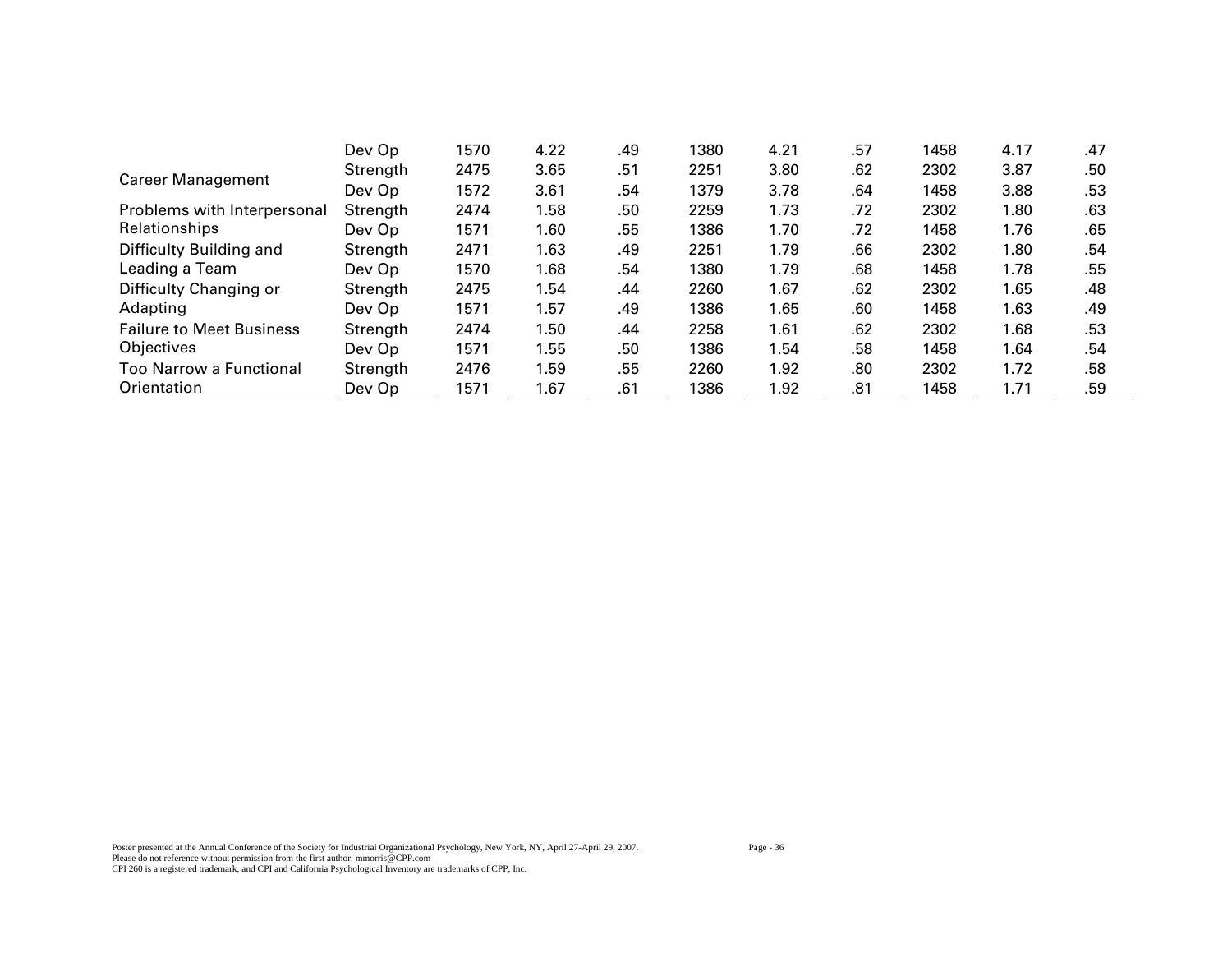|                                 | Dev Op   | 1570 | 4.22 | .49 | 1380 | 4.21 | .57 | 1458 | 4.17 | .47 |
|---------------------------------|----------|------|------|-----|------|------|-----|------|------|-----|
| <b>Career Management</b>        | Strength | 2475 | 3.65 | .51 | 2251 | 3.80 | .62 | 2302 | 3.87 | .50 |
|                                 | Dev Op   | 1572 | 3.61 | .54 | 1379 | 3.78 | .64 | 1458 | 3.88 | .53 |
| Problems with Interpersonal     | Strength | 2474 | 1.58 | .50 | 2259 | 1.73 | .72 | 2302 | 1.80 | .63 |
| Relationships                   | Dev Op   | 1571 | 1.60 | .55 | 1386 | 1.70 | .72 | 1458 | 1.76 | .65 |
| Difficulty Building and         | Strength | 2471 | 1.63 | .49 | 2251 | 1.79 | .66 | 2302 | 1.80 | .54 |
| Leading a Team                  | Dev Op   | 1570 | 1.68 | .54 | 1380 | 1.79 | .68 | 1458 | 1.78 | .55 |
| Difficulty Changing or          | Strength | 2475 | 1.54 | .44 | 2260 | 1.67 | .62 | 2302 | 1.65 | .48 |
| Adapting                        | Dev Op   | 1571 | 1.57 | .49 | 1386 | 1.65 | .60 | 1458 | 1.63 | .49 |
| <b>Failure to Meet Business</b> | Strength | 2474 | 1.50 | .44 | 2258 | 1.61 | .62 | 2302 | 1.68 | .53 |
| <b>Objectives</b>               | Dev Op   | 1571 | 1.55 | .50 | 1386 | 1.54 | .58 | 1458 | 1.64 | .54 |
| <b>Too Narrow a Functional</b>  | Strength | 2476 | 1.59 | .55 | 2260 | 1.92 | .80 | 2302 | 1.72 | .58 |
| Orientation                     | Dev Op   | 1571 | 1.67 | .61 | 1386 | 1.92 | .81 | 1458 | 1.71 | .59 |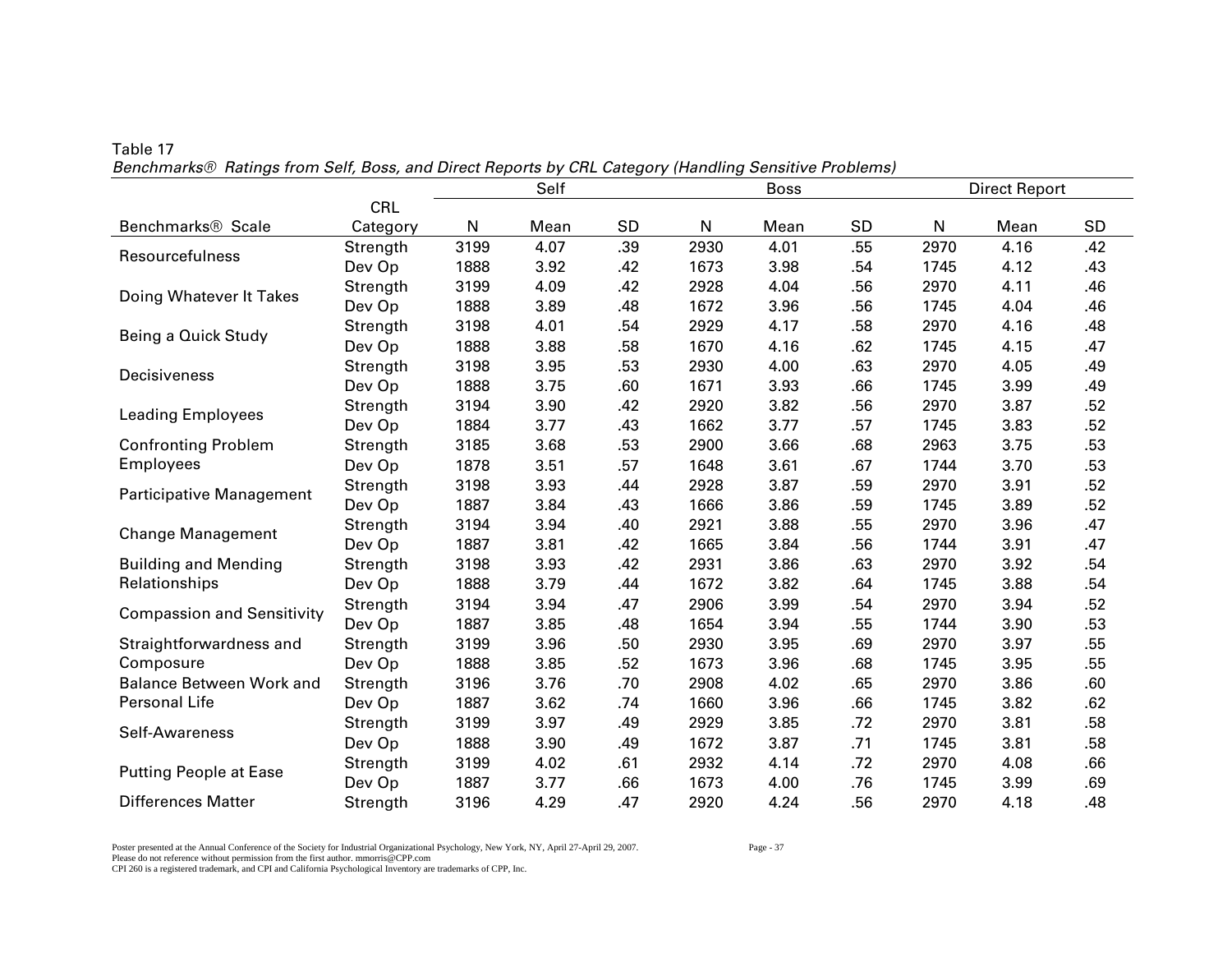|                                   |            | Self |      |     | <b>Boss</b> |      |           | <b>Direct Report</b> |      |     |
|-----------------------------------|------------|------|------|-----|-------------|------|-----------|----------------------|------|-----|
|                                   | <b>CRL</b> |      |      |     |             |      |           |                      |      |     |
| Benchmarks <sup>®</sup> Scale     | Category   | N    | Mean | SD  | N           | Mean | <b>SD</b> | ${\sf N}$            | Mean | SD  |
| Resourcefulness                   | Strength   | 3199 | 4.07 | .39 | 2930        | 4.01 | .55       | 2970                 | 4.16 | .42 |
|                                   | Dev Op     | 1888 | 3.92 | .42 | 1673        | 3.98 | .54       | 1745                 | 4.12 | .43 |
| Doing Whatever It Takes           | Strength   | 3199 | 4.09 | .42 | 2928        | 4.04 | .56       | 2970                 | 4.11 | .46 |
|                                   | Dev Op     | 1888 | 3.89 | .48 | 1672        | 3.96 | .56       | 1745                 | 4.04 | .46 |
| Being a Quick Study               | Strength   | 3198 | 4.01 | .54 | 2929        | 4.17 | .58       | 2970                 | 4.16 | .48 |
|                                   | Dev Op     | 1888 | 3.88 | .58 | 1670        | 4.16 | .62       | 1745                 | 4.15 | .47 |
| Decisiveness                      | Strength   | 3198 | 3.95 | .53 | 2930        | 4.00 | .63       | 2970                 | 4.05 | .49 |
|                                   | Dev Op     | 1888 | 3.75 | .60 | 1671        | 3.93 | .66       | 1745                 | 3.99 | .49 |
| <b>Leading Employees</b>          | Strength   | 3194 | 3.90 | .42 | 2920        | 3.82 | .56       | 2970                 | 3.87 | .52 |
|                                   | Dev Op     | 1884 | 3.77 | .43 | 1662        | 3.77 | .57       | 1745                 | 3.83 | .52 |
| <b>Confronting Problem</b>        | Strength   | 3185 | 3.68 | .53 | 2900        | 3.66 | .68       | 2963                 | 3.75 | .53 |
| <b>Employees</b>                  | Dev Op     | 1878 | 3.51 | .57 | 1648        | 3.61 | .67       | 1744                 | 3.70 | .53 |
| Participative Management          | Strength   | 3198 | 3.93 | .44 | 2928        | 3.87 | .59       | 2970                 | 3.91 | .52 |
|                                   | Dev Op     | 1887 | 3.84 | .43 | 1666        | 3.86 | .59       | 1745                 | 3.89 | .52 |
| <b>Change Management</b>          | Strength   | 3194 | 3.94 | .40 | 2921        | 3.88 | .55       | 2970                 | 3.96 | .47 |
|                                   | Dev Op     | 1887 | 3.81 | .42 | 1665        | 3.84 | .56       | 1744                 | 3.91 | .47 |
| <b>Building and Mending</b>       | Strength   | 3198 | 3.93 | .42 | 2931        | 3.86 | .63       | 2970                 | 3.92 | .54 |
| Relationships                     | Dev Op     | 1888 | 3.79 | .44 | 1672        | 3.82 | .64       | 1745                 | 3.88 | .54 |
| <b>Compassion and Sensitivity</b> | Strength   | 3194 | 3.94 | .47 | 2906        | 3.99 | .54       | 2970                 | 3.94 | .52 |
|                                   | Dev Op     | 1887 | 3.85 | .48 | 1654        | 3.94 | .55       | 1744                 | 3.90 | .53 |
| Straightforwardness and           | Strength   | 3199 | 3.96 | .50 | 2930        | 3.95 | .69       | 2970                 | 3.97 | .55 |
| Composure                         | Dev Op     | 1888 | 3.85 | .52 | 1673        | 3.96 | .68       | 1745                 | 3.95 | .55 |
| <b>Balance Between Work and</b>   | Strength   | 3196 | 3.76 | .70 | 2908        | 4.02 | .65       | 2970                 | 3.86 | .60 |
| Personal Life                     | Dev Op     | 1887 | 3.62 | .74 | 1660        | 3.96 | .66       | 1745                 | 3.82 | .62 |
|                                   | Strength   | 3199 | 3.97 | .49 | 2929        | 3.85 | .72       | 2970                 | 3.81 | .58 |
| Self-Awareness                    | Dev Op     | 1888 | 3.90 | .49 | 1672        | 3.87 | .71       | 1745                 | 3.81 | .58 |
|                                   | Strength   | 3199 | 4.02 | .61 | 2932        | 4.14 | .72       | 2970                 | 4.08 | .66 |
| <b>Putting People at Ease</b>     | Dev Op     | 1887 | 3.77 | .66 | 1673        | 4.00 | .76       | 1745                 | 3.99 | .69 |
| <b>Differences Matter</b>         | Strength   | 3196 | 4.29 | .47 | 2920        | 4.24 | .56       | 2970                 | 4.18 | .48 |

## Table 17 *Benchmarks® Ratings from Self, Boss, and Direct Reports by CRL Category (Handling Sensitive Problems)*

Poster presented at the Annual Conference of the Society for Industrial Organizational Psychology, New York, NY, April 27-April 29, 2007. Page - 37 Please do not reference without permission from the first author. mmorris@CPP.com CPI 260 is a registered trademark, and CPI and California Psychological Inventory are trademarks of CPP, Inc.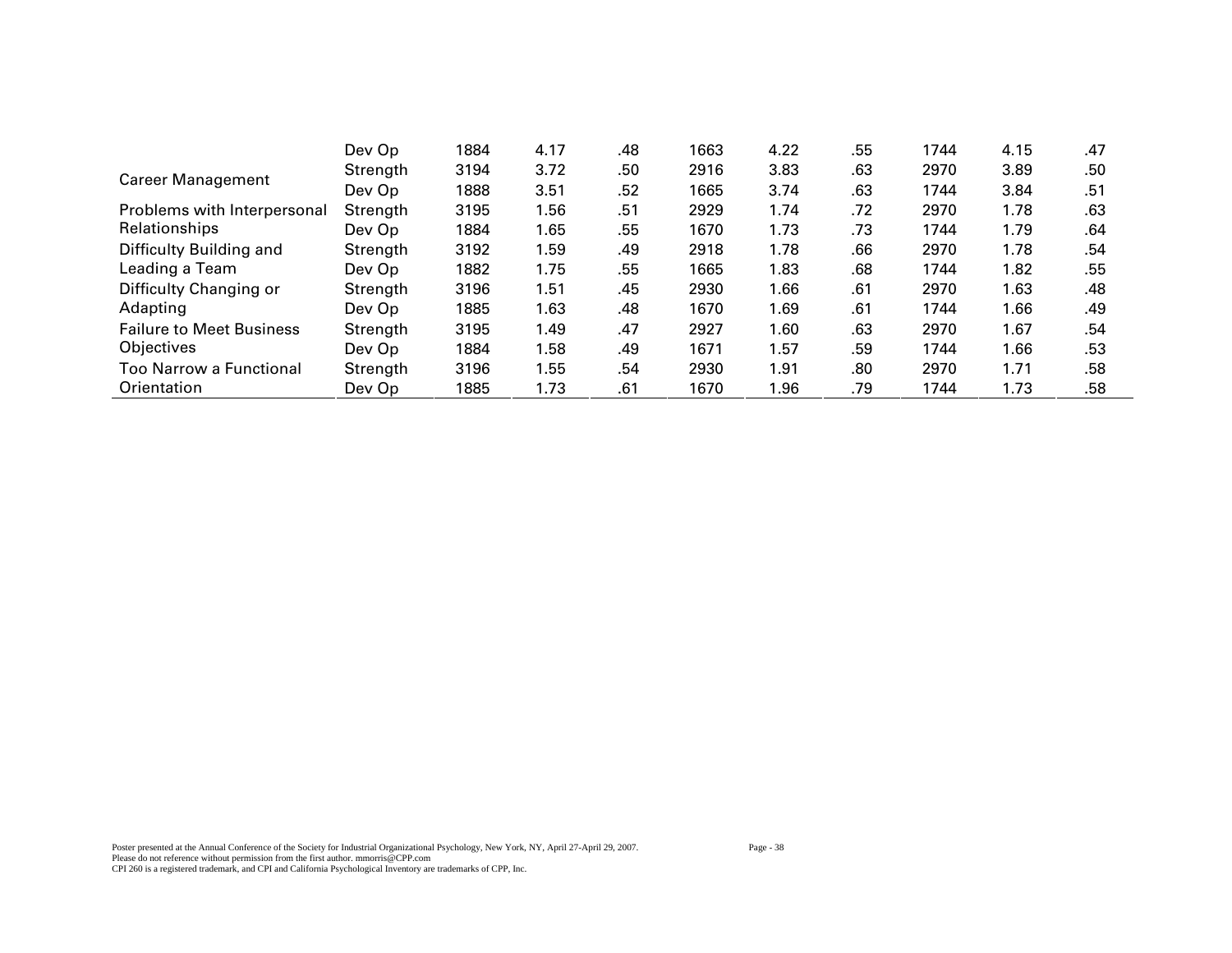|                                 | Dev Op   | 1884 | 4.17 | .48 | 1663 | 4.22 | .55 | 1744 | 4.15 | .47 |
|---------------------------------|----------|------|------|-----|------|------|-----|------|------|-----|
| <b>Career Management</b>        | Strength | 3194 | 3.72 | .50 | 2916 | 3.83 | .63 | 2970 | 3.89 | .50 |
|                                 | Dev Op   | 1888 | 3.51 | .52 | 1665 | 3.74 | .63 | 1744 | 3.84 | .51 |
| Problems with Interpersonal     | Strength | 3195 | 1.56 | .51 | 2929 | 1.74 | .72 | 2970 | 1.78 | .63 |
| Relationships                   | Dev Op   | 1884 | 1.65 | .55 | 1670 | 1.73 | .73 | 1744 | 1.79 | .64 |
| Difficulty Building and         | Strength | 3192 | 1.59 | .49 | 2918 | 1.78 | .66 | 2970 | 1.78 | .54 |
| Leading a Team                  | Dev Op   | 1882 | 1.75 | .55 | 1665 | 1.83 | .68 | 1744 | 1.82 | .55 |
| Difficulty Changing or          | Strength | 3196 | 1.51 | .45 | 2930 | 1.66 | .61 | 2970 | 1.63 | .48 |
| Adapting                        | Dev Op   | 1885 | 1.63 | .48 | 1670 | 1.69 | .61 | 1744 | 1.66 | .49 |
| <b>Failure to Meet Business</b> | Strength | 3195 | 1.49 | .47 | 2927 | 1.60 | .63 | 2970 | 1.67 | .54 |
| Objectives                      | Dev Op   | 1884 | 1.58 | .49 | 1671 | 1.57 | .59 | 1744 | 1.66 | .53 |
| Too Narrow a Functional         | Strength | 3196 | 1.55 | .54 | 2930 | 1.91 | .80 | 2970 | 1.71 | .58 |
| Orientation                     | Dev Op   | 1885 | 1.73 | .61 | 1670 | 1.96 | .79 | 1744 | 1.73 | .58 |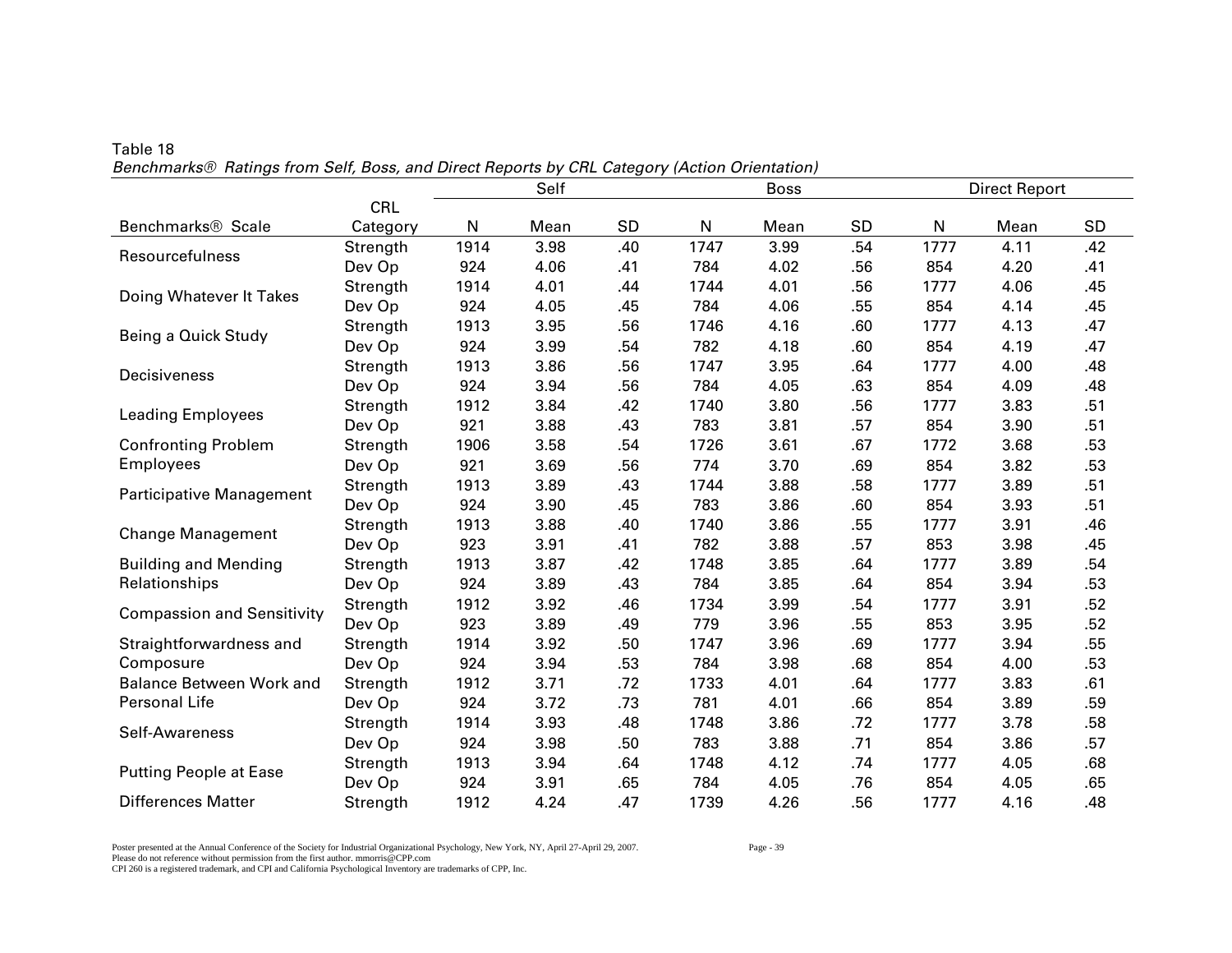|                                   |            | Self<br><b>Boss</b> |      |           |      |      |     |      | <b>Direct Report</b> |     |
|-----------------------------------|------------|---------------------|------|-----------|------|------|-----|------|----------------------|-----|
|                                   | <b>CRL</b> |                     |      |           |      |      |     |      |                      |     |
| Benchmarks <sup>®</sup> Scale     | Category   | N                   | Mean | <b>SD</b> | N    | Mean | SD  | N    | Mean                 | SD  |
| Resourcefulness                   | Strength   | 1914                | 3.98 | .40       | 1747 | 3.99 | .54 | 1777 | 4.11                 | .42 |
|                                   | Dev Op     | 924                 | 4.06 | .41       | 784  | 4.02 | .56 | 854  | 4.20                 | .41 |
| Doing Whatever It Takes           | Strength   | 1914                | 4.01 | .44       | 1744 | 4.01 | .56 | 1777 | 4.06                 | .45 |
|                                   | Dev Op     | 924                 | 4.05 | .45       | 784  | 4.06 | .55 | 854  | 4.14                 | .45 |
| Being a Quick Study               | Strength   | 1913                | 3.95 | .56       | 1746 | 4.16 | .60 | 1777 | 4.13                 | .47 |
|                                   | Dev Op     | 924                 | 3.99 | .54       | 782  | 4.18 | .60 | 854  | 4.19                 | .47 |
| Decisiveness                      | Strength   | 1913                | 3.86 | .56       | 1747 | 3.95 | .64 | 1777 | 4.00                 | .48 |
|                                   | Dev Op     | 924                 | 3.94 | .56       | 784  | 4.05 | .63 | 854  | 4.09                 | .48 |
| <b>Leading Employees</b>          | Strength   | 1912                | 3.84 | .42       | 1740 | 3.80 | .56 | 1777 | 3.83                 | .51 |
|                                   | Dev Op     | 921                 | 3.88 | .43       | 783  | 3.81 | .57 | 854  | 3.90                 | .51 |
| <b>Confronting Problem</b>        | Strength   | 1906                | 3.58 | .54       | 1726 | 3.61 | .67 | 1772 | 3.68                 | .53 |
| <b>Employees</b>                  | Dev Op     | 921                 | 3.69 | .56       | 774  | 3.70 | .69 | 854  | 3.82                 | .53 |
| <b>Participative Management</b>   | Strength   | 1913                | 3.89 | .43       | 1744 | 3.88 | .58 | 1777 | 3.89                 | .51 |
|                                   | Dev Op     | 924                 | 3.90 | .45       | 783  | 3.86 | .60 | 854  | 3.93                 | .51 |
| <b>Change Management</b>          | Strength   | 1913                | 3.88 | .40       | 1740 | 3.86 | .55 | 1777 | 3.91                 | .46 |
|                                   | Dev Op     | 923                 | 3.91 | .41       | 782  | 3.88 | .57 | 853  | 3.98                 | .45 |
| <b>Building and Mending</b>       | Strength   | 1913                | 3.87 | .42       | 1748 | 3.85 | .64 | 1777 | 3.89                 | .54 |
| Relationships                     | Dev Op     | 924                 | 3.89 | .43       | 784  | 3.85 | .64 | 854  | 3.94                 | .53 |
| <b>Compassion and Sensitivity</b> | Strength   | 1912                | 3.92 | .46       | 1734 | 3.99 | .54 | 1777 | 3.91                 | .52 |
|                                   | Dev Op     | 923                 | 3.89 | .49       | 779  | 3.96 | .55 | 853  | 3.95                 | .52 |
| Straightforwardness and           | Strength   | 1914                | 3.92 | .50       | 1747 | 3.96 | .69 | 1777 | 3.94                 | .55 |
| Composure                         | Dev Op     | 924                 | 3.94 | .53       | 784  | 3.98 | .68 | 854  | 4.00                 | .53 |
| <b>Balance Between Work and</b>   | Strength   | 1912                | 3.71 | .72       | 1733 | 4.01 | .64 | 1777 | 3.83                 | .61 |
| Personal Life                     | Dev Op     | 924                 | 3.72 | .73       | 781  | 4.01 | .66 | 854  | 3.89                 | .59 |
| Self-Awareness                    | Strength   | 1914                | 3.93 | .48       | 1748 | 3.86 | .72 | 1777 | 3.78                 | .58 |
|                                   | Dev Op     | 924                 | 3.98 | .50       | 783  | 3.88 | .71 | 854  | 3.86                 | .57 |
| <b>Putting People at Ease</b>     | Strength   | 1913                | 3.94 | .64       | 1748 | 4.12 | .74 | 1777 | 4.05                 | .68 |
|                                   | Dev Op     | 924                 | 3.91 | .65       | 784  | 4.05 | .76 | 854  | 4.05                 | .65 |
| <b>Differences Matter</b>         | Strength   | 1912                | 4.24 | .47       | 1739 | 4.26 | .56 | 1777 | 4.16                 | .48 |

Table 18 *Benchmarks® Ratings from Self, Boss, and Direct Reports by CRL Category (Action Orientation)* 

Poster presented at the Annual Conference of the Society for Industrial Organizational Psychology, New York, NY, April 27-April 29, 2007. Page - 39 Please do not reference without permission from the first author. mmorris@CPP.com CPI 260 is a registered trademark, and CPI and California Psychological Inventory are trademarks of CPP, Inc.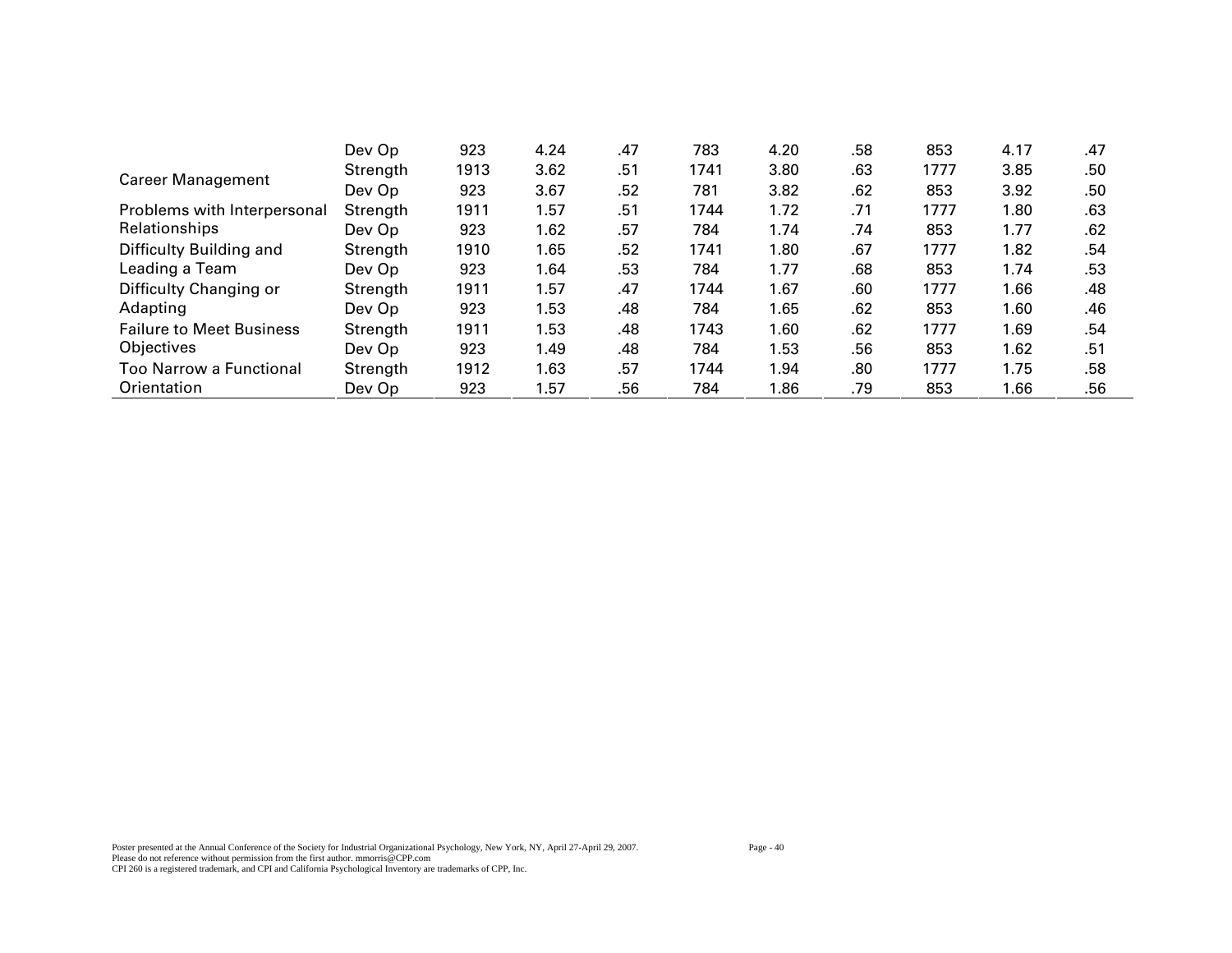|                                 | Dev Op   | 923  | 4.24 | .47 | 783  | 4.20 | .58 | 853  | 4.17 | .47 |
|---------------------------------|----------|------|------|-----|------|------|-----|------|------|-----|
| <b>Career Management</b>        | Strength | 1913 | 3.62 | .51 | 1741 | 3.80 | .63 | 1777 | 3.85 | .50 |
|                                 | Dev Op   | 923  | 3.67 | .52 | 781  | 3.82 | .62 | 853  | 3.92 | .50 |
| Problems with Interpersonal     | Strength | 1911 | 1.57 | .51 | 1744 | 1.72 | .71 | 1777 | 1.80 | .63 |
| Relationships                   | Dev Op   | 923  | 1.62 | .57 | 784  | 1.74 | .74 | 853  | 1.77 | .62 |
| Difficulty Building and         | Strength | 1910 | 1.65 | .52 | 1741 | 1.80 | .67 | 1777 | 1.82 | .54 |
| Leading a Team                  | Dev Op   | 923  | 1.64 | .53 | 784  | 1.77 | .68 | 853  | 1.74 | .53 |
| Difficulty Changing or          | Strength | 1911 | 1.57 | .47 | 1744 | 1.67 | .60 | 1777 | 1.66 | .48 |
| Adapting                        | Dev Op   | 923  | 1.53 | .48 | 784  | 1.65 | .62 | 853  | 1.60 | .46 |
| <b>Failure to Meet Business</b> | Strength | 1911 | 1.53 | .48 | 1743 | 1.60 | .62 | 1777 | 1.69 | .54 |
| Objectives                      | Dev Op   | 923  | 1.49 | .48 | 784  | 1.53 | .56 | 853  | 1.62 | .51 |
| <b>Too Narrow a Functional</b>  | Strength | 1912 | 1.63 | .57 | 1744 | 1.94 | .80 | 1777 | 1.75 | .58 |
| Orientation                     | Dev Op   | 923  | 1.57 | .56 | 784  | 1.86 | .79 | 853  | 1.66 | .56 |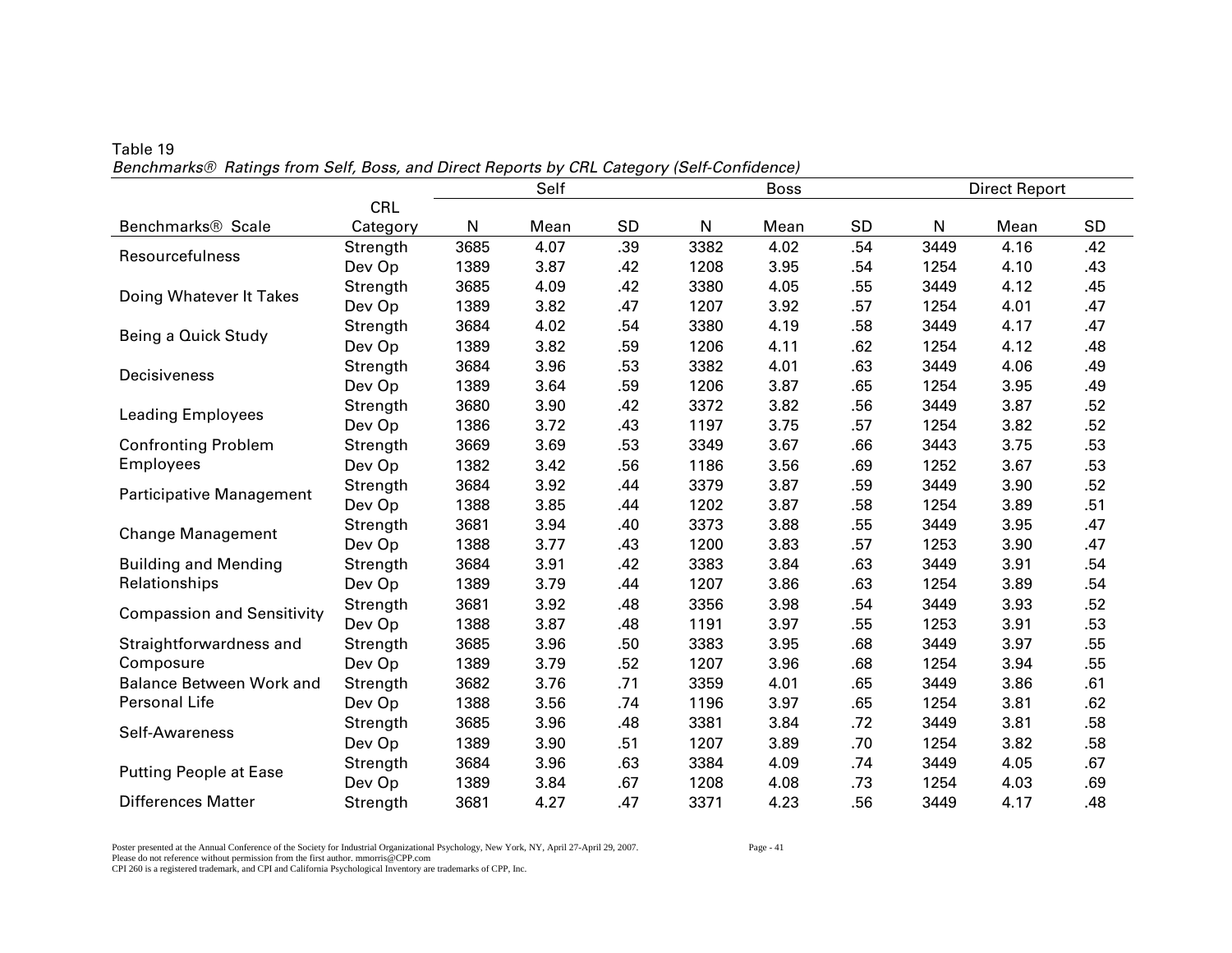|                                   |          | Self<br><b>Boss</b> |      |           |      |      |           | <b>Direct Report</b> |      |           |
|-----------------------------------|----------|---------------------|------|-----------|------|------|-----------|----------------------|------|-----------|
|                                   | CRL      |                     |      |           |      |      |           |                      |      |           |
| Benchmarks <sup>®</sup> Scale     | Category | N                   | Mean | <b>SD</b> | N    | Mean | <b>SD</b> | N                    | Mean | <b>SD</b> |
|                                   | Strength | 3685                | 4.07 | .39       | 3382 | 4.02 | .54       | 3449                 | 4.16 | .42       |
| Resourcefulness                   | Dev Op   | 1389                | 3.87 | .42       | 1208 | 3.95 | .54       | 1254                 | 4.10 | .43       |
| Doing Whatever It Takes           | Strength | 3685                | 4.09 | .42       | 3380 | 4.05 | .55       | 3449                 | 4.12 | .45       |
|                                   | Dev Op   | 1389                | 3.82 | .47       | 1207 | 3.92 | .57       | 1254                 | 4.01 | .47       |
| Being a Quick Study               | Strength | 3684                | 4.02 | .54       | 3380 | 4.19 | .58       | 3449                 | 4.17 | .47       |
|                                   | Dev Op   | 1389                | 3.82 | .59       | 1206 | 4.11 | .62       | 1254                 | 4.12 | .48       |
| Decisiveness                      | Strength | 3684                | 3.96 | .53       | 3382 | 4.01 | .63       | 3449                 | 4.06 | .49       |
|                                   | Dev Op   | 1389                | 3.64 | .59       | 1206 | 3.87 | .65       | 1254                 | 3.95 | .49       |
| <b>Leading Employees</b>          | Strength | 3680                | 3.90 | .42       | 3372 | 3.82 | .56       | 3449                 | 3.87 | .52       |
|                                   | Dev Op   | 1386                | 3.72 | .43       | 1197 | 3.75 | .57       | 1254                 | 3.82 | .52       |
| <b>Confronting Problem</b>        | Strength | 3669                | 3.69 | .53       | 3349 | 3.67 | .66       | 3443                 | 3.75 | .53       |
| <b>Employees</b>                  | Dev Op   | 1382                | 3.42 | .56       | 1186 | 3.56 | .69       | 1252                 | 3.67 | .53       |
| Participative Management          | Strength | 3684                | 3.92 | .44       | 3379 | 3.87 | .59       | 3449                 | 3.90 | .52       |
|                                   | Dev Op   | 1388                | 3.85 | .44       | 1202 | 3.87 | .58       | 1254                 | 3.89 | .51       |
| <b>Change Management</b>          | Strength | 3681                | 3.94 | .40       | 3373 | 3.88 | .55       | 3449                 | 3.95 | .47       |
|                                   | Dev Op   | 1388                | 3.77 | .43       | 1200 | 3.83 | .57       | 1253                 | 3.90 | .47       |
| <b>Building and Mending</b>       | Strength | 3684                | 3.91 | .42       | 3383 | 3.84 | .63       | 3449                 | 3.91 | .54       |
| Relationships                     | Dev Op   | 1389                | 3.79 | .44       | 1207 | 3.86 | .63       | 1254                 | 3.89 | .54       |
| <b>Compassion and Sensitivity</b> | Strength | 3681                | 3.92 | .48       | 3356 | 3.98 | .54       | 3449                 | 3.93 | .52       |
|                                   | Dev Op   | 1388                | 3.87 | .48       | 1191 | 3.97 | .55       | 1253                 | 3.91 | .53       |
| Straightforwardness and           | Strength | 3685                | 3.96 | .50       | 3383 | 3.95 | .68       | 3449                 | 3.97 | .55       |
| Composure                         | Dev Op   | 1389                | 3.79 | .52       | 1207 | 3.96 | .68       | 1254                 | 3.94 | .55       |
| <b>Balance Between Work and</b>   | Strength | 3682                | 3.76 | .71       | 3359 | 4.01 | .65       | 3449                 | 3.86 | .61       |
| Personal Life                     | Dev Op   | 1388                | 3.56 | .74       | 1196 | 3.97 | .65       | 1254                 | 3.81 | .62       |
| Self-Awareness                    | Strength | 3685                | 3.96 | .48       | 3381 | 3.84 | .72       | 3449                 | 3.81 | .58       |
|                                   | Dev Op   | 1389                | 3.90 | .51       | 1207 | 3.89 | .70       | 1254                 | 3.82 | .58       |
|                                   | Strength | 3684                | 3.96 | .63       | 3384 | 4.09 | .74       | 3449                 | 4.05 | .67       |
| <b>Putting People at Ease</b>     | Dev Op   | 1389                | 3.84 | .67       | 1208 | 4.08 | .73       | 1254                 | 4.03 | .69       |
| <b>Differences Matter</b>         | Strength | 3681                | 4.27 | .47       | 3371 | 4.23 | .56       | 3449                 | 4.17 | .48       |

Table 19 *Benchmarks® Ratings from Self, Boss, and Direct Reports by CRL Category (Self-Confidence)* 

Poster presented at the Annual Conference of the Society for Industrial Organizational Psychology, New York, NY, April 27-April 29, 2007. Page - 41 Please do not reference without permission from the first author. mmorris@CPP.com CPI 260 is a registered trademark, and CPI and California Psychological Inventory are trademarks of CPP, Inc.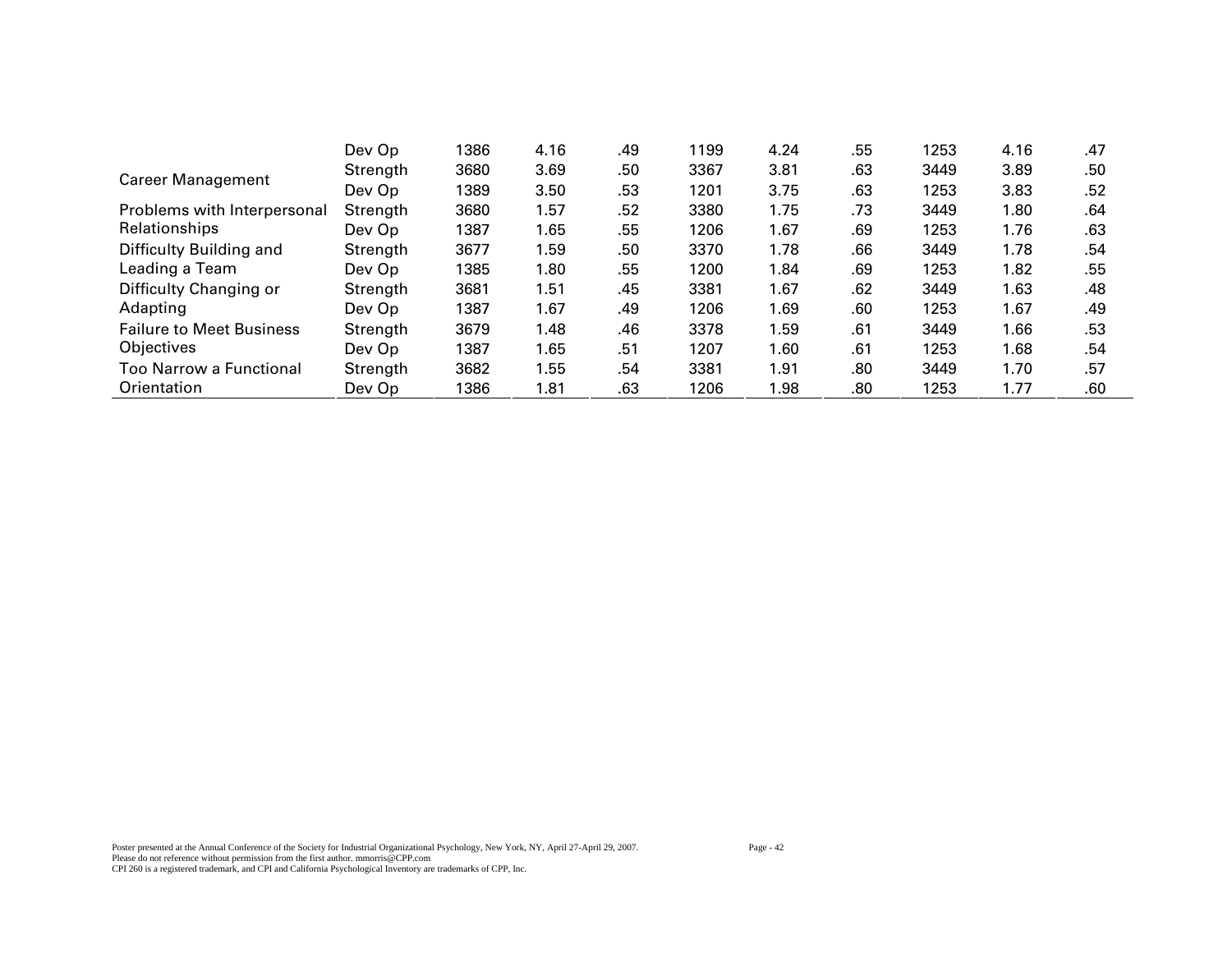|                                 | Dev Op   | 1386 | 4.16 | .49 | 1199 | 4.24 | .55 | 1253 | 4.16 | .47 |
|---------------------------------|----------|------|------|-----|------|------|-----|------|------|-----|
| <b>Career Management</b>        | Strength | 3680 | 3.69 | .50 | 3367 | 3.81 | .63 | 3449 | 3.89 | .50 |
|                                 | Dev Op   | 1389 | 3.50 | .53 | 1201 | 3.75 | .63 | 1253 | 3.83 | .52 |
| Problems with Interpersonal     | Strength | 3680 | 1.57 | .52 | 3380 | 1.75 | .73 | 3449 | 1.80 | .64 |
| Relationships                   | Dev Op   | 1387 | 1.65 | .55 | 1206 | 1.67 | .69 | 1253 | 1.76 | .63 |
| Difficulty Building and         | Strength | 3677 | 1.59 | .50 | 3370 | 1.78 | .66 | 3449 | 1.78 | .54 |
| Leading a Team                  | Dev Op   | 1385 | 1.80 | .55 | 1200 | 1.84 | .69 | 1253 | 1.82 | .55 |
| Difficulty Changing or          | Strength | 3681 | 1.51 | .45 | 3381 | 1.67 | .62 | 3449 | 1.63 | .48 |
| Adapting                        | Dev Op   | 1387 | 1.67 | .49 | 1206 | 1.69 | .60 | 1253 | 1.67 | .49 |
| <b>Failure to Meet Business</b> | Strength | 3679 | 1.48 | .46 | 3378 | 1.59 | .61 | 3449 | 1.66 | .53 |
| Objectives                      | Dev Op   | 1387 | 1.65 | .51 | 1207 | 1.60 | .61 | 1253 | 1.68 | .54 |
| <b>Too Narrow a Functional</b>  | Strength | 3682 | 1.55 | .54 | 3381 | 1.91 | .80 | 3449 | 1.70 | .57 |
| Orientation                     | Dev Op   | 1386 | 1.81 | .63 | 1206 | 1.98 | .80 | 1253 | 1.77 | .60 |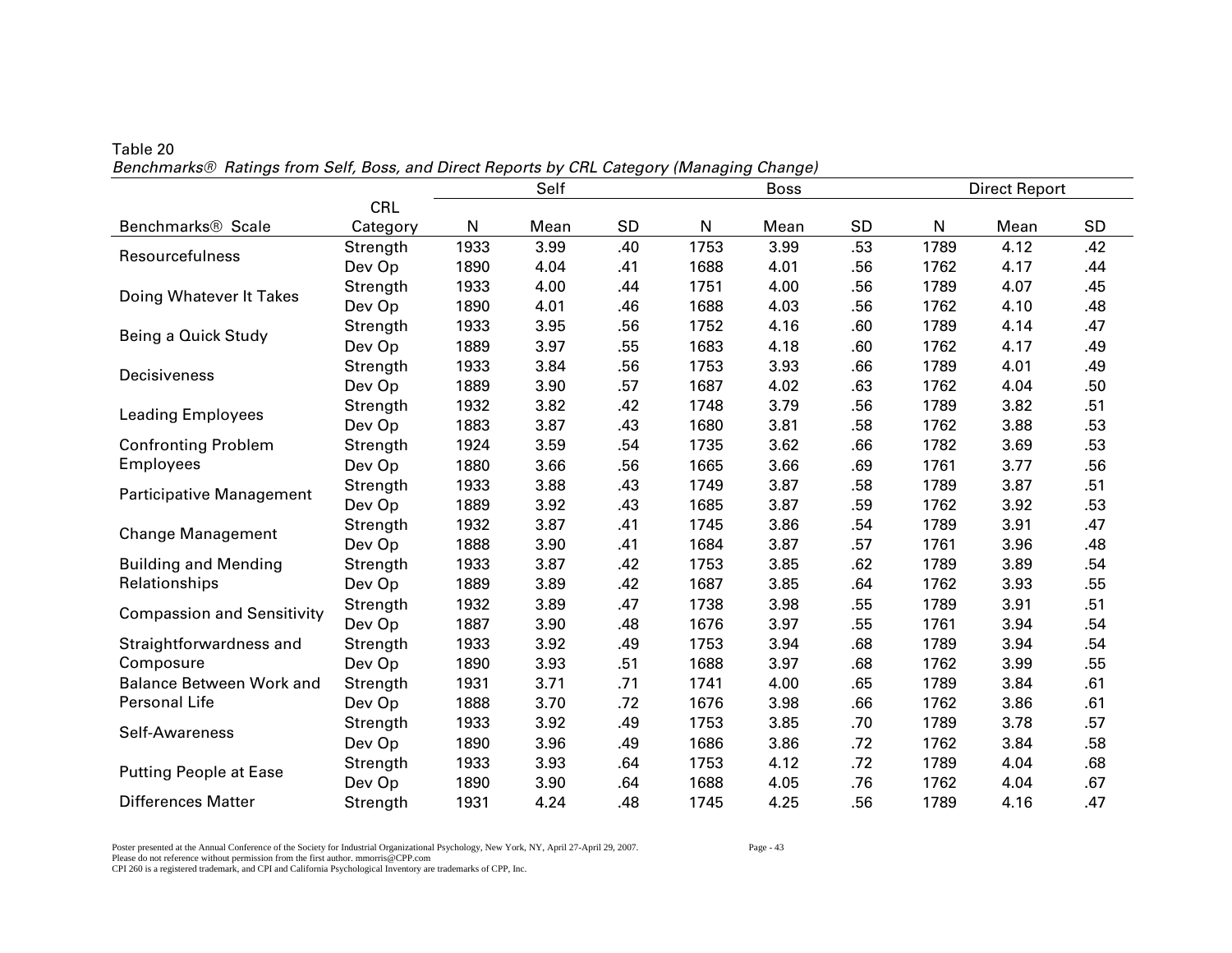|                                                                                                                                                                                                                                                                                                                                                                                                                                                                                                                                                                                                                                                                                                                                                                                                                                                                                                                                                                                                                                                                                                                                                                                                                                                                                                                                                                                                                                                                                                                                                                                                                                                                                                                                                                                                                      |            |      | Self |     |      | <b>Boss</b> |     | <b>Direct Report</b> |      |     |
|----------------------------------------------------------------------------------------------------------------------------------------------------------------------------------------------------------------------------------------------------------------------------------------------------------------------------------------------------------------------------------------------------------------------------------------------------------------------------------------------------------------------------------------------------------------------------------------------------------------------------------------------------------------------------------------------------------------------------------------------------------------------------------------------------------------------------------------------------------------------------------------------------------------------------------------------------------------------------------------------------------------------------------------------------------------------------------------------------------------------------------------------------------------------------------------------------------------------------------------------------------------------------------------------------------------------------------------------------------------------------------------------------------------------------------------------------------------------------------------------------------------------------------------------------------------------------------------------------------------------------------------------------------------------------------------------------------------------------------------------------------------------------------------------------------------------|------------|------|------|-----|------|-------------|-----|----------------------|------|-----|
|                                                                                                                                                                                                                                                                                                                                                                                                                                                                                                                                                                                                                                                                                                                                                                                                                                                                                                                                                                                                                                                                                                                                                                                                                                                                                                                                                                                                                                                                                                                                                                                                                                                                                                                                                                                                                      | <b>CRL</b> |      |      |     |      |             |     |                      |      |     |
| Benchmarks <sup>®</sup> Scale                                                                                                                                                                                                                                                                                                                                                                                                                                                                                                                                                                                                                                                                                                                                                                                                                                                                                                                                                                                                                                                                                                                                                                                                                                                                                                                                                                                                                                                                                                                                                                                                                                                                                                                                                                                        | Category   | N    | Mean | SD  | N    | Mean        | SD  | ${\sf N}$            | Mean | SD  |
|                                                                                                                                                                                                                                                                                                                                                                                                                                                                                                                                                                                                                                                                                                                                                                                                                                                                                                                                                                                                                                                                                                                                                                                                                                                                                                                                                                                                                                                                                                                                                                                                                                                                                                                                                                                                                      | Strength   | 1933 | 3.99 | .40 | 1753 | 3.99        | .53 | 1789                 | 4.12 | .42 |
|                                                                                                                                                                                                                                                                                                                                                                                                                                                                                                                                                                                                                                                                                                                                                                                                                                                                                                                                                                                                                                                                                                                                                                                                                                                                                                                                                                                                                                                                                                                                                                                                                                                                                                                                                                                                                      | Dev Op     | 1890 | 4.04 | .41 | 1688 | 4.01        | .56 | 1762                 | 4.17 | .44 |
|                                                                                                                                                                                                                                                                                                                                                                                                                                                                                                                                                                                                                                                                                                                                                                                                                                                                                                                                                                                                                                                                                                                                                                                                                                                                                                                                                                                                                                                                                                                                                                                                                                                                                                                                                                                                                      | Strength   | 1933 | 4.00 | .44 | 1751 | 4.00        | .56 | 1789                 | 4.07 | .45 |
|                                                                                                                                                                                                                                                                                                                                                                                                                                                                                                                                                                                                                                                                                                                                                                                                                                                                                                                                                                                                                                                                                                                                                                                                                                                                                                                                                                                                                                                                                                                                                                                                                                                                                                                                                                                                                      | Dev Op     | 1890 | 4.01 | .46 | 1688 | 4.03        | .56 | 1762                 | 4.10 | .48 |
|                                                                                                                                                                                                                                                                                                                                                                                                                                                                                                                                                                                                                                                                                                                                                                                                                                                                                                                                                                                                                                                                                                                                                                                                                                                                                                                                                                                                                                                                                                                                                                                                                                                                                                                                                                                                                      | Strength   | 1933 | 3.95 | .56 | 1752 | 4.16        | .60 | 1789                 | 4.14 | .47 |
| Dev Op<br>1889<br>3.97<br>1683<br>4.18<br>.55<br>.60<br>1762<br>4.17<br>1933<br>3.84<br>.56<br>3.93<br>1753<br>.66<br>1789<br>4.01<br>Strength<br>3.90<br>.57<br>1687<br>4.02<br>.63<br>Dev Op<br>1889<br>1762<br>4.04<br>3.82<br>3.79<br>.56<br>1932<br>.42<br>1748<br>1789<br>3.82<br>Strength<br>1883<br>3.87<br>.43<br>1680<br>3.81<br>3.88<br>Dev Op<br>.58<br>1762<br>3.62<br>.66<br>3.69<br>1924<br>3.59<br>.54<br>1735<br>1782<br>Strength<br>Dev Op<br>1880<br>3.66<br>.56<br>1665<br>3.66<br>3.77<br>.69<br>1761<br>1933<br>3.88<br>.43<br>3.87<br>3.87<br>1749<br>.58<br>1789<br>Strength<br>1889<br>3.92<br>.43<br>3.87<br>.59<br>3.92<br>Dev Op<br>1685<br>1762<br>3.87<br>1745<br>3.86<br>3.91<br>1932<br>.41<br>.54<br>1789<br>Strength<br>3.87<br>Dev Op<br>1888<br>3.90<br>.41<br>1684<br>.57<br>1761<br>3.96<br>3.87<br>3.85<br>.62<br>3.89<br>1933<br>.42<br>1753<br>1789<br>Strength<br>Dev Op<br>1889<br>3.89<br>1687<br>3.85<br>.64<br>.42<br>1762<br>3.93<br>3.89<br>.47<br>3.98<br>3.91<br>1932<br>1738<br>.55<br>1789<br>Strength<br>1887<br>3.90<br>.48<br>1676<br>3.97<br>.55<br>3.94<br>Dev Op<br>1761<br>3.92<br>1753<br>3.94<br>.68<br>3.94<br>1933<br>.49<br>1789<br>Strength<br>Dev Op<br>3.97<br>1890<br>3.93<br>.51<br>1688<br>.68<br>1762<br>3.99<br>3.71<br>.71<br>4.00<br>.65<br>3.84<br>1931<br>1741<br>1789<br>Strength<br>Dev Op<br>1888<br>3.70<br>.72<br>1676<br>3.98<br>.66<br>1762<br>3.86<br>3.92<br>.49<br>3.85<br>3.78<br>1933<br>1753<br>.70<br>1789<br>Strength<br>3.96<br>1686<br>3.86<br>.72<br>3.84<br>1890<br>.49<br>1762<br>Dev Op<br>3.93<br>1753<br>4.12<br>.72<br>4.04<br>1933<br>.64<br>1789<br>Strength<br>Dev Op<br>1890<br>3.90<br>1688<br>4.05<br>.76<br>1762<br>4.04<br>.64<br>4.24<br>4.25<br>.56<br>Strength<br>1931<br>.48<br>1745<br>1789<br>4.16 | .49        |      |      |     |      |             |     |                      |      |     |
| Resourcefulness<br>Doing Whatever It Takes<br>Being a Quick Study<br>Decisiveness<br><b>Change Management</b><br><b>Compassion and Sensitivity</b><br>Self-Awareness<br><b>Putting People at Ease</b>                                                                                                                                                                                                                                                                                                                                                                                                                                                                                                                                                                                                                                                                                                                                                                                                                                                                                                                                                                                                                                                                                                                                                                                                                                                                                                                                                                                                                                                                                                                                                                                                                |            |      |      |     |      |             |     |                      |      | .49 |
|                                                                                                                                                                                                                                                                                                                                                                                                                                                                                                                                                                                                                                                                                                                                                                                                                                                                                                                                                                                                                                                                                                                                                                                                                                                                                                                                                                                                                                                                                                                                                                                                                                                                                                                                                                                                                      |            |      |      |     |      |             |     |                      |      | .50 |
|                                                                                                                                                                                                                                                                                                                                                                                                                                                                                                                                                                                                                                                                                                                                                                                                                                                                                                                                                                                                                                                                                                                                                                                                                                                                                                                                                                                                                                                                                                                                                                                                                                                                                                                                                                                                                      |            |      |      |     |      |             |     |                      |      | .51 |
| <b>Leading Employees</b>                                                                                                                                                                                                                                                                                                                                                                                                                                                                                                                                                                                                                                                                                                                                                                                                                                                                                                                                                                                                                                                                                                                                                                                                                                                                                                                                                                                                                                                                                                                                                                                                                                                                                                                                                                                             |            |      |      |     |      |             |     |                      |      | .53 |
| <b>Confronting Problem</b>                                                                                                                                                                                                                                                                                                                                                                                                                                                                                                                                                                                                                                                                                                                                                                                                                                                                                                                                                                                                                                                                                                                                                                                                                                                                                                                                                                                                                                                                                                                                                                                                                                                                                                                                                                                           |            |      |      |     |      |             |     |                      |      | .53 |
| <b>Employees</b>                                                                                                                                                                                                                                                                                                                                                                                                                                                                                                                                                                                                                                                                                                                                                                                                                                                                                                                                                                                                                                                                                                                                                                                                                                                                                                                                                                                                                                                                                                                                                                                                                                                                                                                                                                                                     |            |      |      |     |      |             |     |                      |      | .56 |
|                                                                                                                                                                                                                                                                                                                                                                                                                                                                                                                                                                                                                                                                                                                                                                                                                                                                                                                                                                                                                                                                                                                                                                                                                                                                                                                                                                                                                                                                                                                                                                                                                                                                                                                                                                                                                      |            |      |      |     |      |             |     |                      |      | .51 |
| Participative Management                                                                                                                                                                                                                                                                                                                                                                                                                                                                                                                                                                                                                                                                                                                                                                                                                                                                                                                                                                                                                                                                                                                                                                                                                                                                                                                                                                                                                                                                                                                                                                                                                                                                                                                                                                                             |            |      |      |     |      |             |     |                      |      | .53 |
|                                                                                                                                                                                                                                                                                                                                                                                                                                                                                                                                                                                                                                                                                                                                                                                                                                                                                                                                                                                                                                                                                                                                                                                                                                                                                                                                                                                                                                                                                                                                                                                                                                                                                                                                                                                                                      |            |      |      |     |      |             |     |                      |      | .47 |
|                                                                                                                                                                                                                                                                                                                                                                                                                                                                                                                                                                                                                                                                                                                                                                                                                                                                                                                                                                                                                                                                                                                                                                                                                                                                                                                                                                                                                                                                                                                                                                                                                                                                                                                                                                                                                      |            |      |      |     |      |             |     |                      |      | .48 |
| <b>Building and Mending</b>                                                                                                                                                                                                                                                                                                                                                                                                                                                                                                                                                                                                                                                                                                                                                                                                                                                                                                                                                                                                                                                                                                                                                                                                                                                                                                                                                                                                                                                                                                                                                                                                                                                                                                                                                                                          |            |      |      |     |      |             |     |                      |      | .54 |
| Relationships                                                                                                                                                                                                                                                                                                                                                                                                                                                                                                                                                                                                                                                                                                                                                                                                                                                                                                                                                                                                                                                                                                                                                                                                                                                                                                                                                                                                                                                                                                                                                                                                                                                                                                                                                                                                        |            |      |      |     |      |             |     |                      |      | .55 |
|                                                                                                                                                                                                                                                                                                                                                                                                                                                                                                                                                                                                                                                                                                                                                                                                                                                                                                                                                                                                                                                                                                                                                                                                                                                                                                                                                                                                                                                                                                                                                                                                                                                                                                                                                                                                                      |            |      |      |     |      |             |     |                      |      | .51 |
|                                                                                                                                                                                                                                                                                                                                                                                                                                                                                                                                                                                                                                                                                                                                                                                                                                                                                                                                                                                                                                                                                                                                                                                                                                                                                                                                                                                                                                                                                                                                                                                                                                                                                                                                                                                                                      |            |      |      |     |      |             |     |                      |      | .54 |
| Straightforwardness and                                                                                                                                                                                                                                                                                                                                                                                                                                                                                                                                                                                                                                                                                                                                                                                                                                                                                                                                                                                                                                                                                                                                                                                                                                                                                                                                                                                                                                                                                                                                                                                                                                                                                                                                                                                              |            |      |      |     |      |             |     |                      |      | .54 |
| Composure                                                                                                                                                                                                                                                                                                                                                                                                                                                                                                                                                                                                                                                                                                                                                                                                                                                                                                                                                                                                                                                                                                                                                                                                                                                                                                                                                                                                                                                                                                                                                                                                                                                                                                                                                                                                            |            |      |      |     |      |             |     |                      |      | .55 |
| <b>Balance Between Work and</b>                                                                                                                                                                                                                                                                                                                                                                                                                                                                                                                                                                                                                                                                                                                                                                                                                                                                                                                                                                                                                                                                                                                                                                                                                                                                                                                                                                                                                                                                                                                                                                                                                                                                                                                                                                                      |            |      |      |     |      |             |     |                      |      | .61 |
| Personal Life                                                                                                                                                                                                                                                                                                                                                                                                                                                                                                                                                                                                                                                                                                                                                                                                                                                                                                                                                                                                                                                                                                                                                                                                                                                                                                                                                                                                                                                                                                                                                                                                                                                                                                                                                                                                        |            |      |      |     |      |             |     |                      |      | .61 |
|                                                                                                                                                                                                                                                                                                                                                                                                                                                                                                                                                                                                                                                                                                                                                                                                                                                                                                                                                                                                                                                                                                                                                                                                                                                                                                                                                                                                                                                                                                                                                                                                                                                                                                                                                                                                                      |            |      |      |     |      |             |     |                      |      | .57 |
|                                                                                                                                                                                                                                                                                                                                                                                                                                                                                                                                                                                                                                                                                                                                                                                                                                                                                                                                                                                                                                                                                                                                                                                                                                                                                                                                                                                                                                                                                                                                                                                                                                                                                                                                                                                                                      |            |      |      |     |      |             |     |                      |      | .58 |
|                                                                                                                                                                                                                                                                                                                                                                                                                                                                                                                                                                                                                                                                                                                                                                                                                                                                                                                                                                                                                                                                                                                                                                                                                                                                                                                                                                                                                                                                                                                                                                                                                                                                                                                                                                                                                      |            |      |      |     |      |             |     |                      |      | .68 |
|                                                                                                                                                                                                                                                                                                                                                                                                                                                                                                                                                                                                                                                                                                                                                                                                                                                                                                                                                                                                                                                                                                                                                                                                                                                                                                                                                                                                                                                                                                                                                                                                                                                                                                                                                                                                                      |            |      |      |     |      |             |     |                      |      | .67 |
| <b>Differences Matter</b>                                                                                                                                                                                                                                                                                                                                                                                                                                                                                                                                                                                                                                                                                                                                                                                                                                                                                                                                                                                                                                                                                                                                                                                                                                                                                                                                                                                                                                                                                                                                                                                                                                                                                                                                                                                            |            |      |      |     |      |             |     |                      |      | .47 |

Table 20 *Benchmarks® Ratings from Self, Boss, and Direct Reports by CRL Category (Managing Change)* 

Poster presented at the Annual Conference of the Society for Industrial Organizational Psychology, New York, NY, April 27-April 29, 2007. Page - 43 Please do not reference without permission from the first author. mmorris@CPP.com CPI 260 is a registered trademark, and CPI and California Psychological Inventory are trademarks of CPP, Inc.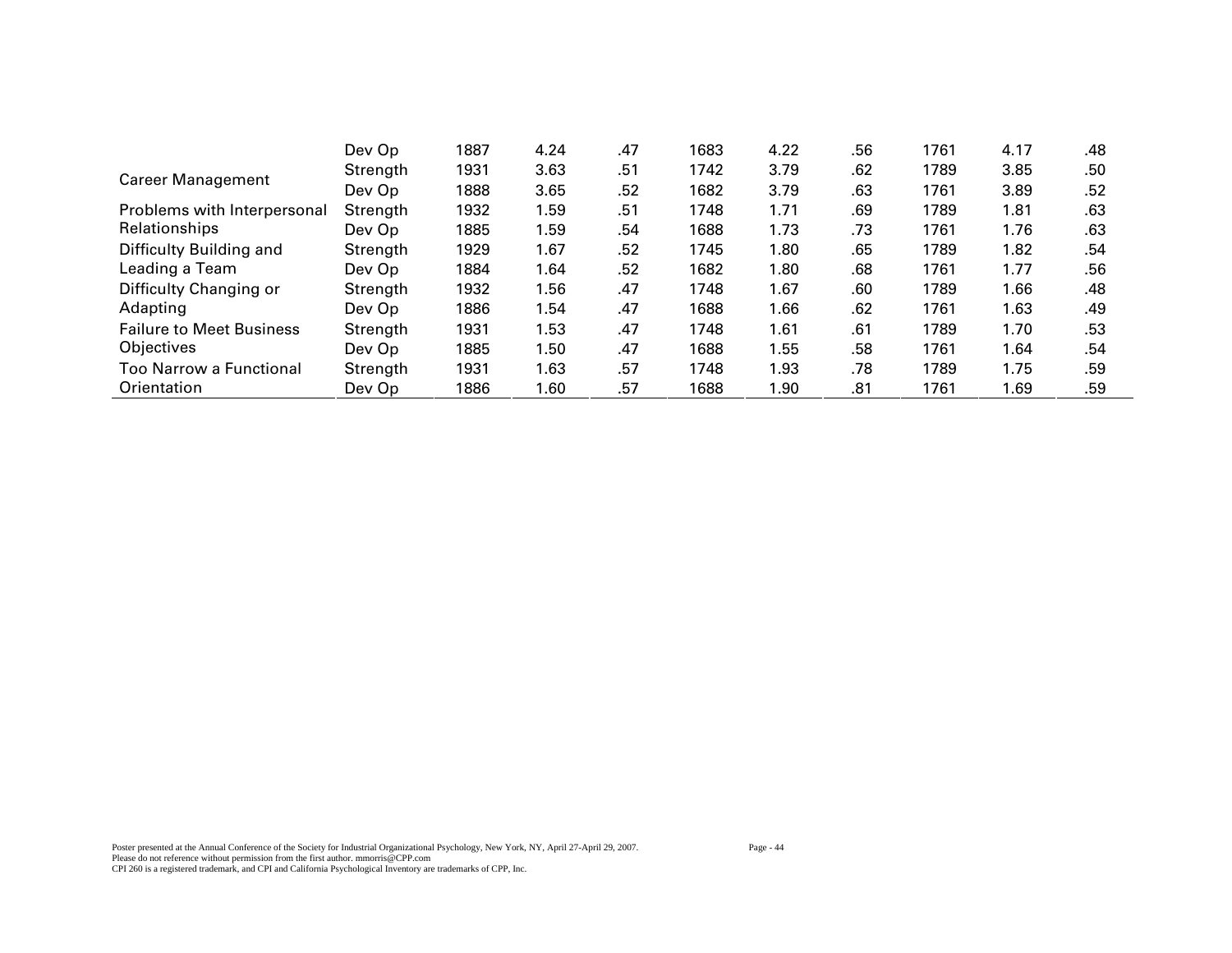|                                 | Dev Op   | 1887 | 4.24 | .47 | 1683 | 4.22 | .56 | 1761 | 4.17 | .48 |
|---------------------------------|----------|------|------|-----|------|------|-----|------|------|-----|
| <b>Career Management</b>        | Strength | 1931 | 3.63 | .51 | 1742 | 3.79 | .62 | 1789 | 3.85 | .50 |
|                                 | Dev Op   | 1888 | 3.65 | .52 | 1682 | 3.79 | .63 | 1761 | 3.89 | .52 |
| Problems with Interpersonal     | Strength | 1932 | 1.59 | .51 | 1748 | 1.71 | .69 | 1789 | 1.81 | .63 |
| Relationships                   | Dev Op   | 1885 | 1.59 | .54 | 1688 | 1.73 | .73 | 1761 | 1.76 | .63 |
| Difficulty Building and         | Strength | 1929 | 1.67 | .52 | 1745 | 1.80 | .65 | 1789 | 1.82 | .54 |
| Leading a Team                  | Dev Op   | 1884 | 1.64 | .52 | 1682 | 1.80 | .68 | 1761 | 1.77 | .56 |
| Difficulty Changing or          | Strength | 1932 | 1.56 | .47 | 1748 | 1.67 | .60 | 1789 | 1.66 | .48 |
| Adapting                        | Dev Op   | 1886 | 1.54 | .47 | 1688 | 1.66 | .62 | 1761 | 1.63 | .49 |
| <b>Failure to Meet Business</b> | Strength | 1931 | 1.53 | .47 | 1748 | 1.61 | .61 | 1789 | 1.70 | .53 |
| Objectives                      | Dev Op   | 1885 | 1.50 | .47 | 1688 | 1.55 | .58 | 1761 | 1.64 | .54 |
| Too Narrow a Functional         | Strength | 1931 | 1.63 | .57 | 1748 | 1.93 | .78 | 1789 | 1.75 | .59 |
| Orientation                     | Dev Op   | 1886 | 1.60 | .57 | 1688 | 1.90 | .81 | 1761 | 1.69 | .59 |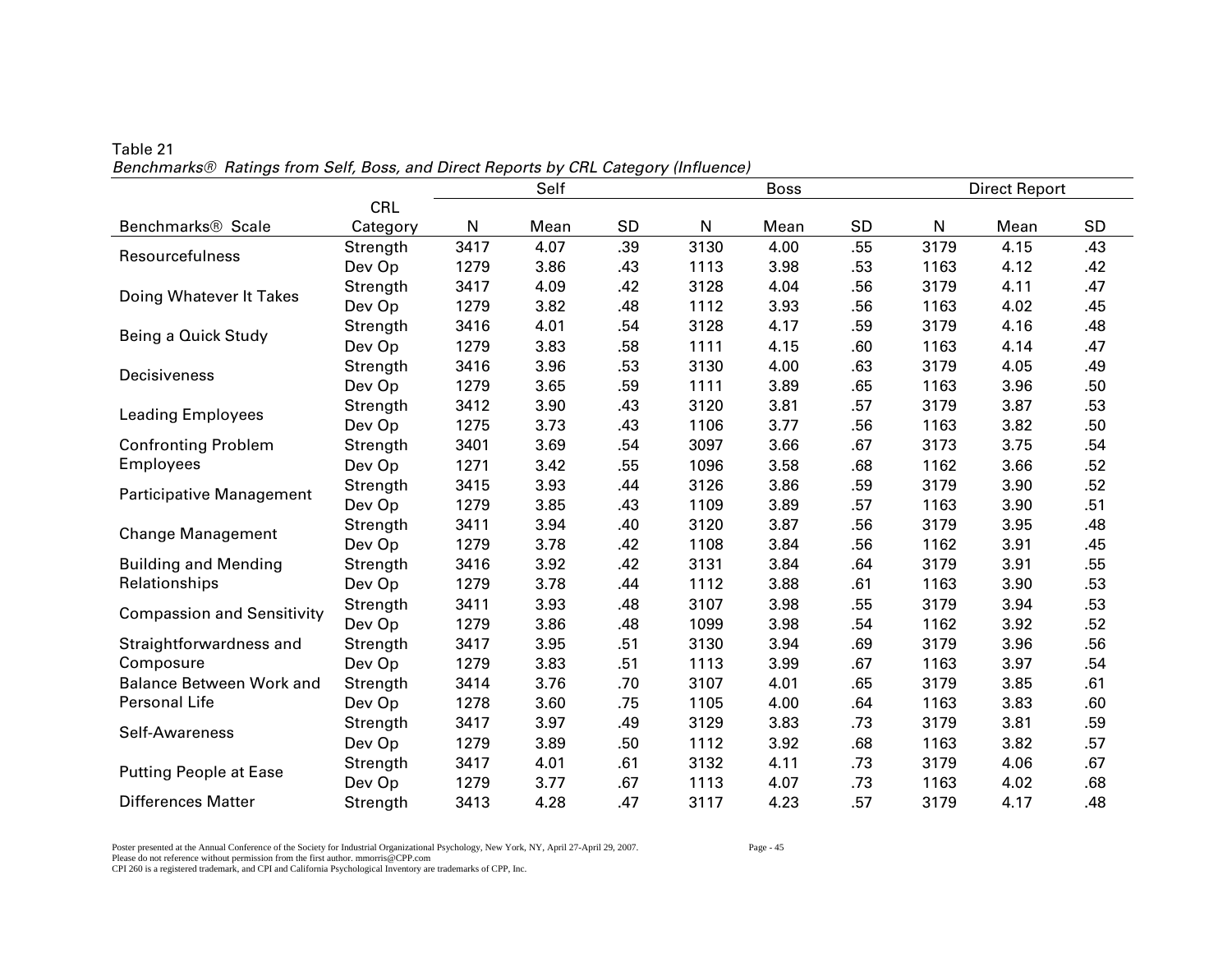|                                                                                                                                                                                                                                                                                                                                                                                                                     |            | Self<br><b>Boss</b> |      |     |      |      |           | <b>Direct Report</b> |      |     |  |
|---------------------------------------------------------------------------------------------------------------------------------------------------------------------------------------------------------------------------------------------------------------------------------------------------------------------------------------------------------------------------------------------------------------------|------------|---------------------|------|-----|------|------|-----------|----------------------|------|-----|--|
|                                                                                                                                                                                                                                                                                                                                                                                                                     | <b>CRL</b> |                     |      |     |      |      |           |                      |      |     |  |
| Benchmarks <sup>®</sup> Scale                                                                                                                                                                                                                                                                                                                                                                                       | Category   | N                   | Mean | SD  | N    | Mean | <b>SD</b> | N                    | Mean | SD  |  |
|                                                                                                                                                                                                                                                                                                                                                                                                                     | Strength   | 3417                | 4.07 | .39 | 3130 | 4.00 | .55       | 3179                 | 4.15 | .43 |  |
|                                                                                                                                                                                                                                                                                                                                                                                                                     | Dev Op     | 1279                | 3.86 | .43 | 1113 | 3.98 | .53       | 1163                 | 4.12 | .42 |  |
|                                                                                                                                                                                                                                                                                                                                                                                                                     | Strength   | 3417                | 4.09 | .42 | 3128 | 4.04 | .56       | 3179                 | 4.11 | .47 |  |
|                                                                                                                                                                                                                                                                                                                                                                                                                     | Dev Op     | 1279                | 3.82 | .48 | 1112 | 3.93 | .56       | 1163                 | 4.02 | .45 |  |
| Resourcefulness<br>Doing Whatever It Takes<br>Being a Quick Study<br>Decisiveness<br><b>Leading Employees</b><br><b>Confronting Problem</b><br>Employees<br>Participative Management<br><b>Change Management</b><br><b>Building and Mending</b><br>Relationships<br><b>Compassion and Sensitivity</b><br>Straightforwardness and<br>Composure<br><b>Balance Between Work and</b><br>Personal Life<br>Self-Awareness | Strength   | 3416                | 4.01 | .54 | 3128 | 4.17 | .59       | 3179                 | 4.16 | .48 |  |
|                                                                                                                                                                                                                                                                                                                                                                                                                     | Dev Op     | 1279                | 3.83 | .58 | 1111 | 4.15 | .60       | 1163                 | 4.14 | .47 |  |
|                                                                                                                                                                                                                                                                                                                                                                                                                     | Strength   | 3416                | 3.96 | .53 | 3130 | 4.00 | .63       | 3179                 | 4.05 | .49 |  |
|                                                                                                                                                                                                                                                                                                                                                                                                                     | Dev Op     | 1279                | 3.65 | .59 | 1111 | 3.89 | .65       | 1163                 | 3.96 | .50 |  |
|                                                                                                                                                                                                                                                                                                                                                                                                                     | Strength   | 3412                | 3.90 | .43 | 3120 | 3.81 | .57       | 3179                 | 3.87 | .53 |  |
|                                                                                                                                                                                                                                                                                                                                                                                                                     | Dev Op     | 1275                | 3.73 | .43 | 1106 | 3.77 | .56       | 1163                 | 3.82 | .50 |  |
|                                                                                                                                                                                                                                                                                                                                                                                                                     | Strength   | 3401                | 3.69 | .54 | 3097 | 3.66 | .67       | 3173                 | 3.75 | .54 |  |
|                                                                                                                                                                                                                                                                                                                                                                                                                     | Dev Op     | 1271                | 3.42 | .55 | 1096 | 3.58 | .68       | 1162                 | 3.66 | .52 |  |
|                                                                                                                                                                                                                                                                                                                                                                                                                     | Strength   | 3415                | 3.93 | .44 | 3126 | 3.86 | .59       | 3179                 | 3.90 | .52 |  |
|                                                                                                                                                                                                                                                                                                                                                                                                                     | Dev Op     | 1279                | 3.85 | .43 | 1109 | 3.89 | .57       | 1163                 | 3.90 | .51 |  |
|                                                                                                                                                                                                                                                                                                                                                                                                                     | Strength   | 3411                | 3.94 | .40 | 3120 | 3.87 | .56       | 3179                 | 3.95 | .48 |  |
|                                                                                                                                                                                                                                                                                                                                                                                                                     | Dev Op     | 1279                | 3.78 | .42 | 1108 | 3.84 | .56       | 1162                 | 3.91 | .45 |  |
|                                                                                                                                                                                                                                                                                                                                                                                                                     | Strength   | 3416                | 3.92 | .42 | 3131 | 3.84 | .64       | 3179                 | 3.91 | .55 |  |
|                                                                                                                                                                                                                                                                                                                                                                                                                     | Dev Op     | 1279                | 3.78 | .44 | 1112 | 3.88 | .61       | 1163                 | 3.90 | .53 |  |
|                                                                                                                                                                                                                                                                                                                                                                                                                     | Strength   | 3411                | 3.93 | .48 | 3107 | 3.98 | .55       | 3179                 | 3.94 | .53 |  |
|                                                                                                                                                                                                                                                                                                                                                                                                                     | Dev Op     | 1279                | 3.86 | .48 | 1099 | 3.98 | .54       | 1162                 | 3.92 | .52 |  |
|                                                                                                                                                                                                                                                                                                                                                                                                                     | Strength   | 3417                | 3.95 | .51 | 3130 | 3.94 | .69       | 3179                 | 3.96 | .56 |  |
|                                                                                                                                                                                                                                                                                                                                                                                                                     | Dev Op     | 1279                | 3.83 | .51 | 1113 | 3.99 | .67       | 1163                 | 3.97 | .54 |  |
|                                                                                                                                                                                                                                                                                                                                                                                                                     | Strength   | 3414                | 3.76 | .70 | 3107 | 4.01 | .65       | 3179                 | 3.85 | .61 |  |
|                                                                                                                                                                                                                                                                                                                                                                                                                     | Dev Op     | 1278                | 3.60 | .75 | 1105 | 4.00 | .64       | 1163                 | 3.83 | .60 |  |
|                                                                                                                                                                                                                                                                                                                                                                                                                     | Strength   | 3417                | 3.97 | .49 | 3129 | 3.83 | .73       | 3179                 | 3.81 | .59 |  |
|                                                                                                                                                                                                                                                                                                                                                                                                                     | Dev Op     | 1279                | 3.89 | .50 | 1112 | 3.92 | .68       | 1163                 | 3.82 | .57 |  |
|                                                                                                                                                                                                                                                                                                                                                                                                                     | Strength   | 3417                | 4.01 | .61 | 3132 | 4.11 | .73       | 3179                 | 4.06 | .67 |  |
| <b>Putting People at Ease</b>                                                                                                                                                                                                                                                                                                                                                                                       | Dev Op     | 1279                | 3.77 | .67 | 1113 | 4.07 | .73       | 1163                 | 4.02 | .68 |  |
| <b>Differences Matter</b>                                                                                                                                                                                                                                                                                                                                                                                           | Strength   | 3413                | 4.28 | .47 | 3117 | 4.23 | .57       | 3179                 | 4.17 | .48 |  |

Table 21 *Benchmarks® Ratings from Self, Boss, and Direct Reports by CRL Category (Influence)* 

Poster presented at the Annual Conference of the Society for Industrial Organizational Psychology, New York, NY, April 27-April 29, 2007. Page - 45 Please do not reference without permission from the first author. mmorris@CPP.com CPI 260 is a registered trademark, and CPI and California Psychological Inventory are trademarks of CPP, Inc.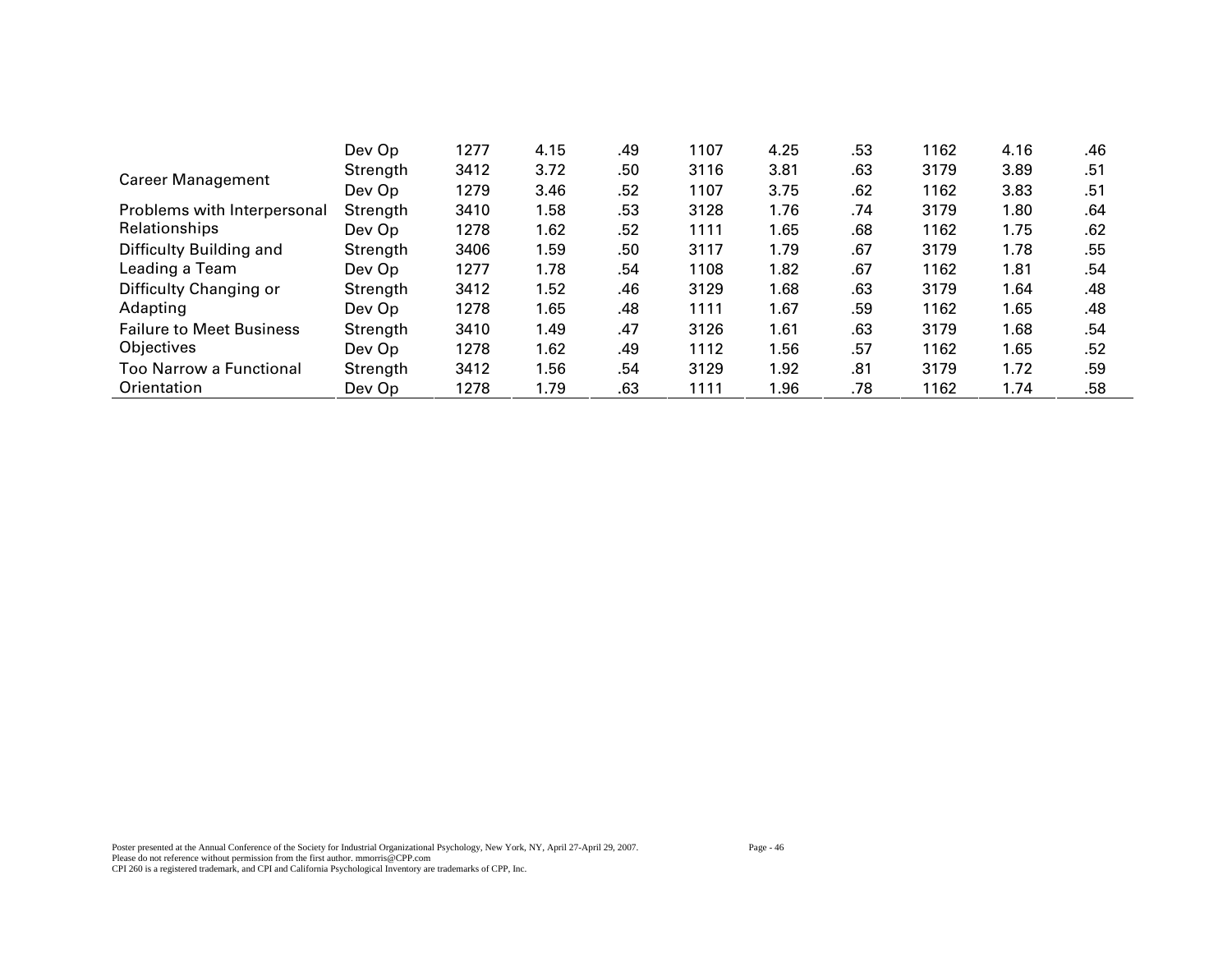|                                 | Dev Op   | 1277 | 4.15 | .49 | 1107 | 4.25 | .53 | 1162 | 4.16 | .46 |
|---------------------------------|----------|------|------|-----|------|------|-----|------|------|-----|
| <b>Career Management</b>        | Strength | 3412 | 3.72 | .50 | 3116 | 3.81 | .63 | 3179 | 3.89 | .51 |
|                                 | Dev Op   | 1279 | 3.46 | .52 | 1107 | 3.75 | .62 | 1162 | 3.83 | .51 |
| Problems with Interpersonal     | Strength | 3410 | 1.58 | .53 | 3128 | 1.76 | .74 | 3179 | 1.80 | .64 |
| Relationships                   | Dev Op   | 1278 | 1.62 | .52 | 1111 | 1.65 | .68 | 1162 | 1.75 | .62 |
| Difficulty Building and         | Strength | 3406 | 1.59 | .50 | 3117 | 1.79 | .67 | 3179 | 1.78 | .55 |
| Leading a Team                  | Dev Op   | 1277 | 1.78 | .54 | 1108 | 1.82 | .67 | 1162 | 1.81 | .54 |
| Difficulty Changing or          | Strength | 3412 | 1.52 | .46 | 3129 | 1.68 | .63 | 3179 | 1.64 | .48 |
| Adapting                        | Dev Op   | 1278 | 1.65 | .48 | 1111 | 1.67 | .59 | 1162 | 1.65 | .48 |
| <b>Failure to Meet Business</b> | Strength | 3410 | 1.49 | .47 | 3126 | 1.61 | .63 | 3179 | 1.68 | .54 |
| Objectives                      | Dev Op   | 1278 | 1.62 | .49 | 1112 | 1.56 | .57 | 1162 | 1.65 | .52 |
| Too Narrow a Functional         | Strength | 3412 | 1.56 | .54 | 3129 | 1.92 | .81 | 3179 | 1.72 | .59 |
| Orientation                     | Dev Op   | 1278 | 1.79 | .63 | 1111 | 1.96 | .78 | 1162 | 1.74 | .58 |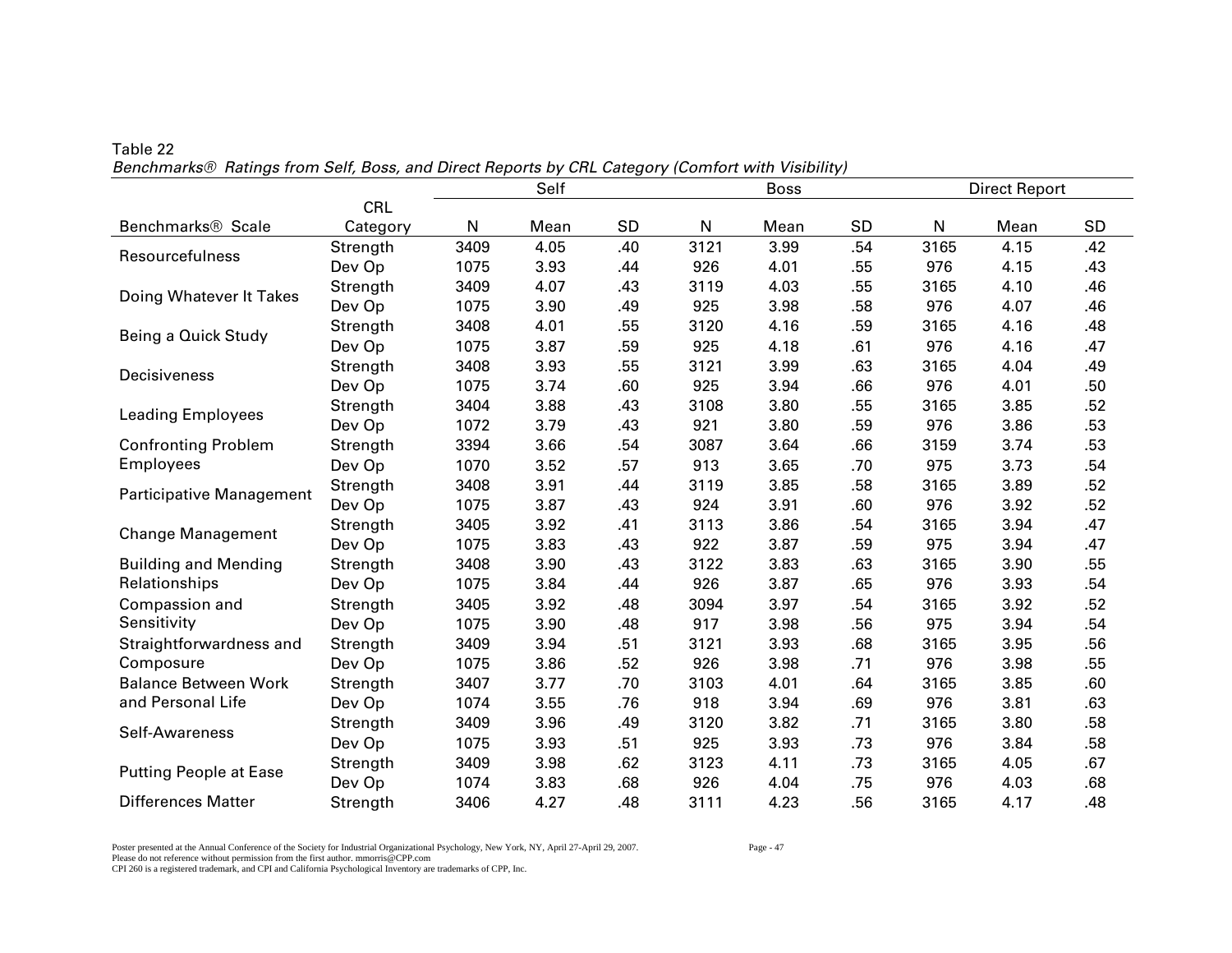|                               |            |      | Self |           |      | <b>Boss</b> |           |              | <b>Direct Report</b> |     |  |
|-------------------------------|------------|------|------|-----------|------|-------------|-----------|--------------|----------------------|-----|--|
|                               | <b>CRL</b> |      |      |           |      |             |           |              |                      |     |  |
| Benchmarks <sup>®</sup> Scale | Category   | N    | Mean | <b>SD</b> | N    | Mean        | <b>SD</b> | $\mathsf{N}$ | Mean                 | SD  |  |
| Resourcefulness               | Strength   | 3409 | 4.05 | .40       | 3121 | 3.99        | .54       | 3165         | 4.15                 | .42 |  |
|                               | Dev Op     | 1075 | 3.93 | .44       | 926  | 4.01        | .55       | 976          | 4.15                 | .43 |  |
| Doing Whatever It Takes       | Strength   | 3409 | 4.07 | .43       | 3119 | 4.03        | .55       | 3165         | 4.10                 | .46 |  |
|                               | Dev Op     | 1075 | 3.90 | .49       | 925  | 3.98        | .58       | 976          | 4.07                 | .46 |  |
| Being a Quick Study           | Strength   | 3408 | 4.01 | .55       | 3120 | 4.16        | .59       | 3165         | 4.16                 | .48 |  |
|                               | Dev Op     | 1075 | 3.87 | .59       | 925  | 4.18        | .61       | 976          | 4.16                 | .47 |  |
| Decisiveness                  | Strength   | 3408 | 3.93 | .55       | 3121 | 3.99        | .63       | 3165         | 4.04                 | .49 |  |
|                               | Dev Op     | 1075 | 3.74 | .60       | 925  | 3.94        | .66       | 976          | 4.01                 | .50 |  |
| <b>Leading Employees</b>      | Strength   | 3404 | 3.88 | .43       | 3108 | 3.80        | .55       | 3165         | 3.85                 | .52 |  |
|                               | Dev Op     | 1072 | 3.79 | .43       | 921  | 3.80        | .59       | 976          | 3.86                 | .53 |  |
| <b>Confronting Problem</b>    | Strength   | 3394 | 3.66 | .54       | 3087 | 3.64        | .66       | 3159         | 3.74                 | .53 |  |
| <b>Employees</b>              | Dev Op     | 1070 | 3.52 | .57       | 913  | 3.65        | .70       | 975          | 3.73                 | .54 |  |
| Participative Management      | Strength   | 3408 | 3.91 | .44       | 3119 | 3.85        | .58       | 3165         | 3.89                 | .52 |  |
|                               | Dev Op     | 1075 | 3.87 | .43       | 924  | 3.91        | .60       | 976          | 3.92                 | .52 |  |
| <b>Change Management</b>      | Strength   | 3405 | 3.92 | .41       | 3113 | 3.86        | .54       | 3165         | 3.94                 | .47 |  |
|                               | Dev Op     | 1075 | 3.83 | .43       | 922  | 3.87        | .59       | 975          | 3.94                 | .47 |  |
| <b>Building and Mending</b>   | Strength   | 3408 | 3.90 | .43       | 3122 | 3.83        | .63       | 3165         | 3.90                 | .55 |  |
| Relationships                 | Dev Op     | 1075 | 3.84 | .44       | 926  | 3.87        | .65       | 976          | 3.93                 | .54 |  |
| Compassion and                | Strength   | 3405 | 3.92 | .48       | 3094 | 3.97        | .54       | 3165         | 3.92                 | .52 |  |
| Sensitivity                   | Dev Op     | 1075 | 3.90 | .48       | 917  | 3.98        | .56       | 975          | 3.94                 | .54 |  |
| Straightforwardness and       | Strength   | 3409 | 3.94 | .51       | 3121 | 3.93        | .68       | 3165         | 3.95                 | .56 |  |
| Composure                     | Dev Op     | 1075 | 3.86 | .52       | 926  | 3.98        | .71       | 976          | 3.98                 | .55 |  |
| <b>Balance Between Work</b>   | Strength   | 3407 | 3.77 | .70       | 3103 | 4.01        | .64       | 3165         | 3.85                 | .60 |  |
| and Personal Life             | Dev Op     | 1074 | 3.55 | .76       | 918  | 3.94        | .69       | 976          | 3.81                 | .63 |  |
| Self-Awareness                | Strength   | 3409 | 3.96 | .49       | 3120 | 3.82        | .71       | 3165         | 3.80                 | .58 |  |
|                               | Dev Op     | 1075 | 3.93 | .51       | 925  | 3.93        | .73       | 976          | 3.84                 | .58 |  |
|                               | Strength   | 3409 | 3.98 | .62       | 3123 | 4.11        | .73       | 3165         | 4.05                 | .67 |  |
| <b>Putting People at Ease</b> | Dev Op     | 1074 | 3.83 | .68       | 926  | 4.04        | .75       | 976          | 4.03                 | .68 |  |
| <b>Differences Matter</b>     | Strength   | 3406 | 4.27 | .48       | 3111 | 4.23        | .56       | 3165         | 4.17                 | .48 |  |

Table 22 *Benchmarks® Ratings from Self, Boss, and Direct Reports by CRL Category (Comfort with Visibility)* 

Poster presented at the Annual Conference of the Society for Industrial Organizational Psychology, New York, NY, April 27-April 29, 2007. Page - 47 Please do not reference without permission from the first author. mmorris@CPP.com CPI 260 is a registered trademark, and CPI and California Psychological Inventory are trademarks of CPP, Inc.